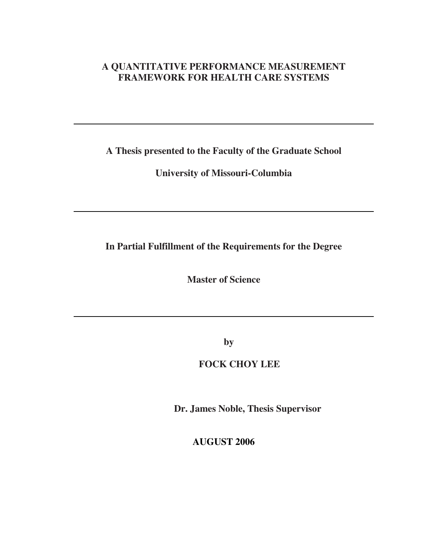## **A QUANTITATIVE PERFORMANCE MEASUREMENT FRAMEWORK FOR HEALTH CARE SYSTEMS**

**A Thesis presented to the Faculty of the Graduate School** 

**University of Missouri-Columbia** 

**In Partial Fulfillment of the Requirements for the Degree** 

**Master of Science** 

**by** 

**FOCK CHOY LEE** 

**Dr. James Noble, Thesis Supervisor** 

**AUGUST 2006**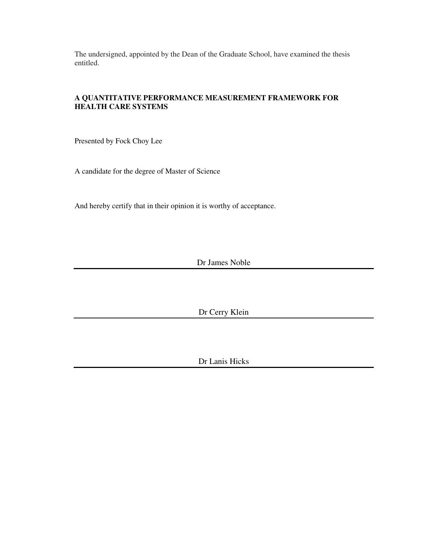The undersigned, appointed by the Dean of the Graduate School, have examined the thesis entitled.

## **A QUANTITATIVE PERFORMANCE MEASUREMENT FRAMEWORK FOR HEALTH CARE SYSTEMS**

Presented by Fock Choy Lee

A candidate for the degree of Master of Science

And hereby certify that in their opinion it is worthy of acceptance.

Dr James Noble

Dr Cerry Klein

Dr Lanis Hicks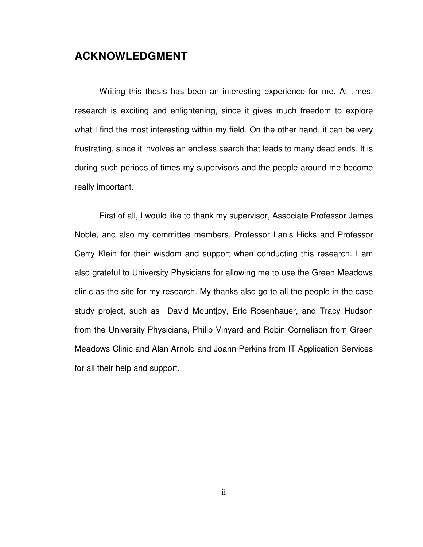## **ACKNOWLEDGMENT**

Writing this thesis has been an interesting experience for me. At times, research is exciting and enlightening, since it gives much freedom to explore what I find the most interesting within my field. On the other hand, it can be very frustrating, since it involves an endless search that leads to many dead ends. It is during such periods of times my supervisors and the people around me become really important.

First of all, I would like to thank my supervisor, Associate Professor James Noble, and also my committee members, Professor Lanis Hicks and Professor Cerry Klein for their wisdom and support when conducting this research. I am also grateful to University Physicians for allowing me to use the Green Meadows clinic as the site for my research. My thanks also go to all the people in the case study project, such as David Mountjoy, Eric Rosenhauer, and Tracy Hudson from the University Physicians, Philip Vinyard and Robin Cornelison from Green Meadows Clinic and Alan Arnold and Joann Perkins from IT Application Services for all their help and support.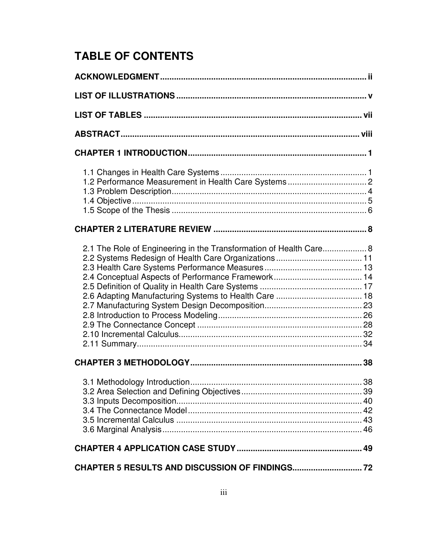# **TABLE OF CONTENTS**

| 2.1 The Role of Engineering in the Transformation of Health Care 8 |  |  |  |  |  |
|--------------------------------------------------------------------|--|--|--|--|--|
|                                                                    |  |  |  |  |  |
|                                                                    |  |  |  |  |  |
|                                                                    |  |  |  |  |  |
|                                                                    |  |  |  |  |  |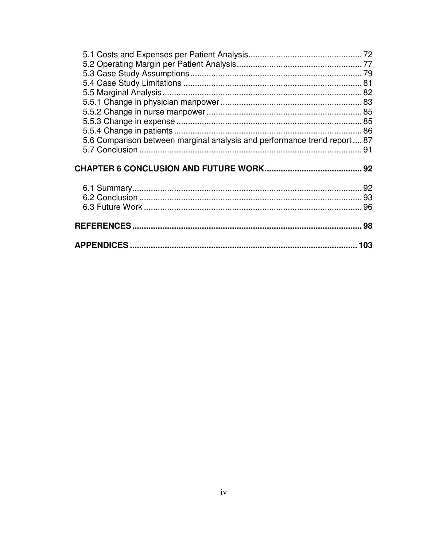| 5.6 Comparison between marginal analysis and performance trend report  87 |  |  |  |
|---------------------------------------------------------------------------|--|--|--|
|                                                                           |  |  |  |
|                                                                           |  |  |  |
|                                                                           |  |  |  |
|                                                                           |  |  |  |
|                                                                           |  |  |  |
|                                                                           |  |  |  |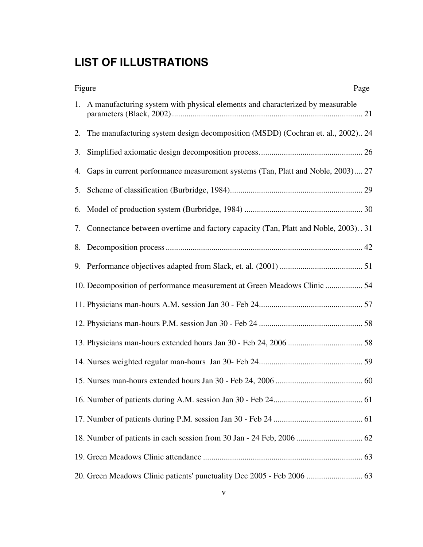# **LIST OF ILLUSTRATIONS**

| Figure<br>Page                                                                        |  |  |  |  |
|---------------------------------------------------------------------------------------|--|--|--|--|
| 1. A manufacturing system with physical elements and characterized by measurable      |  |  |  |  |
| 2. The manufacturing system design decomposition (MSDD) (Cochran et. al., 2002) 24    |  |  |  |  |
|                                                                                       |  |  |  |  |
| 4. Gaps in current performance measurement systems (Tan, Platt and Noble, 2003) 27    |  |  |  |  |
|                                                                                       |  |  |  |  |
|                                                                                       |  |  |  |  |
| 7. Connectance between overtime and factory capacity (Tan, Platt and Noble, 2003). 31 |  |  |  |  |
|                                                                                       |  |  |  |  |
|                                                                                       |  |  |  |  |
| 10. Decomposition of performance measurement at Green Meadows Clinic  54              |  |  |  |  |
|                                                                                       |  |  |  |  |
|                                                                                       |  |  |  |  |
|                                                                                       |  |  |  |  |
|                                                                                       |  |  |  |  |
|                                                                                       |  |  |  |  |
|                                                                                       |  |  |  |  |
|                                                                                       |  |  |  |  |
|                                                                                       |  |  |  |  |
|                                                                                       |  |  |  |  |
| 20. Green Meadows Clinic patients' punctuality Dec 2005 - Feb 2006  63                |  |  |  |  |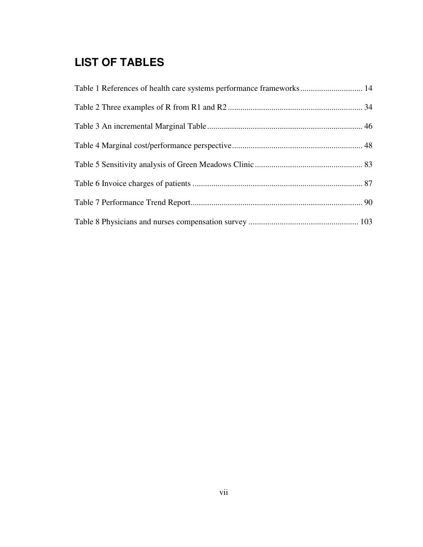# **LIST OF TABLES**

| Table 1 References of health care systems performance frameworks 14 |  |
|---------------------------------------------------------------------|--|
|                                                                     |  |
|                                                                     |  |
|                                                                     |  |
|                                                                     |  |
|                                                                     |  |
|                                                                     |  |
|                                                                     |  |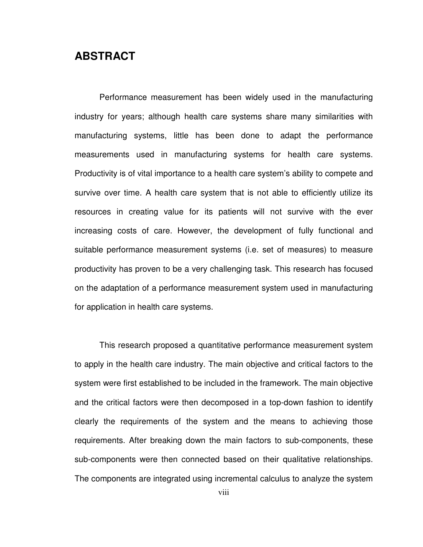# **ABSTRACT**

Performance measurement has been widely used in the manufacturing industry for years; although health care systems share many similarities with manufacturing systems, little has been done to adapt the performance measurements used in manufacturing systems for health care systems. Productivity is of vital importance to a health care system's ability to compete and survive over time. A health care system that is not able to efficiently utilize its resources in creating value for its patients will not survive with the ever increasing costs of care. However, the development of fully functional and suitable performance measurement systems (i.e. set of measures) to measure productivity has proven to be a very challenging task. This research has focused on the adaptation of a performance measurement system used in manufacturing for application in health care systems.

This research proposed a quantitative performance measurement system to apply in the health care industry. The main objective and critical factors to the system were first established to be included in the framework. The main objective and the critical factors were then decomposed in a top-down fashion to identify clearly the requirements of the system and the means to achieving those requirements. After breaking down the main factors to sub-components, these sub-components were then connected based on their qualitative relationships. The components are integrated using incremental calculus to analyze the system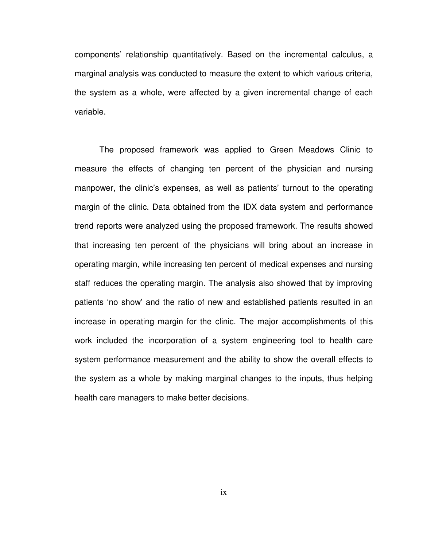components' relationship quantitatively. Based on the incremental calculus, a marginal analysis was conducted to measure the extent to which various criteria, the system as a whole, were affected by a given incremental change of each variable.

The proposed framework was applied to Green Meadows Clinic to measure the effects of changing ten percent of the physician and nursing manpower, the clinic's expenses, as well as patients' turnout to the operating margin of the clinic. Data obtained from the IDX data system and performance trend reports were analyzed using the proposed framework. The results showed that increasing ten percent of the physicians will bring about an increase in operating margin, while increasing ten percent of medical expenses and nursing staff reduces the operating margin. The analysis also showed that by improving patients 'no show' and the ratio of new and established patients resulted in an increase in operating margin for the clinic. The major accomplishments of this work included the incorporation of a system engineering tool to health care system performance measurement and the ability to show the overall effects to the system as a whole by making marginal changes to the inputs, thus helping health care managers to make better decisions.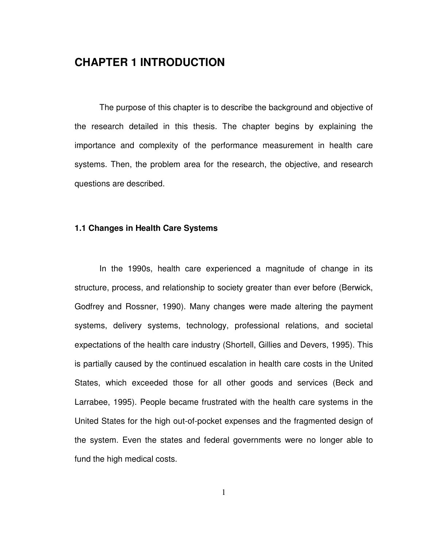# **CHAPTER 1 INTRODUCTION**

The purpose of this chapter is to describe the background and objective of the research detailed in this thesis. The chapter begins by explaining the importance and complexity of the performance measurement in health care systems. Then, the problem area for the research, the objective, and research questions are described.

## **1.1 Changes in Health Care Systems**

In the 1990s, health care experienced a magnitude of change in its structure, process, and relationship to society greater than ever before (Berwick, Godfrey and Rossner, 1990). Many changes were made altering the payment systems, delivery systems, technology, professional relations, and societal expectations of the health care industry (Shortell, Gillies and Devers, 1995). This is partially caused by the continued escalation in health care costs in the United States, which exceeded those for all other goods and services (Beck and Larrabee, 1995). People became frustrated with the health care systems in the United States for the high out-of-pocket expenses and the fragmented design of the system. Even the states and federal governments were no longer able to fund the high medical costs.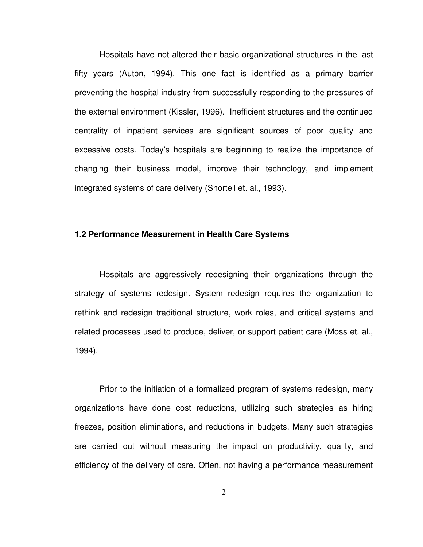Hospitals have not altered their basic organizational structures in the last fifty years (Auton, 1994). This one fact is identified as a primary barrier preventing the hospital industry from successfully responding to the pressures of the external environment (Kissler, 1996). Inefficient structures and the continued centrality of inpatient services are significant sources of poor quality and excessive costs. Today's hospitals are beginning to realize the importance of changing their business model, improve their technology, and implement integrated systems of care delivery (Shortell et. al., 1993).

#### **1.2 Performance Measurement in Health Care Systems**

 Hospitals are aggressively redesigning their organizations through the strategy of systems redesign. System redesign requires the organization to rethink and redesign traditional structure, work roles, and critical systems and related processes used to produce, deliver, or support patient care (Moss et. al., 1994).

 Prior to the initiation of a formalized program of systems redesign, many organizations have done cost reductions, utilizing such strategies as hiring freezes, position eliminations, and reductions in budgets. Many such strategies are carried out without measuring the impact on productivity, quality, and efficiency of the delivery of care. Often, not having a performance measurement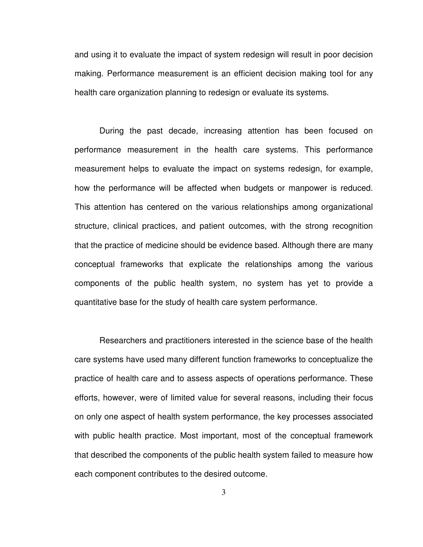and using it to evaluate the impact of system redesign will result in poor decision making. Performance measurement is an efficient decision making tool for any health care organization planning to redesign or evaluate its systems.

During the past decade, increasing attention has been focused on performance measurement in the health care systems. This performance measurement helps to evaluate the impact on systems redesign, for example, how the performance will be affected when budgets or manpower is reduced. This attention has centered on the various relationships among organizational structure, clinical practices, and patient outcomes, with the strong recognition that the practice of medicine should be evidence based. Although there are many conceptual frameworks that explicate the relationships among the various components of the public health system, no system has yet to provide a quantitative base for the study of health care system performance.

Researchers and practitioners interested in the science base of the health care systems have used many different function frameworks to conceptualize the practice of health care and to assess aspects of operations performance. These efforts, however, were of limited value for several reasons, including their focus on only one aspect of health system performance, the key processes associated with public health practice. Most important, most of the conceptual framework that described the components of the public health system failed to measure how each component contributes to the desired outcome.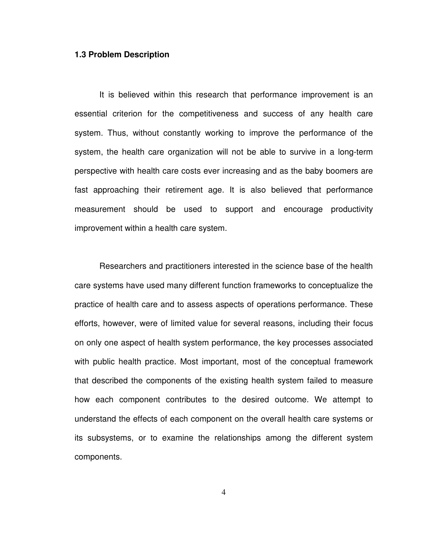#### **1.3 Problem Description**

It is believed within this research that performance improvement is an essential criterion for the competitiveness and success of any health care system. Thus, without constantly working to improve the performance of the system, the health care organization will not be able to survive in a long-term perspective with health care costs ever increasing and as the baby boomers are fast approaching their retirement age. It is also believed that performance measurement should be used to support and encourage productivity improvement within a health care system.

Researchers and practitioners interested in the science base of the health care systems have used many different function frameworks to conceptualize the practice of health care and to assess aspects of operations performance. These efforts, however, were of limited value for several reasons, including their focus on only one aspect of health system performance, the key processes associated with public health practice. Most important, most of the conceptual framework that described the components of the existing health system failed to measure how each component contributes to the desired outcome. We attempt to understand the effects of each component on the overall health care systems or its subsystems, or to examine the relationships among the different system components.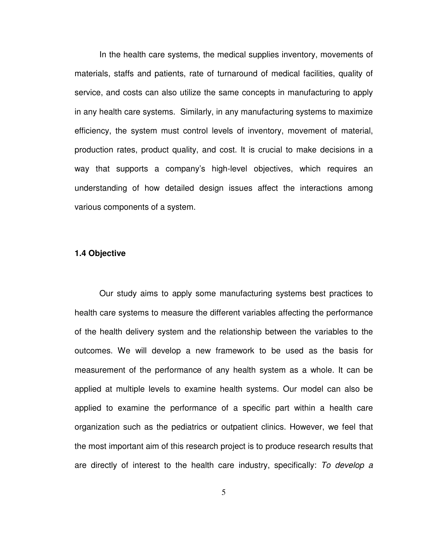In the health care systems, the medical supplies inventory, movements of materials, staffs and patients, rate of turnaround of medical facilities, quality of service, and costs can also utilize the same concepts in manufacturing to apply in any health care systems. Similarly, in any manufacturing systems to maximize efficiency, the system must control levels of inventory, movement of material, production rates, product quality, and cost. It is crucial to make decisions in a way that supports a company's high-level objectives, which requires an understanding of how detailed design issues affect the interactions among various components of a system.

#### **1.4 Objective**

Our study aims to apply some manufacturing systems best practices to health care systems to measure the different variables affecting the performance of the health delivery system and the relationship between the variables to the outcomes. We will develop a new framework to be used as the basis for measurement of the performance of any health system as a whole. It can be applied at multiple levels to examine health systems. Our model can also be applied to examine the performance of a specific part within a health care organization such as the pediatrics or outpatient clinics. However, we feel that the most important aim of this research project is to produce research results that are directly of interest to the health care industry, specifically: To develop a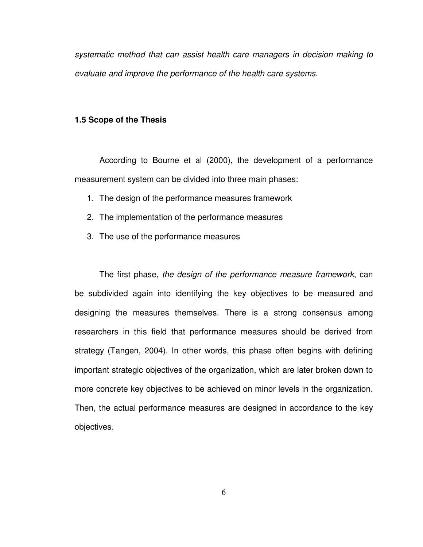systematic method that can assist health care managers in decision making to evaluate and improve the performance of the health care systems.

#### **1.5 Scope of the Thesis**

According to Bourne et al (2000), the development of a performance measurement system can be divided into three main phases:

- 1. The design of the performance measures framework
- 2. The implementation of the performance measures
- 3. The use of the performance measures

The first phase, the design of the performance measure framework, can be subdivided again into identifying the key objectives to be measured and designing the measures themselves. There is a strong consensus among researchers in this field that performance measures should be derived from strategy (Tangen, 2004). In other words, this phase often begins with defining important strategic objectives of the organization, which are later broken down to more concrete key objectives to be achieved on minor levels in the organization. Then, the actual performance measures are designed in accordance to the key objectives.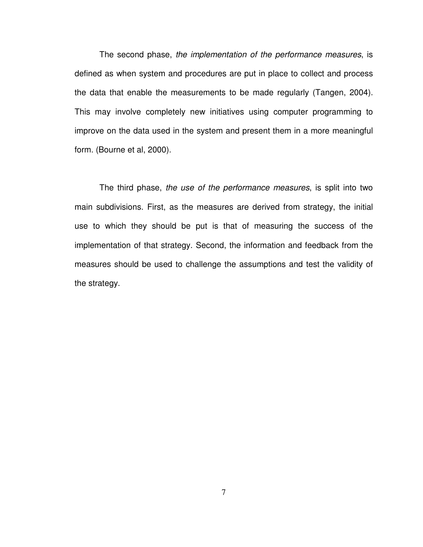The second phase, the implementation of the performance measures, is defined as when system and procedures are put in place to collect and process the data that enable the measurements to be made regularly (Tangen, 2004). This may involve completely new initiatives using computer programming to improve on the data used in the system and present them in a more meaningful form. (Bourne et al, 2000).

The third phase, the use of the performance measures, is split into two main subdivisions. First, as the measures are derived from strategy, the initial use to which they should be put is that of measuring the success of the implementation of that strategy. Second, the information and feedback from the measures should be used to challenge the assumptions and test the validity of the strategy.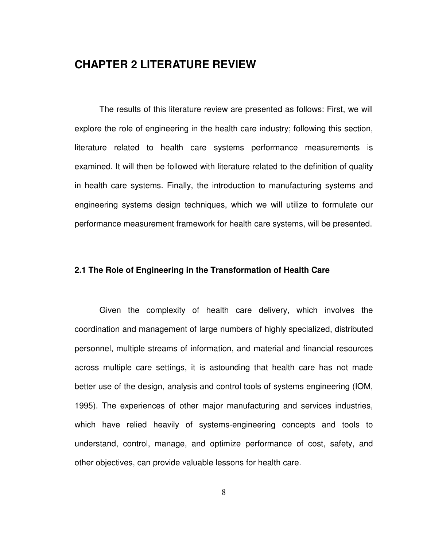# **CHAPTER 2 LITERATURE REVIEW**

 The results of this literature review are presented as follows: First, we will explore the role of engineering in the health care industry; following this section, literature related to health care systems performance measurements is examined. It will then be followed with literature related to the definition of quality in health care systems. Finally, the introduction to manufacturing systems and engineering systems design techniques, which we will utilize to formulate our performance measurement framework for health care systems, will be presented.

### **2.1 The Role of Engineering in the Transformation of Health Care**

Given the complexity of health care delivery, which involves the coordination and management of large numbers of highly specialized, distributed personnel, multiple streams of information, and material and financial resources across multiple care settings, it is astounding that health care has not made better use of the design, analysis and control tools of systems engineering (IOM, 1995). The experiences of other major manufacturing and services industries, which have relied heavily of systems-engineering concepts and tools to understand, control, manage, and optimize performance of cost, safety, and other objectives, can provide valuable lessons for health care.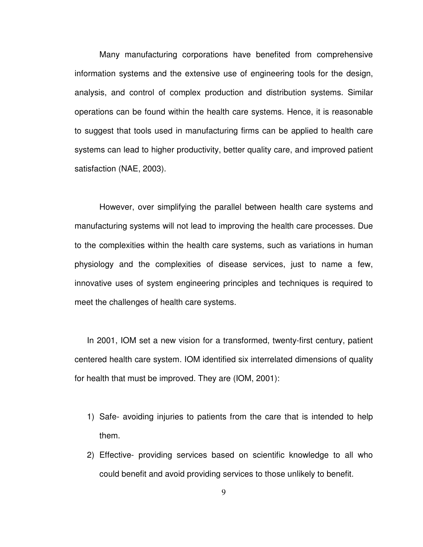Many manufacturing corporations have benefited from comprehensive information systems and the extensive use of engineering tools for the design, analysis, and control of complex production and distribution systems. Similar operations can be found within the health care systems. Hence, it is reasonable to suggest that tools used in manufacturing firms can be applied to health care systems can lead to higher productivity, better quality care, and improved patient satisfaction (NAE, 2003).

However, over simplifying the parallel between health care systems and manufacturing systems will not lead to improving the health care processes. Due to the complexities within the health care systems, such as variations in human physiology and the complexities of disease services, just to name a few, innovative uses of system engineering principles and techniques is required to meet the challenges of health care systems.

In 2001, IOM set a new vision for a transformed, twenty-first century, patient centered health care system. IOM identified six interrelated dimensions of quality for health that must be improved. They are (IOM, 2001):

- 1) Safe- avoiding injuries to patients from the care that is intended to help them.
- 2) Effective- providing services based on scientific knowledge to all who could benefit and avoid providing services to those unlikely to benefit.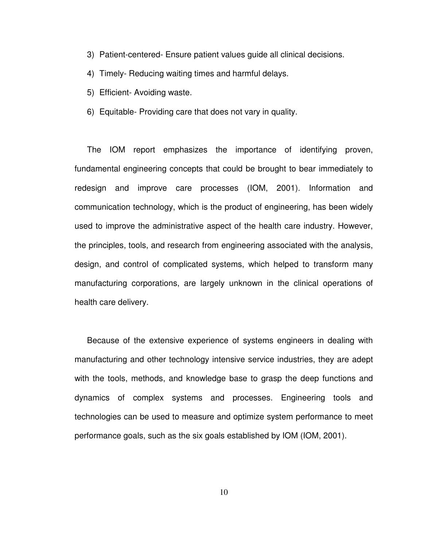- 3) Patient-centered- Ensure patient values guide all clinical decisions.
- 4) Timely- Reducing waiting times and harmful delays.
- 5) Efficient- Avoiding waste.
- 6) Equitable- Providing care that does not vary in quality.

The IOM report emphasizes the importance of identifying proven, fundamental engineering concepts that could be brought to bear immediately to redesign and improve care processes (IOM, 2001). Information and communication technology, which is the product of engineering, has been widely used to improve the administrative aspect of the health care industry. However, the principles, tools, and research from engineering associated with the analysis, design, and control of complicated systems, which helped to transform many manufacturing corporations, are largely unknown in the clinical operations of health care delivery.

Because of the extensive experience of systems engineers in dealing with manufacturing and other technology intensive service industries, they are adept with the tools, methods, and knowledge base to grasp the deep functions and dynamics of complex systems and processes. Engineering tools and technologies can be used to measure and optimize system performance to meet performance goals, such as the six goals established by IOM (IOM, 2001).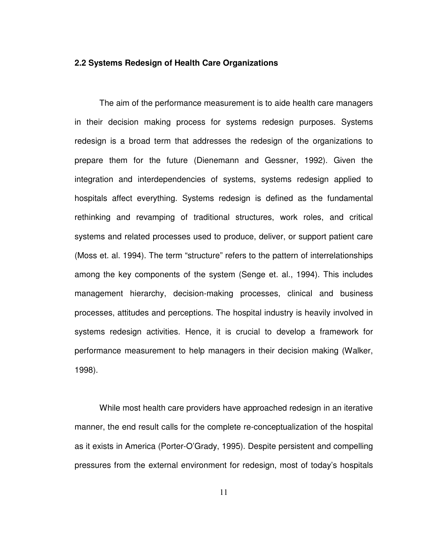#### **2.2 Systems Redesign of Health Care Organizations**

 The aim of the performance measurement is to aide health care managers in their decision making process for systems redesign purposes. Systems redesign is a broad term that addresses the redesign of the organizations to prepare them for the future (Dienemann and Gessner, 1992). Given the integration and interdependencies of systems, systems redesign applied to hospitals affect everything. Systems redesign is defined as the fundamental rethinking and revamping of traditional structures, work roles, and critical systems and related processes used to produce, deliver, or support patient care (Moss et. al. 1994). The term "structure" refers to the pattern of interrelationships among the key components of the system (Senge et. al., 1994). This includes management hierarchy, decision-making processes, clinical and business processes, attitudes and perceptions. The hospital industry is heavily involved in systems redesign activities. Hence, it is crucial to develop a framework for performance measurement to help managers in their decision making (Walker, 1998).

 While most health care providers have approached redesign in an iterative manner, the end result calls for the complete re-conceptualization of the hospital as it exists in America (Porter-O'Grady, 1995). Despite persistent and compelling pressures from the external environment for redesign, most of today's hospitals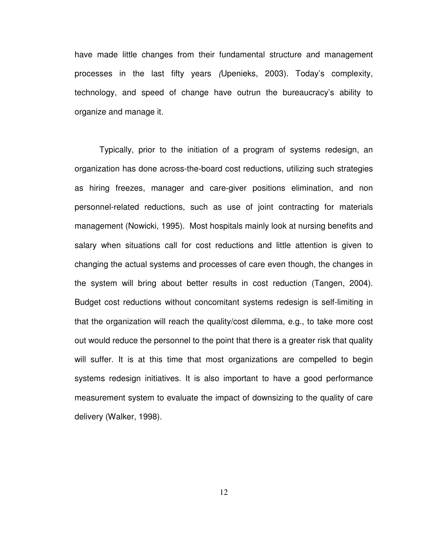have made little changes from their fundamental structure and management processes in the last fifty years (Upenieks, 2003). Today's complexity, technology, and speed of change have outrun the bureaucracy's ability to organize and manage it.

Typically, prior to the initiation of a program of systems redesign, an organization has done across-the-board cost reductions, utilizing such strategies as hiring freezes, manager and care-giver positions elimination, and non personnel-related reductions, such as use of joint contracting for materials management (Nowicki, 1995). Most hospitals mainly look at nursing benefits and salary when situations call for cost reductions and little attention is given to changing the actual systems and processes of care even though, the changes in the system will bring about better results in cost reduction (Tangen, 2004). Budget cost reductions without concomitant systems redesign is self-limiting in that the organization will reach the quality/cost dilemma, e.g., to take more cost out would reduce the personnel to the point that there is a greater risk that quality will suffer. It is at this time that most organizations are compelled to begin systems redesign initiatives. It is also important to have a good performance measurement system to evaluate the impact of downsizing to the quality of care delivery (Walker, 1998).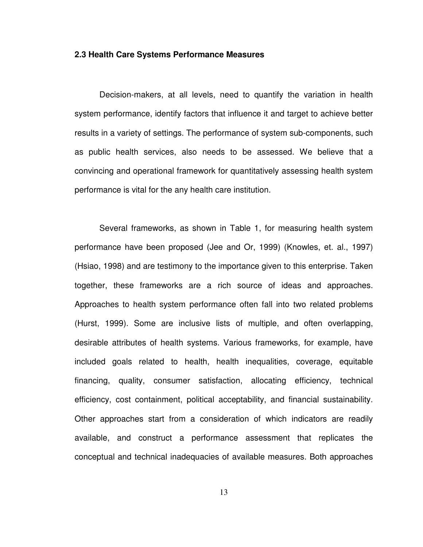#### **2.3 Health Care Systems Performance Measures**

Decision-makers, at all levels, need to quantify the variation in health system performance, identify factors that influence it and target to achieve better results in a variety of settings. The performance of system sub-components, such as public health services, also needs to be assessed. We believe that a convincing and operational framework for quantitatively assessing health system performance is vital for the any health care institution.

Several frameworks, as shown in Table 1, for measuring health system performance have been proposed (Jee and Or, 1999) (Knowles, et. al., 1997) (Hsiao, 1998) and are testimony to the importance given to this enterprise. Taken together, these frameworks are a rich source of ideas and approaches. Approaches to health system performance often fall into two related problems (Hurst, 1999). Some are inclusive lists of multiple, and often overlapping, desirable attributes of health systems. Various frameworks, for example, have included goals related to health, health inequalities, coverage, equitable financing, quality, consumer satisfaction, allocating efficiency, technical efficiency, cost containment, political acceptability, and financial sustainability. Other approaches start from a consideration of which indicators are readily available, and construct a performance assessment that replicates the conceptual and technical inadequacies of available measures. Both approaches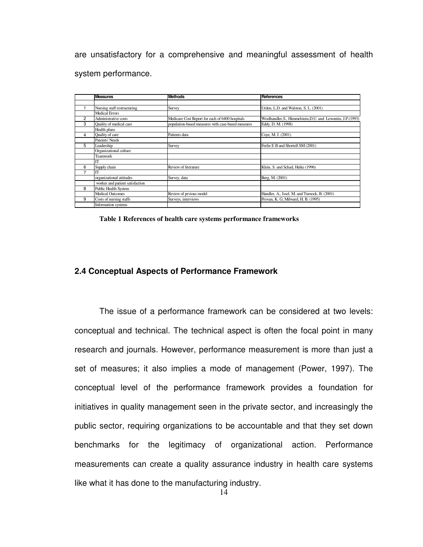are unsatisfactory for a comprehensive and meaningful assessment of health system performance.

|   | <b>Measures</b>                 | <b>Methods</b>                                     | <b>References</b>                                            |
|---|---------------------------------|----------------------------------------------------|--------------------------------------------------------------|
|   |                                 |                                                    |                                                              |
|   | Nursing staff restructuring     | Survey                                             | Urden, L.D. and Walston, S. L. (2001)                        |
|   | Medical Errors                  |                                                    |                                                              |
| 2 | Administrative costs            | Medicare Cost Report for each of 6400 hospitals    | Woolhandler, S., Himmelstein, D.U. and Lewontin, J.P. (1993) |
| 3 | Quality of medical care         | population-based measures with case-based measures | Eddy, D. M. (1998)                                           |
|   | Health plans                    |                                                    |                                                              |
| 4 | Quality of care                 | Patients data                                      | Coye, M. J. (2001)                                           |
|   | Pateints' Needs                 |                                                    |                                                              |
| 5 | Leadership                      | Survey                                             | Ferlie E B and Shortell SM (2001)                            |
|   | Organizational culture          |                                                    |                                                              |
|   | Teamwork                        |                                                    |                                                              |
|   | IT                              |                                                    |                                                              |
| 6 | Supply chain                    | Review of literature                               | Klein, S. and Schad, Heike (1996)                            |
|   | <b>IT</b>                       |                                                    |                                                              |
|   | organizational attitudes        | Survey, data                                       | Berg, M. (2001)                                              |
|   | worker and patient satisfaction |                                                    |                                                              |
| 8 | Public Health System            |                                                    |                                                              |
|   | <b>Medical Outcomes</b>         | Review of prvious model                            | Handler, A., Issel, M. and Turnock, B. (2001)                |
| 9 | Costs of nursing staffs         | Surveys, interviews                                | Provan, K. G; Milward, H. B. (1995)                          |
|   | Information systems             |                                                    |                                                              |

**Table 1 References of health care systems performance frameworks**

### **2.4 Conceptual Aspects of Performance Framework**

The issue of a performance framework can be considered at two levels: conceptual and technical. The technical aspect is often the focal point in many research and journals. However, performance measurement is more than just a set of measures; it also implies a mode of management (Power, 1997). The conceptual level of the performance framework provides a foundation for initiatives in quality management seen in the private sector, and increasingly the public sector, requiring organizations to be accountable and that they set down benchmarks for the legitimacy of organizational action. Performance measurements can create a quality assurance industry in health care systems like what it has done to the manufacturing industry.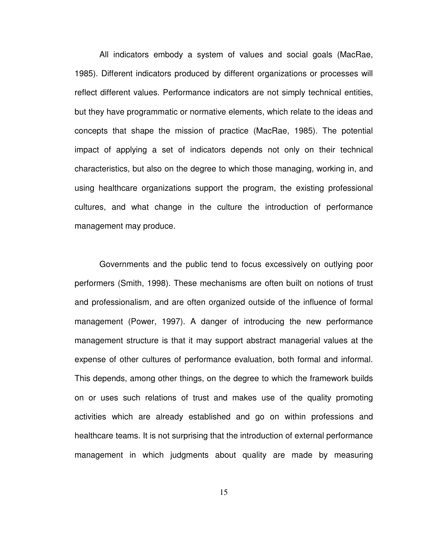All indicators embody a system of values and social goals (MacRae, 1985). Different indicators produced by different organizations or processes will reflect different values. Performance indicators are not simply technical entities, but they have programmatic or normative elements, which relate to the ideas and concepts that shape the mission of practice (MacRae, 1985). The potential impact of applying a set of indicators depends not only on their technical characteristics, but also on the degree to which those managing, working in, and using healthcare organizations support the program, the existing professional cultures, and what change in the culture the introduction of performance management may produce.

Governments and the public tend to focus excessively on outlying poor performers (Smith, 1998). These mechanisms are often built on notions of trust and professionalism, and are often organized outside of the influence of formal management (Power, 1997). A danger of introducing the new performance management structure is that it may support abstract managerial values at the expense of other cultures of performance evaluation, both formal and informal. This depends, among other things, on the degree to which the framework builds on or uses such relations of trust and makes use of the quality promoting activities which are already established and go on within professions and healthcare teams. It is not surprising that the introduction of external performance management in which judgments about quality are made by measuring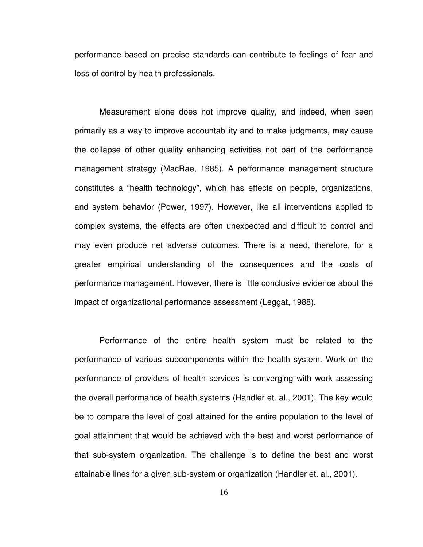performance based on precise standards can contribute to feelings of fear and loss of control by health professionals.

Measurement alone does not improve quality, and indeed, when seen primarily as a way to improve accountability and to make judgments, may cause the collapse of other quality enhancing activities not part of the performance management strategy (MacRae, 1985). A performance management structure constitutes a "health technology", which has effects on people, organizations, and system behavior (Power, 1997). However, like all interventions applied to complex systems, the effects are often unexpected and difficult to control and may even produce net adverse outcomes. There is a need, therefore, for a greater empirical understanding of the consequences and the costs of performance management. However, there is little conclusive evidence about the impact of organizational performance assessment (Leggat, 1988).

Performance of the entire health system must be related to the performance of various subcomponents within the health system. Work on the performance of providers of health services is converging with work assessing the overall performance of health systems (Handler et. al., 2001). The key would be to compare the level of goal attained for the entire population to the level of goal attainment that would be achieved with the best and worst performance of that sub-system organization. The challenge is to define the best and worst attainable lines for a given sub-system or organization (Handler et. al., 2001).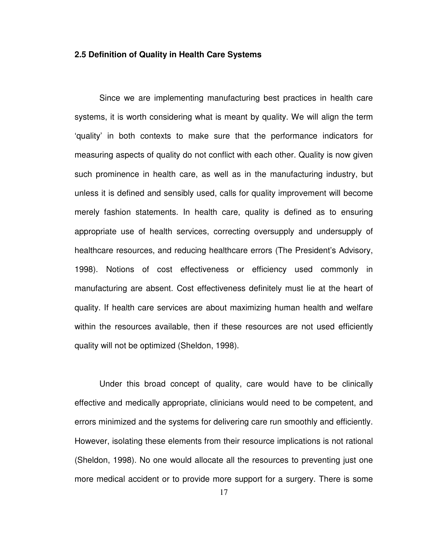#### **2.5 Definition of Quality in Health Care Systems**

Since we are implementing manufacturing best practices in health care systems, it is worth considering what is meant by quality. We will align the term 'quality' in both contexts to make sure that the performance indicators for measuring aspects of quality do not conflict with each other. Quality is now given such prominence in health care, as well as in the manufacturing industry, but unless it is defined and sensibly used, calls for quality improvement will become merely fashion statements. In health care, quality is defined as to ensuring appropriate use of health services, correcting oversupply and undersupply of healthcare resources, and reducing healthcare errors (The President's Advisory, 1998). Notions of cost effectiveness or efficiency used commonly in manufacturing are absent. Cost effectiveness definitely must lie at the heart of quality. If health care services are about maximizing human health and welfare within the resources available, then if these resources are not used efficiently quality will not be optimized (Sheldon, 1998).

Under this broad concept of quality, care would have to be clinically effective and medically appropriate, clinicians would need to be competent, and errors minimized and the systems for delivering care run smoothly and efficiently. However, isolating these elements from their resource implications is not rational (Sheldon, 1998). No one would allocate all the resources to preventing just one more medical accident or to provide more support for a surgery. There is some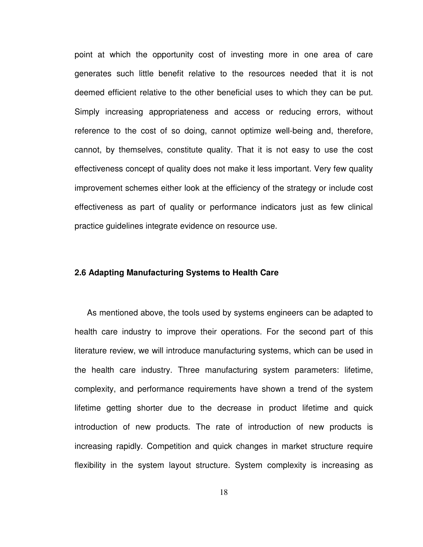point at which the opportunity cost of investing more in one area of care generates such little benefit relative to the resources needed that it is not deemed efficient relative to the other beneficial uses to which they can be put. Simply increasing appropriateness and access or reducing errors, without reference to the cost of so doing, cannot optimize well-being and, therefore, cannot, by themselves, constitute quality. That it is not easy to use the cost effectiveness concept of quality does not make it less important. Very few quality improvement schemes either look at the efficiency of the strategy or include cost effectiveness as part of quality or performance indicators just as few clinical practice guidelines integrate evidence on resource use.

#### **2.6 Adapting Manufacturing Systems to Health Care**

As mentioned above, the tools used by systems engineers can be adapted to health care industry to improve their operations. For the second part of this literature review, we will introduce manufacturing systems, which can be used in the health care industry. Three manufacturing system parameters: lifetime, complexity, and performance requirements have shown a trend of the system lifetime getting shorter due to the decrease in product lifetime and quick introduction of new products. The rate of introduction of new products is increasing rapidly. Competition and quick changes in market structure require flexibility in the system layout structure. System complexity is increasing as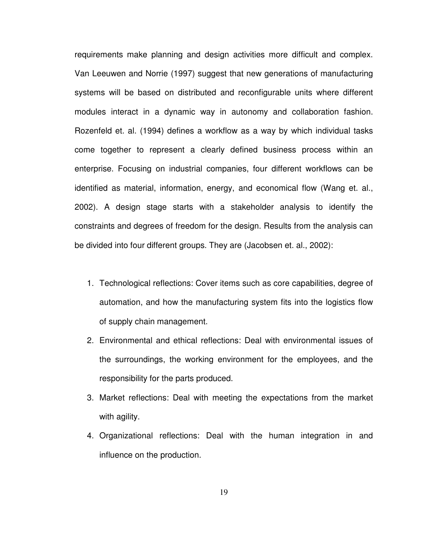requirements make planning and design activities more difficult and complex. Van Leeuwen and Norrie (1997) suggest that new generations of manufacturing systems will be based on distributed and reconfigurable units where different modules interact in a dynamic way in autonomy and collaboration fashion. Rozenfeld et. al. (1994) defines a workflow as a way by which individual tasks come together to represent a clearly defined business process within an enterprise. Focusing on industrial companies, four different workflows can be identified as material, information, energy, and economical flow (Wang et. al., 2002). A design stage starts with a stakeholder analysis to identify the constraints and degrees of freedom for the design. Results from the analysis can be divided into four different groups. They are (Jacobsen et. al., 2002):

- 1. Technological reflections: Cover items such as core capabilities, degree of automation, and how the manufacturing system fits into the logistics flow of supply chain management.
- 2. Environmental and ethical reflections: Deal with environmental issues of the surroundings, the working environment for the employees, and the responsibility for the parts produced.
- 3. Market reflections: Deal with meeting the expectations from the market with agility.
- 4. Organizational reflections: Deal with the human integration in and influence on the production.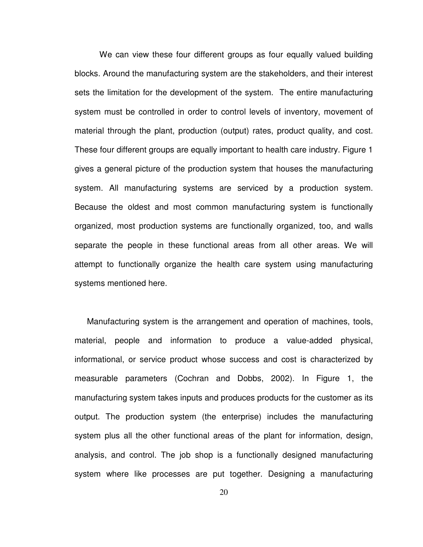We can view these four different groups as four equally valued building blocks. Around the manufacturing system are the stakeholders, and their interest sets the limitation for the development of the system. The entire manufacturing system must be controlled in order to control levels of inventory, movement of material through the plant, production (output) rates, product quality, and cost. These four different groups are equally important to health care industry. Figure 1 gives a general picture of the production system that houses the manufacturing system. All manufacturing systems are serviced by a production system. Because the oldest and most common manufacturing system is functionally organized, most production systems are functionally organized, too, and walls separate the people in these functional areas from all other areas. We will attempt to functionally organize the health care system using manufacturing systems mentioned here.

Manufacturing system is the arrangement and operation of machines, tools, material, people and information to produce a value-added physical, informational, or service product whose success and cost is characterized by measurable parameters (Cochran and Dobbs, 2002). In Figure 1, the manufacturing system takes inputs and produces products for the customer as its output. The production system (the enterprise) includes the manufacturing system plus all the other functional areas of the plant for information, design, analysis, and control. The job shop is a functionally designed manufacturing system where like processes are put together. Designing a manufacturing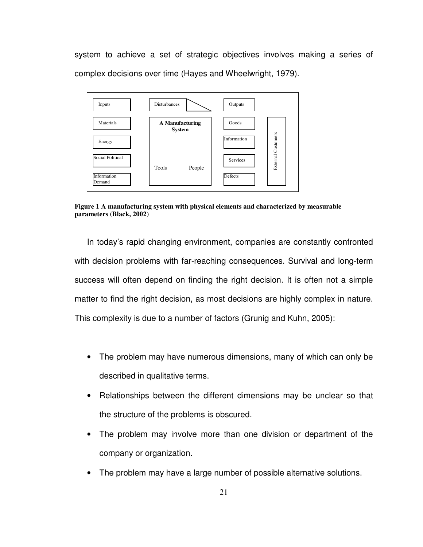system to achieve a set of strategic objectives involves making a series of complex decisions over time (Hayes and Wheelwright, 1979).



**Figure 1 A manufacturing system with physical elements and characterized by measurable parameters (Black, 2002)**

In today's rapid changing environment, companies are constantly confronted with decision problems with far-reaching consequences. Survival and long-term success will often depend on finding the right decision. It is often not a simple matter to find the right decision, as most decisions are highly complex in nature. This complexity is due to a number of factors (Grunig and Kuhn, 2005):

- The problem may have numerous dimensions, many of which can only be described in qualitative terms.
- Relationships between the different dimensions may be unclear so that the structure of the problems is obscured.
- The problem may involve more than one division or department of the company or organization.
- The problem may have a large number of possible alternative solutions.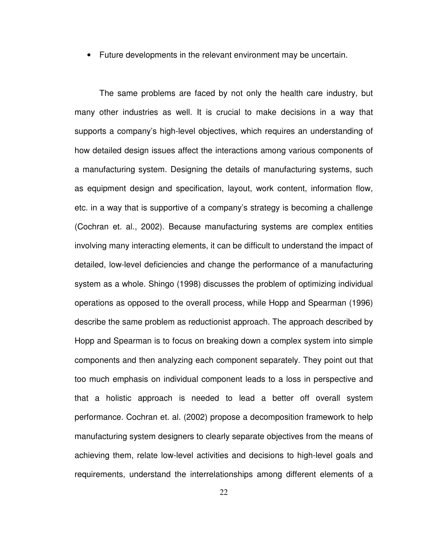• Future developments in the relevant environment may be uncertain.

The same problems are faced by not only the health care industry, but many other industries as well. It is crucial to make decisions in a way that supports a company's high-level objectives, which requires an understanding of how detailed design issues affect the interactions among various components of a manufacturing system. Designing the details of manufacturing systems, such as equipment design and specification, layout, work content, information flow, etc. in a way that is supportive of a company's strategy is becoming a challenge (Cochran et. al., 2002). Because manufacturing systems are complex entities involving many interacting elements, it can be difficult to understand the impact of detailed, low-level deficiencies and change the performance of a manufacturing system as a whole. Shingo (1998) discusses the problem of optimizing individual operations as opposed to the overall process, while Hopp and Spearman (1996) describe the same problem as reductionist approach. The approach described by Hopp and Spearman is to focus on breaking down a complex system into simple components and then analyzing each component separately. They point out that too much emphasis on individual component leads to a loss in perspective and that a holistic approach is needed to lead a better off overall system performance. Cochran et. al. (2002) propose a decomposition framework to help manufacturing system designers to clearly separate objectives from the means of achieving them, relate low-level activities and decisions to high-level goals and requirements, understand the interrelationships among different elements of a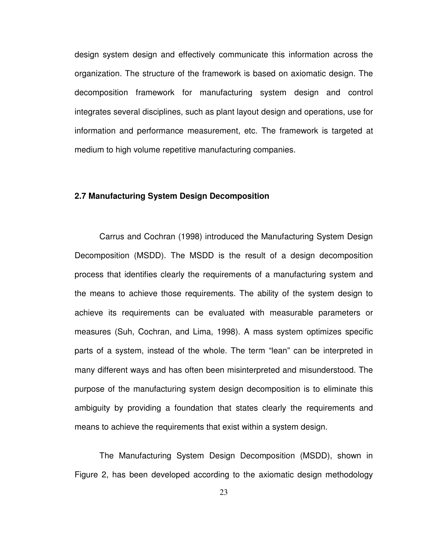design system design and effectively communicate this information across the organization. The structure of the framework is based on axiomatic design. The decomposition framework for manufacturing system design and control integrates several disciplines, such as plant layout design and operations, use for information and performance measurement, etc. The framework is targeted at medium to high volume repetitive manufacturing companies.

#### **2.7 Manufacturing System Design Decomposition**

Carrus and Cochran (1998) introduced the Manufacturing System Design Decomposition (MSDD). The MSDD is the result of a design decomposition process that identifies clearly the requirements of a manufacturing system and the means to achieve those requirements. The ability of the system design to achieve its requirements can be evaluated with measurable parameters or measures (Suh, Cochran, and Lima, 1998). A mass system optimizes specific parts of a system, instead of the whole. The term "lean" can be interpreted in many different ways and has often been misinterpreted and misunderstood. The purpose of the manufacturing system design decomposition is to eliminate this ambiguity by providing a foundation that states clearly the requirements and means to achieve the requirements that exist within a system design.

The Manufacturing System Design Decomposition (MSDD), shown in Figure 2, has been developed according to the axiomatic design methodology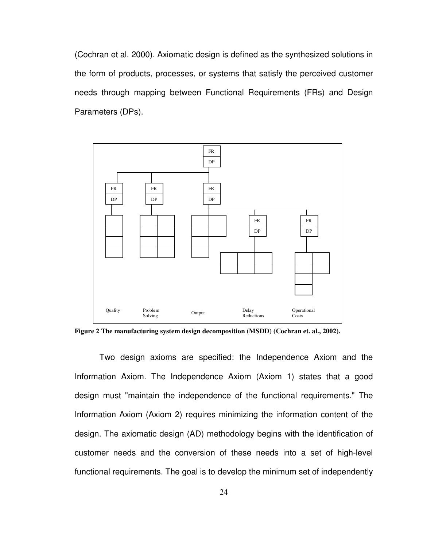(Cochran et al. 2000). Axiomatic design is defined as the synthesized solutions in the form of products, processes, or systems that satisfy the perceived customer needs through mapping between Functional Requirements (FRs) and Design Parameters (DPs).



**Figure 2 The manufacturing system design decomposition (MSDD) (Cochran et. al., 2002).** 

Two design axioms are specified: the Independence Axiom and the Information Axiom. The Independence Axiom (Axiom 1) states that a good design must "maintain the independence of the functional requirements." The Information Axiom (Axiom 2) requires minimizing the information content of the design. The axiomatic design (AD) methodology begins with the identification of customer needs and the conversion of these needs into a set of high-level functional requirements. The goal is to develop the minimum set of independently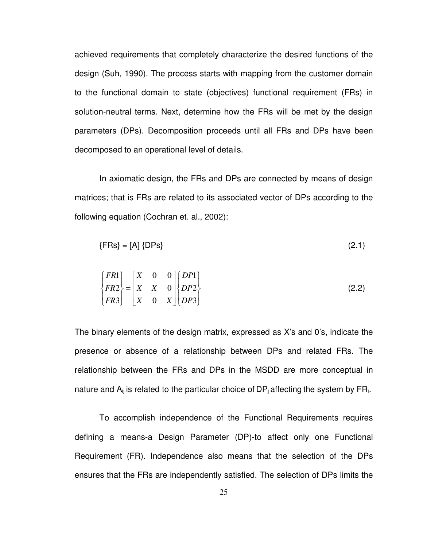achieved requirements that completely characterize the desired functions of the design (Suh, 1990). The process starts with mapping from the customer domain to the functional domain to state (objectives) functional requirement (FRs) in solution-neutral terms. Next, determine how the FRs will be met by the design parameters (DPs). Decomposition proceeds until all FRs and DPs have been decomposed to an operational level of details.

In axiomatic design, the FRs and DPs are connected by means of design matrices; that is FRs are related to its associated vector of DPs according to the following equation (Cochran et. al., 2002):

$$
\{FRs\} = [A] \{DPs\} \tag{2.1}
$$

$$
\begin{Bmatrix} FR1 \\ FR2 \\ FR3 \end{Bmatrix} = \begin{bmatrix} X & 0 & 0 \\ X & X & 0 \\ X & 0 & X \end{bmatrix} \begin{bmatrix} DP1 \\ DP2 \\ DP3 \end{bmatrix}
$$
 (2.2)

The binary elements of the design matrix, expressed as X's and 0's, indicate the presence or absence of a relationship between DPs and related FRs. The relationship between the FRs and DPs in the MSDD are more conceptual in nature and  $A_{ij}$  is related to the particular choice of DP<sub>i</sub> affecting the system by FR<sub>i</sub>.

To accomplish independence of the Functional Requirements requires defining a means-a Design Parameter (DP)-to affect only one Functional Requirement (FR). Independence also means that the selection of the DPs ensures that the FRs are independently satisfied. The selection of DPs limits the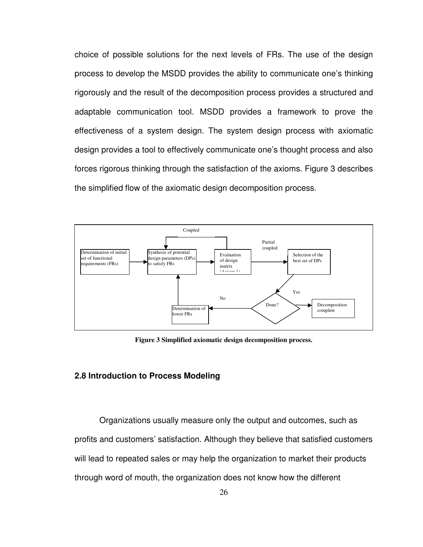choice of possible solutions for the next levels of FRs. The use of the design process to develop the MSDD provides the ability to communicate one's thinking rigorously and the result of the decomposition process provides a structured and adaptable communication tool. MSDD provides a framework to prove the effectiveness of a system design. The system design process with axiomatic design provides a tool to effectively communicate one's thought process and also forces rigorous thinking through the satisfaction of the axioms. Figure 3 describes the simplified flow of the axiomatic design decomposition process.



**Figure 3 Simplified axiomatic design decomposition process.** 

### **2.8 Introduction to Process Modeling**

Organizations usually measure only the output and outcomes, such as profits and customers' satisfaction. Although they believe that satisfied customers will lead to repeated sales or may help the organization to market their products through word of mouth, the organization does not know how the different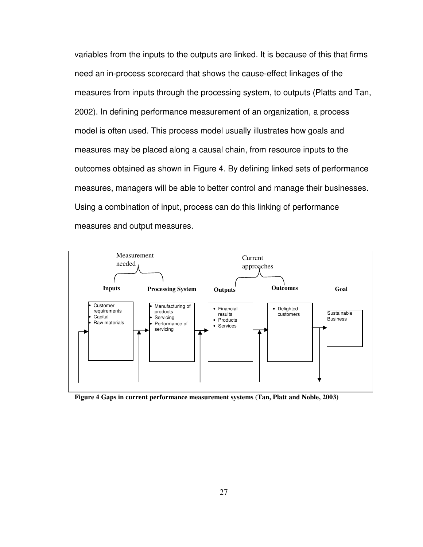variables from the inputs to the outputs are linked. It is because of this that firms need an in-process scorecard that shows the cause-effect linkages of the measures from inputs through the processing system, to outputs (Platts and Tan, 2002). In defining performance measurement of an organization, a process model is often used. This process model usually illustrates how goals and measures may be placed along a causal chain, from resource inputs to the outcomes obtained as shown in Figure 4. By defining linked sets of performance measures, managers will be able to better control and manage their businesses. Using a combination of input, process can do this linking of performance measures and output measures.



**Figure 4 Gaps in current performance measurement systems (Tan, Platt and Noble, 2003)**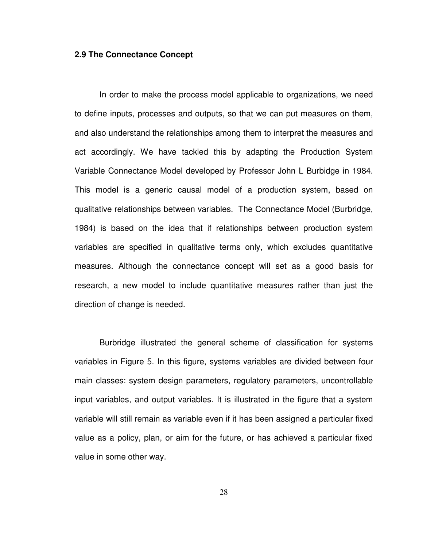#### **2.9 The Connectance Concept**

In order to make the process model applicable to organizations, we need to define inputs, processes and outputs, so that we can put measures on them, and also understand the relationships among them to interpret the measures and act accordingly. We have tackled this by adapting the Production System Variable Connectance Model developed by Professor John L Burbidge in 1984. This model is a generic causal model of a production system, based on qualitative relationships between variables. The Connectance Model (Burbridge, 1984) is based on the idea that if relationships between production system variables are specified in qualitative terms only, which excludes quantitative measures. Although the connectance concept will set as a good basis for research, a new model to include quantitative measures rather than just the direction of change is needed.

Burbridge illustrated the general scheme of classification for systems variables in Figure 5. In this figure, systems variables are divided between four main classes: system design parameters, regulatory parameters, uncontrollable input variables, and output variables. It is illustrated in the figure that a system variable will still remain as variable even if it has been assigned a particular fixed value as a policy, plan, or aim for the future, or has achieved a particular fixed value in some other way.

28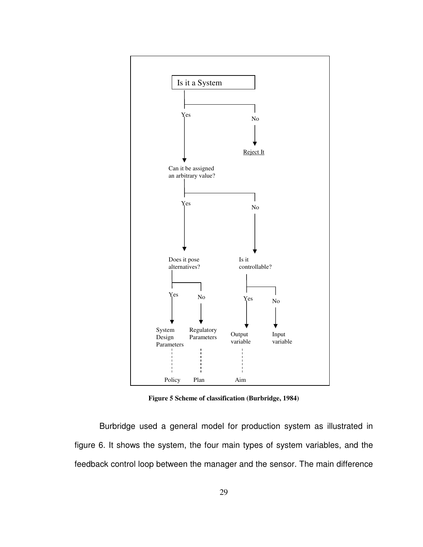

**Figure 5 Scheme of classification (Burbridge, 1984)**

Burbridge used a general model for production system as illustrated in figure 6. It shows the system, the four main types of system variables, and the feedback control loop between the manager and the sensor. The main difference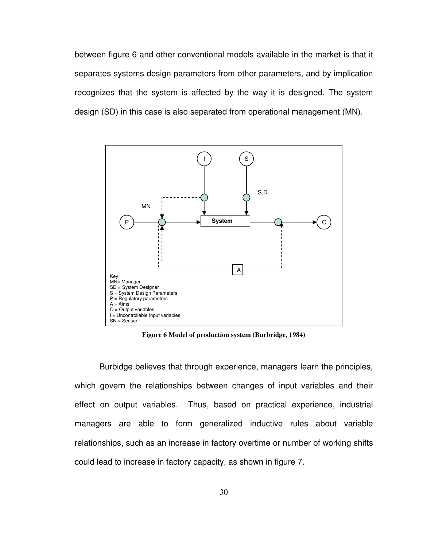between figure 6 and other conventional models available in the market is that it separates systems design parameters from other parameters, and by implication recognizes that the system is affected by the way it is designed. The system design (SD) in this case is also separated from operational management (MN).



**Figure 6 Model of production system (Burbridge, 1984)**

Burbidge believes that through experience, managers learn the principles, which govern the relationships between changes of input variables and their effect on output variables. Thus, based on practical experience, industrial managers are able to form generalized inductive rules about variable relationships, such as an increase in factory overtime or number of working shifts could lead to increase in factory capacity, as shown in figure 7.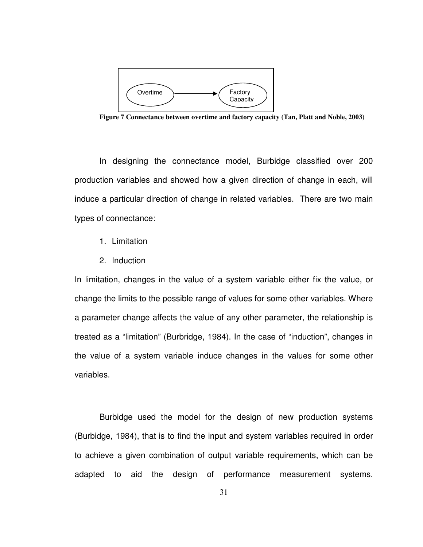

**Figure 7 Connectance between overtime and factory capacity (Tan, Platt and Noble, 2003)** 

In designing the connectance model, Burbidge classified over 200 production variables and showed how a given direction of change in each, will induce a particular direction of change in related variables. There are two main types of connectance:

- 1. Limitation
- 2. Induction

In limitation, changes in the value of a system variable either fix the value, or change the limits to the possible range of values for some other variables. Where a parameter change affects the value of any other parameter, the relationship is treated as a "limitation" (Burbridge, 1984). In the case of "induction", changes in the value of a system variable induce changes in the values for some other variables.

Burbidge used the model for the design of new production systems (Burbidge, 1984), that is to find the input and system variables required in order to achieve a given combination of output variable requirements, which can be adapted to aid the design of performance measurement systems.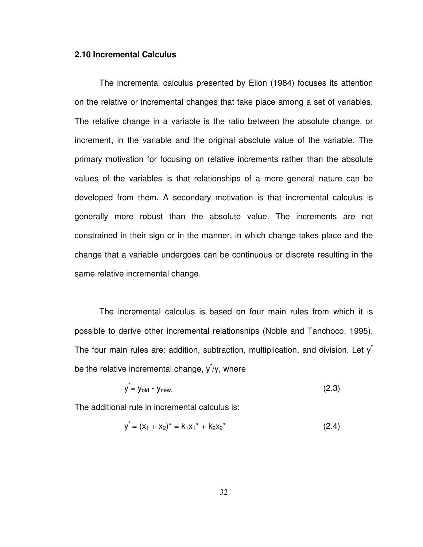## **2.10 Incremental Calculus**

The incremental calculus presented by Eilon (1984) focuses its attention on the relative or incremental changes that take place among a set of variables. The relative change in a variable is the ratio between the absolute change, or increment, in the variable and the original absolute value of the variable. The primary motivation for focusing on relative increments rather than the absolute values of the variables is that relationships of a more general nature can be developed from them. A secondary motivation is that incremental calculus is generally more robust than the absolute value. The increments are not constrained in their sign or in the manner, in which change takes place and the change that a variable undergoes can be continuous or discrete resulting in the same relative incremental change.

The incremental calculus is based on four main rules from which it is possible to derive other incremental relationships (Noble and Tanchoco, 1995). The four main rules are: addition, subtraction, multiplication, and division. Let  $y^*$ be the relative incremental change,  $y^{\dagger}/y$ , where

$$
y = y_{old} - y_{new} \tag{2.3}
$$

The additional rule in incremental calculus is:

$$
y^* = (x_1 + x_2)^* = k_1 x_1^* + k_2 x_2^* \tag{2.4}
$$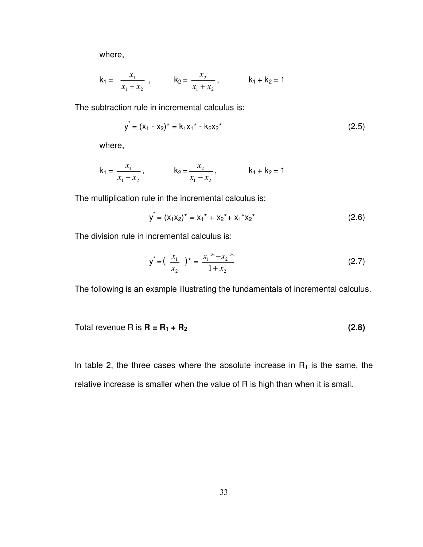where,

$$
k_1 = \frac{x_1}{x_1 + x_2}
$$
,  $k_2 = \frac{x_2}{x_1 + x_2}$ ,  $k_1 + k_2 = 1$ 

The subtraction rule in incremental calculus is:

$$
y^* = (x_1 - x_2)^* = k_1 x_1^* - k_2 x_2^* \tag{2.5}
$$

where,

$$
k_1 = \frac{x_1}{x_1 - x_2}
$$
,  $k_2 = \frac{x_2}{x_1 - x_2}$ ,  $k_1 + k_2 = 1$ 

The multiplication rule in the incremental calculus is:

$$
y^* = (x_1x_2)^* = x_1^* + x_2^* + x_1^*x_2^*
$$
 (2.6)

The division rule in incremental calculus is:

$$
y^* = \left(\begin{array}{c} x_1 \\ x_2 \end{array}\right)^* = \frac{x_1^* - x_2^*}{1 + x_2}
$$
 (2.7)

The following is an example illustrating the fundamentals of incremental calculus.

Total revenue R is 
$$
R = R_1 + R_2
$$
 (2.8)

In table 2, the three cases where the absolute increase in  $R_1$  is the same, the relative increase is smaller when the value of R is high than when it is small.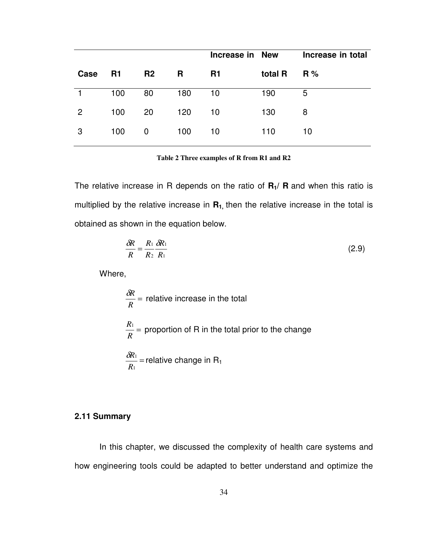|      |     |                |     | Increase in New |         | Increase in total |
|------|-----|----------------|-----|-----------------|---------|-------------------|
| Case | R1  | R <sub>2</sub> | R   | <b>R1</b>       | total R | R%                |
|      | 100 | 80             | 180 | 10              | 190     | 5                 |
| 2    | 100 | 20             | 120 | 10              | 130     | 8                 |
| 3    | 100 | $\mathbf 0$    | 100 | 10              | 110     | 10                |

**Table 2 Three examples of R from R1 and R2** 

The relative increase in R depends on the ratio of **R1/ R** and when this ratio is multiplied by the relative increase in **R1,** then the relative increase in the total is obtained as shown in the equation below.

$$
\frac{\delta R}{R} = \frac{R_1}{R_2} \frac{\delta R_1}{R_1} \tag{2.9}
$$

Where,

$$
\frac{\delta R}{R}
$$
 = relative increase in the total  

$$
\frac{R_1}{R}
$$
 = proportion of R in the total prior to the change  

$$
\frac{\delta R_1}{R_1}
$$
 = relative change in R<sub>1</sub>

## **2.11 Summary**

In this chapter, we discussed the complexity of health care systems and how engineering tools could be adapted to better understand and optimize the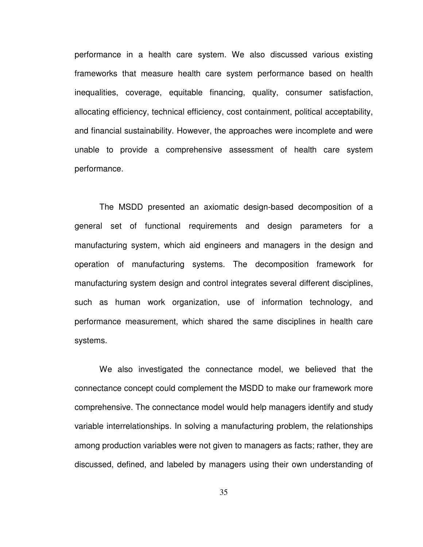performance in a health care system. We also discussed various existing frameworks that measure health care system performance based on health inequalities, coverage, equitable financing, quality, consumer satisfaction, allocating efficiency, technical efficiency, cost containment, political acceptability, and financial sustainability. However, the approaches were incomplete and were unable to provide a comprehensive assessment of health care system performance.

The MSDD presented an axiomatic design-based decomposition of a general set of functional requirements and design parameters for a manufacturing system, which aid engineers and managers in the design and operation of manufacturing systems. The decomposition framework for manufacturing system design and control integrates several different disciplines, such as human work organization, use of information technology, and performance measurement, which shared the same disciplines in health care systems.

We also investigated the connectance model, we believed that the connectance concept could complement the MSDD to make our framework more comprehensive. The connectance model would help managers identify and study variable interrelationships. In solving a manufacturing problem, the relationships among production variables were not given to managers as facts; rather, they are discussed, defined, and labeled by managers using their own understanding of

35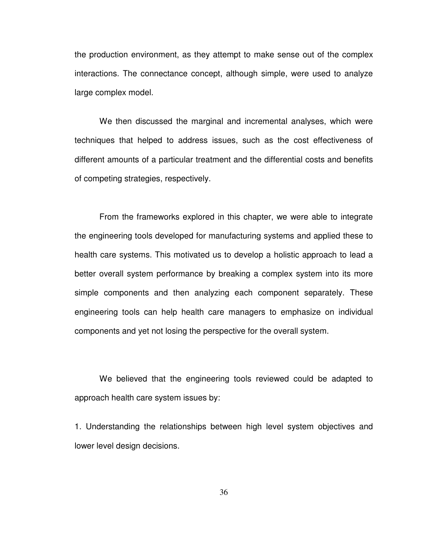the production environment, as they attempt to make sense out of the complex interactions. The connectance concept, although simple, were used to analyze large complex model.

We then discussed the marginal and incremental analyses, which were techniques that helped to address issues, such as the cost effectiveness of different amounts of a particular treatment and the differential costs and benefits of competing strategies, respectively.

From the frameworks explored in this chapter, we were able to integrate the engineering tools developed for manufacturing systems and applied these to health care systems. This motivated us to develop a holistic approach to lead a better overall system performance by breaking a complex system into its more simple components and then analyzing each component separately. These engineering tools can help health care managers to emphasize on individual components and yet not losing the perspective for the overall system.

We believed that the engineering tools reviewed could be adapted to approach health care system issues by:

1. Understanding the relationships between high level system objectives and lower level design decisions.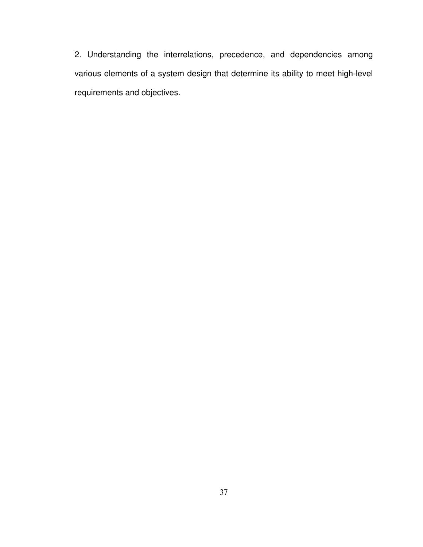2. Understanding the interrelations, precedence, and dependencies among various elements of a system design that determine its ability to meet high-level requirements and objectives.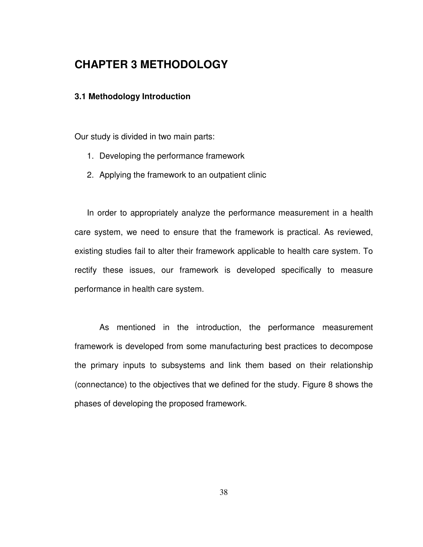# **CHAPTER 3 METHODOLOGY**

## **3.1 Methodology Introduction**

Our study is divided in two main parts:

- 1. Developing the performance framework
- 2. Applying the framework to an outpatient clinic

In order to appropriately analyze the performance measurement in a health care system, we need to ensure that the framework is practical. As reviewed, existing studies fail to alter their framework applicable to health care system. To rectify these issues, our framework is developed specifically to measure performance in health care system.

As mentioned in the introduction, the performance measurement framework is developed from some manufacturing best practices to decompose the primary inputs to subsystems and link them based on their relationship (connectance) to the objectives that we defined for the study. Figure 8 shows the phases of developing the proposed framework.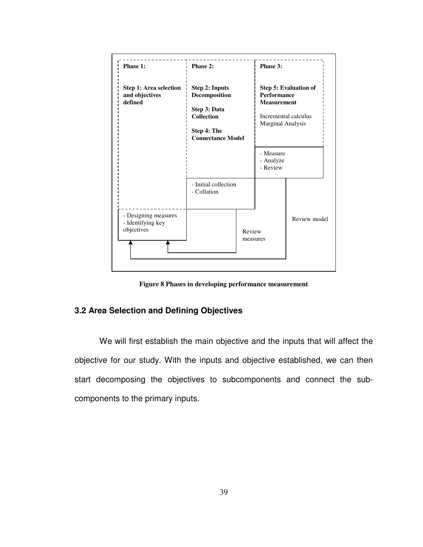

**Figure 8 Phases in developing performance measurement** 

## **3.2 Area Selection and Defining Objectives**

We will first establish the main objective and the inputs that will affect the objective for our study. With the inputs and objective established, we can then start decomposing the objectives to subcomponents and connect the subcomponents to the primary inputs.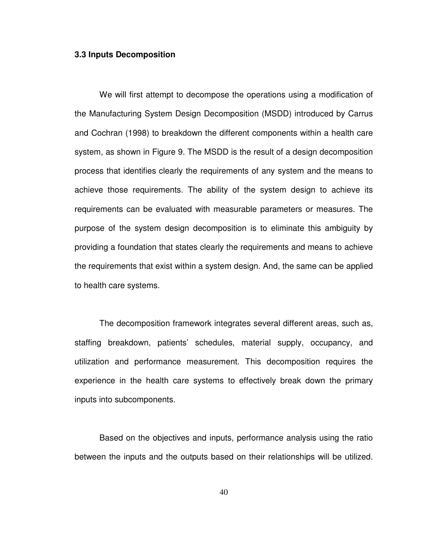#### **3.3 Inputs Decomposition**

We will first attempt to decompose the operations using a modification of the Manufacturing System Design Decomposition (MSDD) introduced by Carrus and Cochran (1998) to breakdown the different components within a health care system, as shown in Figure 9. The MSDD is the result of a design decomposition process that identifies clearly the requirements of any system and the means to achieve those requirements. The ability of the system design to achieve its requirements can be evaluated with measurable parameters or measures. The purpose of the system design decomposition is to eliminate this ambiguity by providing a foundation that states clearly the requirements and means to achieve the requirements that exist within a system design. And, the same can be applied to health care systems.

The decomposition framework integrates several different areas, such as, staffing breakdown, patients' schedules, material supply, occupancy, and utilization and performance measurement. This decomposition requires the experience in the health care systems to effectively break down the primary inputs into subcomponents.

Based on the objectives and inputs, performance analysis using the ratio between the inputs and the outputs based on their relationships will be utilized.

40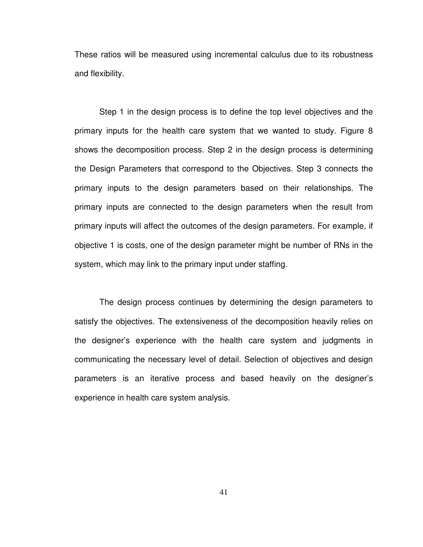These ratios will be measured using incremental calculus due to its robustness and flexibility.

Step 1 in the design process is to define the top level objectives and the primary inputs for the health care system that we wanted to study. Figure 8 shows the decomposition process. Step 2 in the design process is determining the Design Parameters that correspond to the Objectives. Step 3 connects the primary inputs to the design parameters based on their relationships. The primary inputs are connected to the design parameters when the result from primary inputs will affect the outcomes of the design parameters. For example, if objective 1 is costs, one of the design parameter might be number of RNs in the system, which may link to the primary input under staffing.

The design process continues by determining the design parameters to satisfy the objectives. The extensiveness of the decomposition heavily relies on the designer's experience with the health care system and judgments in communicating the necessary level of detail. Selection of objectives and design parameters is an iterative process and based heavily on the designer's experience in health care system analysis.

41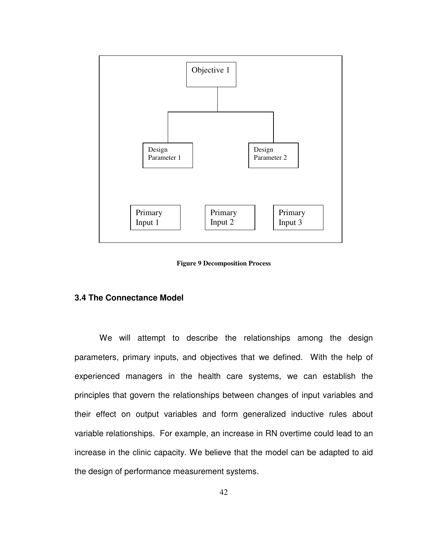

**Figure 9 Decomposition Process** 

### **3.4 The Connectance Model**

We will attempt to describe the relationships among the design parameters, primary inputs, and objectives that we defined. With the help of experienced managers in the health care systems, we can establish the principles that govern the relationships between changes of input variables and their effect on output variables and form generalized inductive rules about variable relationships. For example, an increase in RN overtime could lead to an increase in the clinic capacity. We believe that the model can be adapted to aid the design of performance measurement systems.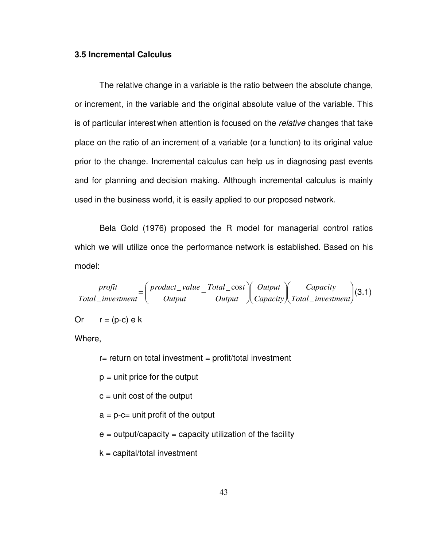## **3.5 Incremental Calculus**

The relative change in a variable is the ratio between the absolute change, or increment, in the variable and the original absolute value of the variable. This is of particular interest when attention is focused on the relative changes that take place on the ratio of an increment of a variable (or a function) to its original value prior to the change. Incremental calculus can help us in diagnosing past events and for planning and decision making. Although incremental calculus is mainly used in the business world, it is easily applied to our proposed network.

Bela Gold (1976) proposed the R model for managerial control ratios which we will utilize once the performance network is established. Based on his model:

 $\overline{\phantom{a}}$ J  $\backslash$  $\overline{\phantom{a}}$ l ſ  $\overline{\phantom{a}}$ J  $\backslash$  $\overline{\phantom{a}}$ l ſ  $\overline{\phantom{a}}$ J  $\backslash$  $\overline{\phantom{a}}$ l ſ  $=$   $\frac{P^{\prime\prime\prime\prime\prime\prime\prime\prime}}{P^{\prime\prime}}$  – *Total investment Capacity Capacity Output Output*  $Total\_cost$ *Output product value Total investment profit* \_  $_$ value  $Total_$ cos \_ (3.1)

Or 
$$
r = (p-c) e k
$$

Where,

- $r=$  return on total investment = profit/total investment
- $p =$  unit price for the output
- $c =$  unit cost of the output
- $a = p c =$  unit profit of the output
- $e =$  output/capacity = capacity utilization of the facility
- $k =$  capital/total investment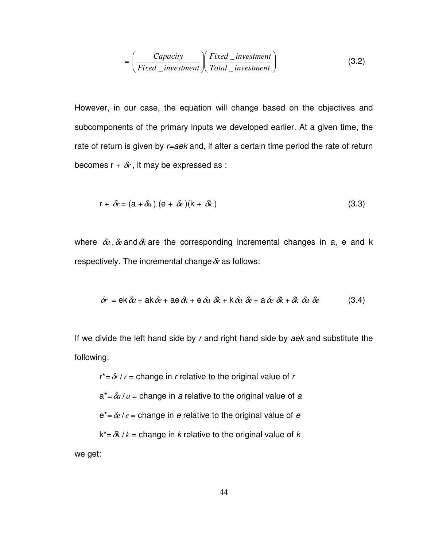$$
= \left(\frac{Capacity}{Fixed\_investment}\right) \left(\frac{Fixed\_investment}{Total\_investment}\right)
$$
 (3.2)

However, in our case, the equation will change based on the objectives and subcomponents of the primary inputs we developed earlier. At a given time, the rate of return is given by  $r = a e k$  and, if after a certain time period the rate of return becomes  $r + \delta r$ , it may be expressed as :

$$
r + \delta r = (a + \delta a) (e + \delta e)(k + \delta k)
$$
\n(3.3)

where  $\delta a$ ,  $\delta e$  and  $\delta k$  are the corresponding incremental changes in a, e and k respectively. The incremental change  $\delta r$  as follows:

$$
\delta r = ek \,\delta a + ak \,\delta e + ae \,\delta k + e \,\delta a \,\delta k + k \,\delta a \,\delta e + a \,\delta e \,\delta k + \delta k \,\delta a \,\delta e \tag{3.4}
$$

If we divide the left hand side by  $r$  and right hand side by  $a e k$  and substitute the following:

 $r^* = \delta r / r$  = change in *r* relative to the original value of *r*  $a^* = \frac{\partial a}{a} = c$  hange in a relative to the original value of a  $e^* = \frac{\partial e}{e} =$  change in *e* relative to the original value of *e*  $k^* = \delta k / k =$  change in *k* relative to the original value of *k* we get: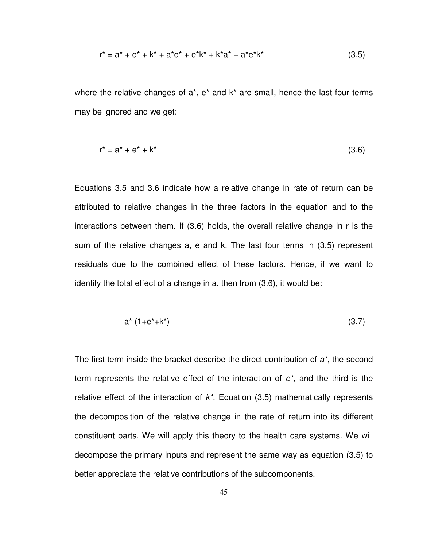$$
r^* = a^* + e^* + k^* + a^*e^* + e^*k^* + k^*a^* + a^*e^*k^* \qquad (3.5)
$$

where the relative changes of  $a^*$ ,  $e^*$  and  $k^*$  are small, hence the last four terms may be ignored and we get:

$$
r^* = a^* + e^* + k^* \tag{3.6}
$$

Equations 3.5 and 3.6 indicate how a relative change in rate of return can be attributed to relative changes in the three factors in the equation and to the interactions between them. If (3.6) holds, the overall relative change in r is the sum of the relative changes a, e and k. The last four terms in (3.5) represent residuals due to the combined effect of these factors. Hence, if we want to identify the total effect of a change in a, then from (3.6), it would be:

$$
a^* (1 + e^* + k^*) \tag{3.7}
$$

The first term inside the bracket describe the direct contribution of  $a^*$ , the second term represents the relative effect of the interaction of  $e^*$ , and the third is the relative effect of the interaction of  $k^*$ . Equation (3.5) mathematically represents the decomposition of the relative change in the rate of return into its different constituent parts. We will apply this theory to the health care systems. We will decompose the primary inputs and represent the same way as equation (3.5) to better appreciate the relative contributions of the subcomponents.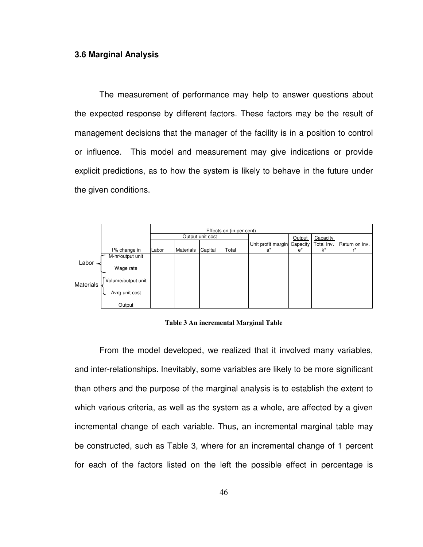#### **3.6 Marginal Analysis**

The measurement of performance may help to answer questions about the expected response by different factors. These factors may be the result of management decisions that the manager of the facility is in a position to control or influence. This model and measurement may give indications or provide explicit predictions, as to how the system is likely to behave in the future under the given conditions.

|                  |                    | Effects on (in per cent) |                  |         |       |                    |          |            |                |
|------------------|--------------------|--------------------------|------------------|---------|-------|--------------------|----------|------------|----------------|
|                  |                    | Output unit cost         |                  |         |       |                    | Output   | Capacity   |                |
|                  |                    |                          |                  |         |       | Unit profit margin | Capacity | Total Inv. | Return on inv. |
|                  | 1% change in       | Labor                    | <b>Materials</b> | Capital | Total | a*                 | $e^*$    | $k^*$      | r*             |
|                  | M-hr/output unit   |                          |                  |         |       |                    |          |            |                |
| Labor -          | Wage rate          |                          |                  |         |       |                    |          |            |                |
| <b>Materials</b> | Volume/output unit |                          |                  |         |       |                    |          |            |                |
|                  | Avrg unit cost     |                          |                  |         |       |                    |          |            |                |
|                  | Output             |                          |                  |         |       |                    |          |            |                |

**Table 3 An incremental Marginal Table** 

From the model developed, we realized that it involved many variables, and inter-relationships. Inevitably, some variables are likely to be more significant than others and the purpose of the marginal analysis is to establish the extent to which various criteria, as well as the system as a whole, are affected by a given incremental change of each variable. Thus, an incremental marginal table may be constructed, such as Table 3, where for an incremental change of 1 percent for each of the factors listed on the left the possible effect in percentage is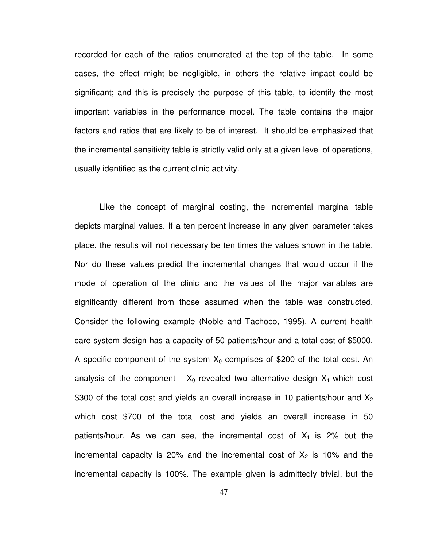recorded for each of the ratios enumerated at the top of the table. In some cases, the effect might be negligible, in others the relative impact could be significant; and this is precisely the purpose of this table, to identify the most important variables in the performance model. The table contains the major factors and ratios that are likely to be of interest. It should be emphasized that the incremental sensitivity table is strictly valid only at a given level of operations, usually identified as the current clinic activity.

Like the concept of marginal costing, the incremental marginal table depicts marginal values. If a ten percent increase in any given parameter takes place, the results will not necessary be ten times the values shown in the table. Nor do these values predict the incremental changes that would occur if the mode of operation of the clinic and the values of the major variables are significantly different from those assumed when the table was constructed. Consider the following example (Noble and Tachoco, 1995). A current health care system design has a capacity of 50 patients/hour and a total cost of \$5000. A specific component of the system  $X_0$  comprises of \$200 of the total cost. An analysis of the component  $X_0$  revealed two alternative design  $X_1$  which cost \$300 of the total cost and yields an overall increase in 10 patients/hour and  $X_2$ which cost \$700 of the total cost and yields an overall increase in 50 patients/hour. As we can see, the incremental cost of  $X_1$  is 2% but the incremental capacity is 20% and the incremental cost of  $X_2$  is 10% and the incremental capacity is 100%. The example given is admittedly trivial, but the

47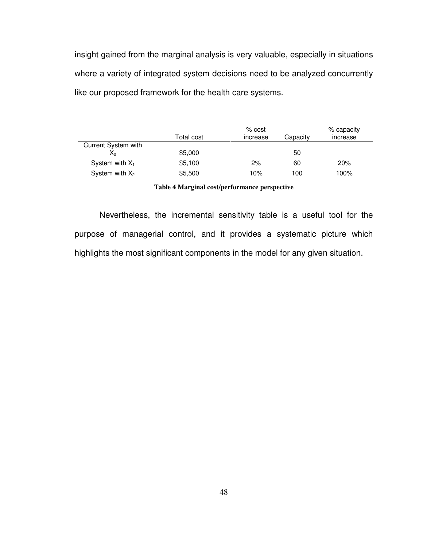insight gained from the marginal analysis is very valuable, especially in situations where a variety of integrated system decisions need to be analyzed concurrently like our proposed framework for the health care systems.

|                     | Total cost | % cost<br>increase | Capacity | % capacity<br>increase |
|---------------------|------------|--------------------|----------|------------------------|
| Current System with |            |                    |          |                        |
| X <sub>0</sub>      | \$5,000    |                    | 50       |                        |
| System with $X_1$   | \$5,100    | 2%                 | 60       | 20%                    |
| System with $X_2$   | \$5,500    | 10%                | 100      | 100%                   |

**Table 4 Marginal cost/performance perspective** 

Nevertheless, the incremental sensitivity table is a useful tool for the purpose of managerial control, and it provides a systematic picture which highlights the most significant components in the model for any given situation.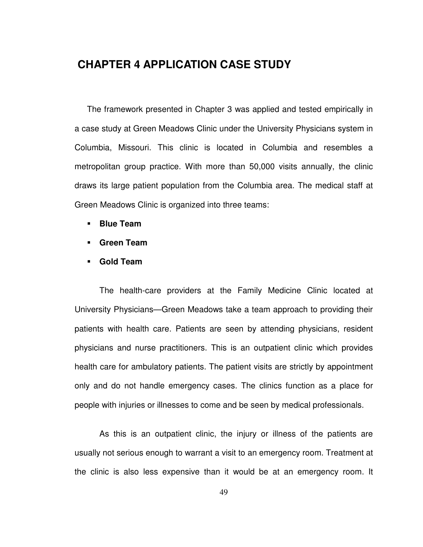# **CHAPTER 4 APPLICATION CASE STUDY**

The framework presented in Chapter 3 was applied and tested empirically in a case study at Green Meadows Clinic under the University Physicians system in Columbia, Missouri. This clinic is located in Columbia and resembles a metropolitan group practice. With more than 50,000 visits annually, the clinic draws its large patient population from the Columbia area. The medical staff at Green Meadows Clinic is organized into three teams:

- **Blue Team**
- **Green Team**
- **Gold Team**

The health-care providers at the Family Medicine Clinic located at University Physicians—Green Meadows take a team approach to providing their patients with health care. Patients are seen by attending physicians, resident physicians and nurse practitioners. This is an outpatient clinic which provides health care for ambulatory patients. The patient visits are strictly by appointment only and do not handle emergency cases. The clinics function as a place for people with injuries or illnesses to come and be seen by medical professionals.

As this is an outpatient clinic, the injury or illness of the patients are usually not serious enough to warrant a visit to an emergency room. Treatment at the clinic is also less expensive than it would be at an emergency room. It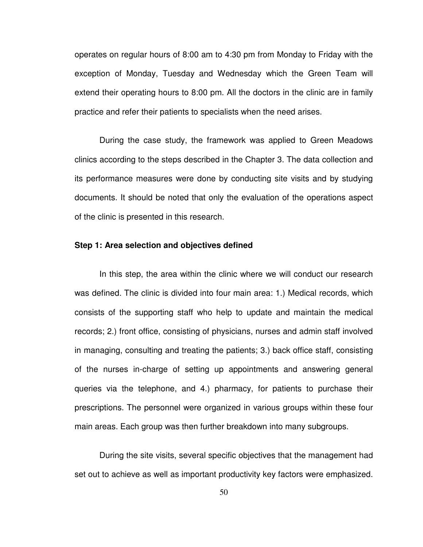operates on regular hours of 8:00 am to 4:30 pm from Monday to Friday with the exception of Monday, Tuesday and Wednesday which the Green Team will extend their operating hours to 8:00 pm. All the doctors in the clinic are in family practice and refer their patients to specialists when the need arises.

During the case study, the framework was applied to Green Meadows clinics according to the steps described in the Chapter 3. The data collection and its performance measures were done by conducting site visits and by studying documents. It should be noted that only the evaluation of the operations aspect of the clinic is presented in this research.

#### **Step 1: Area selection and objectives defined**

In this step, the area within the clinic where we will conduct our research was defined. The clinic is divided into four main area: 1.) Medical records, which consists of the supporting staff who help to update and maintain the medical records; 2.) front office, consisting of physicians, nurses and admin staff involved in managing, consulting and treating the patients; 3.) back office staff, consisting of the nurses in-charge of setting up appointments and answering general queries via the telephone, and 4.) pharmacy, for patients to purchase their prescriptions. The personnel were organized in various groups within these four main areas. Each group was then further breakdown into many subgroups.

During the site visits, several specific objectives that the management had set out to achieve as well as important productivity key factors were emphasized.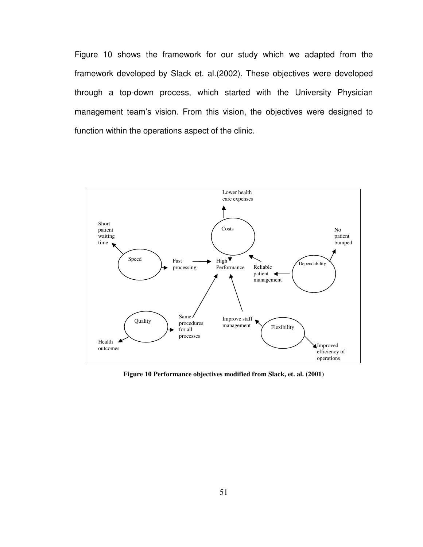Figure 10 shows the framework for our study which we adapted from the framework developed by Slack et. al.(2002). These objectives were developed through a top-down process, which started with the University Physician management team's vision. From this vision, the objectives were designed to function within the operations aspect of the clinic.



**Figure 10 Performance objectives modified from Slack, et. al. (2001)**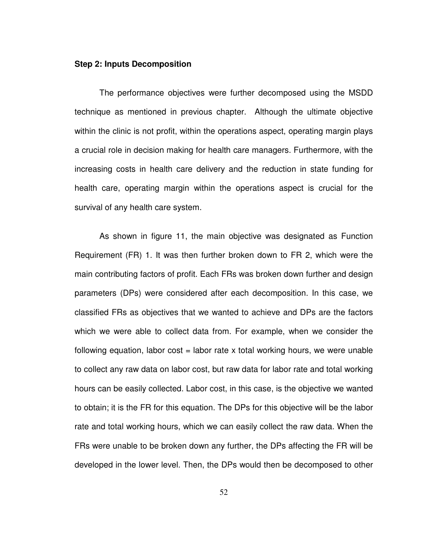#### **Step 2: Inputs Decomposition**

The performance objectives were further decomposed using the MSDD technique as mentioned in previous chapter. Although the ultimate objective within the clinic is not profit, within the operations aspect, operating margin plays a crucial role in decision making for health care managers. Furthermore, with the increasing costs in health care delivery and the reduction in state funding for health care, operating margin within the operations aspect is crucial for the survival of any health care system.

As shown in figure 11, the main objective was designated as Function Requirement (FR) 1. It was then further broken down to FR 2, which were the main contributing factors of profit. Each FRs was broken down further and design parameters (DPs) were considered after each decomposition. In this case, we classified FRs as objectives that we wanted to achieve and DPs are the factors which we were able to collect data from. For example, when we consider the following equation, labor cost  $=$  labor rate x total working hours, we were unable to collect any raw data on labor cost, but raw data for labor rate and total working hours can be easily collected. Labor cost, in this case, is the objective we wanted to obtain; it is the FR for this equation. The DPs for this objective will be the labor rate and total working hours, which we can easily collect the raw data. When the FRs were unable to be broken down any further, the DPs affecting the FR will be developed in the lower level. Then, the DPs would then be decomposed to other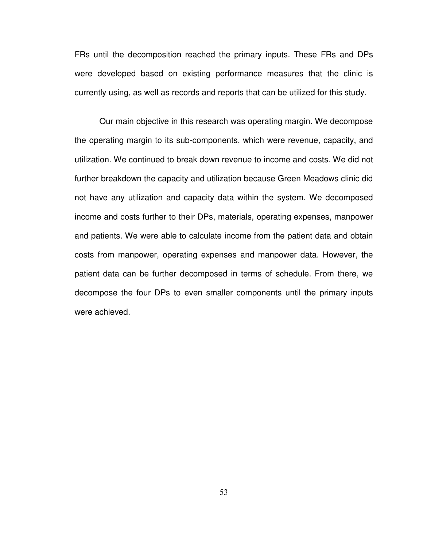FRs until the decomposition reached the primary inputs. These FRs and DPs were developed based on existing performance measures that the clinic is currently using, as well as records and reports that can be utilized for this study.

Our main objective in this research was operating margin. We decompose the operating margin to its sub-components, which were revenue, capacity, and utilization. We continued to break down revenue to income and costs. We did not further breakdown the capacity and utilization because Green Meadows clinic did not have any utilization and capacity data within the system. We decomposed income and costs further to their DPs, materials, operating expenses, manpower and patients. We were able to calculate income from the patient data and obtain costs from manpower, operating expenses and manpower data. However, the patient data can be further decomposed in terms of schedule. From there, we decompose the four DPs to even smaller components until the primary inputs were achieved.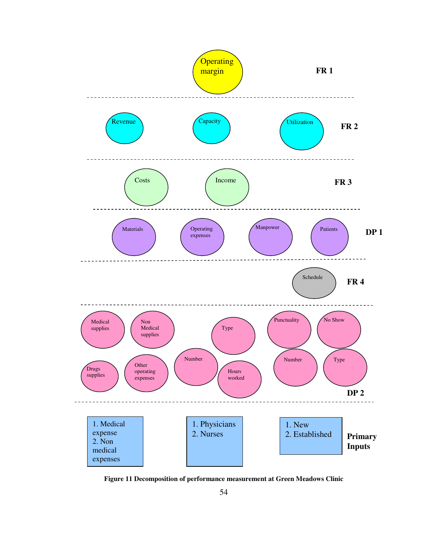

**Figure 11 Decomposition of performance measurement at Green Meadows Clinic**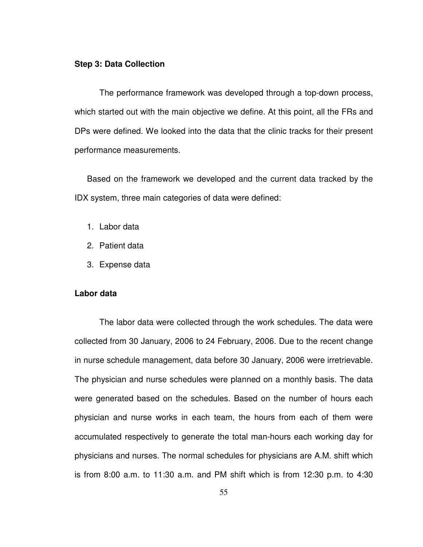#### **Step 3: Data Collection**

The performance framework was developed through a top-down process, which started out with the main objective we define. At this point, all the FRs and DPs were defined. We looked into the data that the clinic tracks for their present performance measurements.

Based on the framework we developed and the current data tracked by the IDX system, three main categories of data were defined:

- 1. Labor data
- 2. Patient data
- 3. Expense data

### **Labor data**

The labor data were collected through the work schedules. The data were collected from 30 January, 2006 to 24 February, 2006. Due to the recent change in nurse schedule management, data before 30 January, 2006 were irretrievable. The physician and nurse schedules were planned on a monthly basis. The data were generated based on the schedules. Based on the number of hours each physician and nurse works in each team, the hours from each of them were accumulated respectively to generate the total man-hours each working day for physicians and nurses. The normal schedules for physicians are A.M. shift which is from 8:00 a.m. to 11:30 a.m. and PM shift which is from 12:30 p.m. to 4:30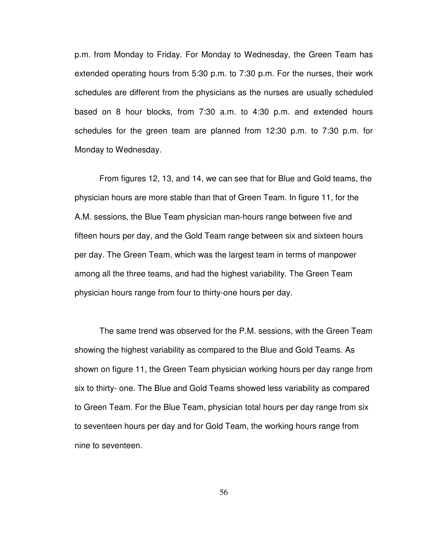p.m. from Monday to Friday. For Monday to Wednesday, the Green Team has extended operating hours from 5:30 p.m. to 7:30 p.m. For the nurses, their work schedules are different from the physicians as the nurses are usually scheduled based on 8 hour blocks, from 7:30 a.m. to 4:30 p.m. and extended hours schedules for the green team are planned from 12:30 p.m. to 7:30 p.m. for Monday to Wednesday.

From figures 12, 13, and 14, we can see that for Blue and Gold teams, the physician hours are more stable than that of Green Team. In figure 11, for the A.M. sessions, the Blue Team physician man-hours range between five and fifteen hours per day, and the Gold Team range between six and sixteen hours per day. The Green Team, which was the largest team in terms of manpower among all the three teams, and had the highest variability. The Green Team physician hours range from four to thirty-one hours per day.

The same trend was observed for the P.M. sessions, with the Green Team showing the highest variability as compared to the Blue and Gold Teams. As shown on figure 11, the Green Team physician working hours per day range from six to thirty- one. The Blue and Gold Teams showed less variability as compared to Green Team. For the Blue Team, physician total hours per day range from six to seventeen hours per day and for Gold Team, the working hours range from nine to seventeen.

56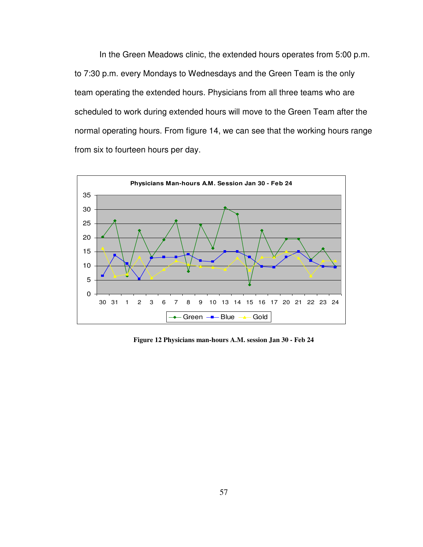In the Green Meadows clinic, the extended hours operates from 5:00 p.m. to 7:30 p.m. every Mondays to Wednesdays and the Green Team is the only team operating the extended hours. Physicians from all three teams who are scheduled to work during extended hours will move to the Green Team after the normal operating hours. From figure 14, we can see that the working hours range from six to fourteen hours per day.



**Figure 12 Physicians man-hours A.M. session Jan 30 - Feb 24**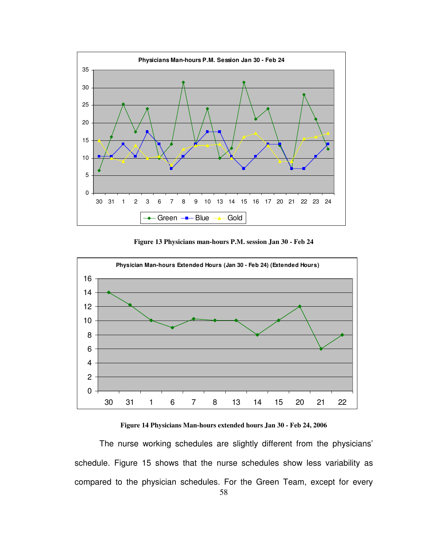

**Figure 13 Physicians man-hours P.M. session Jan 30 - Feb 24** 



**Figure 14 Physicians Man-hours extended hours Jan 30 - Feb 24, 2006** 

The nurse working schedules are slightly different from the physicians' schedule. Figure 15 shows that the nurse schedules show less variability as compared to the physician schedules. For the Green Team, except for every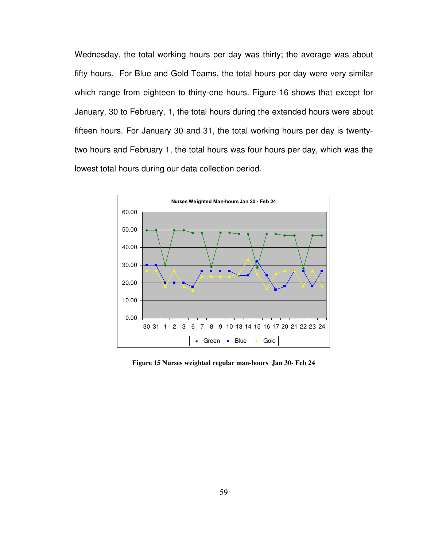Wednesday, the total working hours per day was thirty; the average was about fifty hours. For Blue and Gold Teams, the total hours per day were very similar which range from eighteen to thirty-one hours. Figure 16 shows that except for January, 30 to February, 1, the total hours during the extended hours were about fifteen hours. For January 30 and 31, the total working hours per day is twentytwo hours and February 1, the total hours was four hours per day, which was the lowest total hours during our data collection period.



**Figure 15 Nurses weighted regular man-hours Jan 30- Feb 24**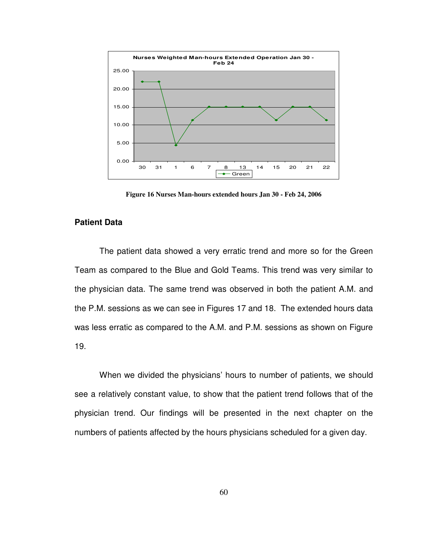

**Figure 16 Nurses Man-hours extended hours Jan 30 - Feb 24, 2006** 

## **Patient Data**

 The patient data showed a very erratic trend and more so for the Green Team as compared to the Blue and Gold Teams. This trend was very similar to the physician data. The same trend was observed in both the patient A.M. and the P.M. sessions as we can see in Figures 17 and 18. The extended hours data was less erratic as compared to the A.M. and P.M. sessions as shown on Figure 19.

When we divided the physicians' hours to number of patients, we should see a relatively constant value, to show that the patient trend follows that of the physician trend. Our findings will be presented in the next chapter on the numbers of patients affected by the hours physicians scheduled for a given day.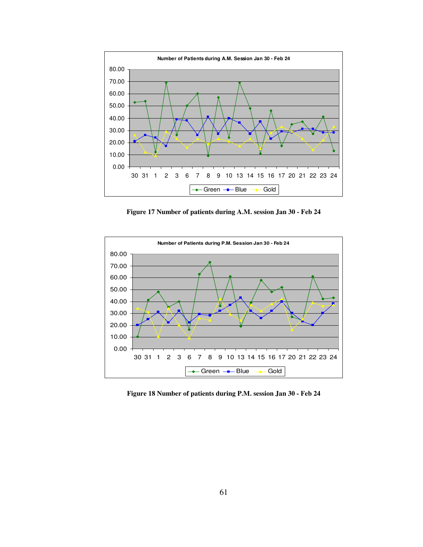

**Figure 17 Number of patients during A.M. session Jan 30 - Feb 24** 



**Figure 18 Number of patients during P.M. session Jan 30 - Feb 24**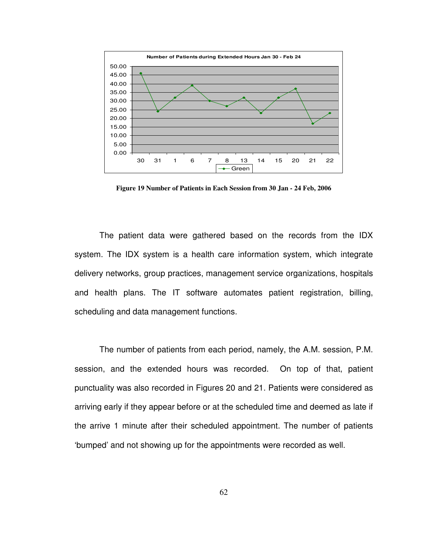

**Figure 19 Number of Patients in Each Session from 30 Jan - 24 Feb, 2006** 

The patient data were gathered based on the records from the IDX system. The IDX system is a health care information system, which integrate delivery networks, group practices, management service organizations, hospitals and health plans. The IT software automates patient registration, billing, scheduling and data management functions.

The number of patients from each period, namely, the A.M. session, P.M. session, and the extended hours was recorded. On top of that, patient punctuality was also recorded in Figures 20 and 21. Patients were considered as arriving early if they appear before or at the scheduled time and deemed as late if the arrive 1 minute after their scheduled appointment. The number of patients 'bumped' and not showing up for the appointments were recorded as well.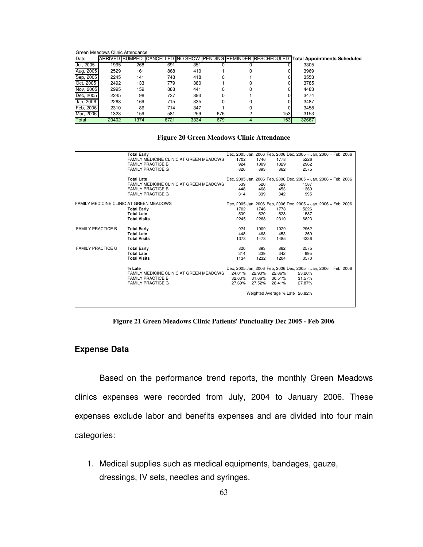Green Meadows Clinic Attendance

| Date      | <b>ARRIVED BUMPED</b> |      |      |      |     |   |     |       | CANCELLED NO SHOW PENDING REMINDER RESCHEDULED Total Appointments Scheduled |
|-----------|-----------------------|------|------|------|-----|---|-----|-------|-----------------------------------------------------------------------------|
| Jul, 2005 | 1995                  | 268  | 691  | 351  |     |   |     | 3305  |                                                                             |
| Aug, 2005 | 2529                  | 161  | 868  | 410  |     |   |     | 3969  |                                                                             |
| Sep, 2005 | 2245                  | 141  | 748  | 418  |     |   |     | 3553  |                                                                             |
| Oct. 2005 | 2492                  | 133  | 779  | 380  |     |   |     | 3785  |                                                                             |
| Nov. 2005 | 2995                  | 159  | 888  | 441  |     | 0 |     | 4483  |                                                                             |
| Dec. 2005 | 2245                  | 98   | 737  | 393  |     |   |     | 3474  |                                                                             |
| Jan, 2006 | 2268                  | 169  | 715  | 335  |     |   |     | 3487  |                                                                             |
| Feb. 2006 | 2310                  | 86   | 714  | 347  |     |   |     | 3458  |                                                                             |
| Mar, 2006 | 1323                  | 159  | 581  | 259  | 676 | ິ | 153 | 3153  |                                                                             |
| Total     | 20402                 | 1374 | 6721 | 3334 | 679 | 4 | 153 | 32667 |                                                                             |

#### **Figure 20 Green Meadows Clinic Attendance**

|                                         | <b>Total Early</b>                      |        |        |                                |        | Dec, 2005 Jan, 2006 Feb, 2006 Dec, 2005 + Jan, 2006 + Feb, 2006 |
|-----------------------------------------|-----------------------------------------|--------|--------|--------------------------------|--------|-----------------------------------------------------------------|
|                                         | FAMILY MEDICINE CLINIC AT GREEN MEADOWS | 1702   | 1746   | 1778                           | 5226   |                                                                 |
|                                         | <b>FAMILY PRACTICE B</b>                | 924    | 1009   | 1029                           | 2962   |                                                                 |
|                                         | <b>FAMILY PRACTICE G</b>                | 820    | 893    | 862                            | 2575   |                                                                 |
|                                         |                                         |        |        |                                |        |                                                                 |
|                                         | <b>Total Late</b>                       |        |        |                                |        | Dec, 2005 Jan, 2006 Feb, 2006 Dec, 2005 + Jan, 2006 + Feb, 2006 |
|                                         | FAMILY MEDICINE CLINIC AT GREEN MEADOWS | 539    | 520    | 528                            | 1587   |                                                                 |
|                                         | <b>FAMILY PRACTICE B</b>                | 448    | 468    | 453                            | 1369   |                                                                 |
|                                         | <b>FAMILY PRACTICE G</b>                | 314    | 339    | 342                            | 995    |                                                                 |
|                                         |                                         |        |        |                                |        |                                                                 |
| FAMILY MEDICINE CLINIC AT GREEN MEADOWS |                                         |        |        |                                |        | Dec, 2005 Jan, 2006 Feb, 2006 Dec, 2005 + Jan, 2006 + Feb, 2006 |
|                                         | <b>Total Early</b>                      | 1702   | 1746   | 1778                           | 5226   |                                                                 |
|                                         | <b>Total Late</b>                       | 539    | 520    | 528                            | 1587   |                                                                 |
|                                         | <b>Total Visits</b>                     | 2245   | 2268   | 2310                           | 6823   |                                                                 |
|                                         |                                         |        |        |                                |        |                                                                 |
| <b>FAMILY PRACTICE B</b>                | <b>Total Early</b>                      | 924    | 1009   | 1029                           | 2962   |                                                                 |
|                                         | <b>Total Late</b>                       | 448    | 468    | 453                            | 1369   |                                                                 |
|                                         | <b>Total Visits</b>                     | 1373   | 1478   | 1485                           | 4336   |                                                                 |
|                                         |                                         |        |        |                                |        |                                                                 |
| <b>FAMILY PRACTICE G</b>                | <b>Total Early</b>                      | 820    | 893    | 862                            | 2575   |                                                                 |
|                                         | <b>Total Late</b>                       | 314    | 339    | 342                            | 995    |                                                                 |
|                                         | <b>Total Visits</b>                     | 1134   | 1232   | 1204                           | 3570   |                                                                 |
|                                         |                                         |        |        |                                |        |                                                                 |
|                                         | % Late                                  |        |        |                                |        | Dec, 2005 Jan, 2006 Feb, 2006 Dec, 2005 + Jan, 2006 + Feb, 2006 |
|                                         | FAMILY MEDICINE CLINIC AT GREEN MEADOWS | 24.01% |        | 22.93% 22.86%                  | 23.26% |                                                                 |
|                                         | <b>FAMILY PRACTICE B</b>                | 32.63% | 31.66% | 30.51%                         | 31.57% |                                                                 |
|                                         | <b>FAMILY PRACTICE G</b>                | 27.69% | 27.52% | 28.41%                         | 27.87% |                                                                 |
|                                         |                                         |        |        |                                |        |                                                                 |
|                                         |                                         |        |        | Weighted Average % Late 26.82% |        |                                                                 |
|                                         |                                         |        |        |                                |        |                                                                 |
|                                         |                                         |        |        |                                |        |                                                                 |
|                                         |                                         |        |        |                                |        |                                                                 |

**Figure 21 Green Meadows Clinic Patients' Punctuality Dec 2005 - Feb 2006** 

# **Expense Data**

Based on the performance trend reports, the monthly Green Meadows clinics expenses were recorded from July, 2004 to January 2006. These expenses exclude labor and benefits expenses and are divided into four main categories:

1. Medical supplies such as medical equipments, bandages, gauze, dressings, IV sets, needles and syringes.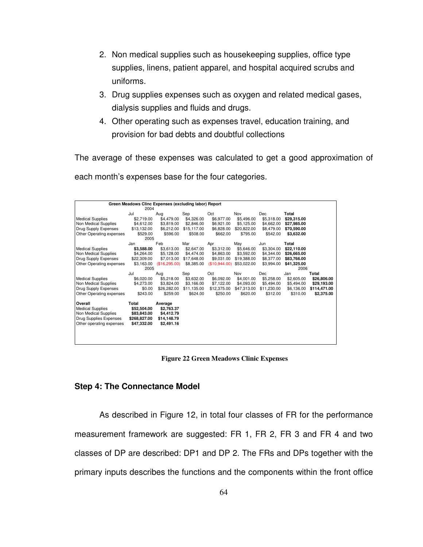- 2. Non medical supplies such as housekeeping supplies, office type supplies, linens, patient apparel, and hospital acquired scrubs and uniforms.
- 3. Drug supplies expenses such as oxygen and related medical gases, dialysis supplies and fluids and drugs.
- 4. Other operating such as expenses travel, education training, and provision for bad debts and doubtful collections

The average of these expenses was calculated to get a good approximation of each month's expenses base for the four categories.

|                          | Green Meadows Clinc Expenses (excluding labor) Report |               |             |               |             |             |             |              |
|--------------------------|-------------------------------------------------------|---------------|-------------|---------------|-------------|-------------|-------------|--------------|
|                          | 2004                                                  |               |             |               |             |             |             |              |
|                          | Jul                                                   | Aug           | Sep         | Oct           | Nov         | Dec         | Total       |              |
| <b>Medical Supplies</b>  | \$2,719.00                                            | \$4,479.00    | \$4,326.00  | \$6,977.00    | \$5,496.00  | \$5,318.00  | \$29,315.00 |              |
| Non Medical Supplies     | \$4,612.00                                            | \$3,819.00    | \$2,846.00  | \$6,921.00    | \$5,125.00  | \$4,662.00  | \$27.985.00 |              |
| Drug Supply Expenses     | \$13,132.00                                           | \$6,212.00    | \$15,117.00 | \$6,828.00    | \$20,822.00 | \$8,479.00  | \$70,590.00 |              |
| Other Operating expenses | \$529.00                                              | \$596.00      | \$508.00    | \$662.00      | \$795.00    | \$542.00    | \$3,632.00  |              |
|                          | 2005                                                  |               |             |               |             |             |             |              |
|                          | Jan                                                   | Feb           | Mar         | Apr           | May         | Jun         | Total       |              |
| <b>Medical Supplies</b>  | \$3,588.00                                            | \$3,613.00    | \$2,647.00  | \$3,312.00    | \$5,646.00  | \$3,304.00  | \$22,110.00 |              |
| Non Medical Supplies     | \$4,264.00                                            | \$5,128.00    | \$4,474.00  | \$4,863.00    | \$3,592.00  | \$4,344.00  | \$26,665.00 |              |
| Drug Supply Expenses     | \$22,309.00                                           | \$7,013.00    | \$17,648.00 | \$9,031.00    | \$19,388.00 | \$8,377.00  | \$83,766.00 |              |
| Other Operating expenses | \$3,163.00                                            | (\$16,295.00) | \$8,385.00  | (\$10,944.00) | \$53,022.00 | \$3,994.00  | \$41,325.00 |              |
|                          | 2005                                                  |               |             |               |             |             | 2006        |              |
|                          | Jul                                                   | Aug           | Sep         | Oct           | Nov         | Dec         | Jan         | Total        |
| <b>Medical Supplies</b>  | \$6,020.00                                            | \$5,218.00    | \$3,632.00  | \$6,092.00    | \$4,001.00  | \$5,258.00  | \$2,605.00  | \$26,806.00  |
| Non Medical Supplies     | \$4,273.00                                            | \$3,824.00    | \$3,166.00  | \$7,122.00    | \$4,093.00  | \$5,494.00  | \$5,494.00  | \$29,193.00  |
| Drug Supply Expenses     | \$0.00                                                | \$26,282.00   | \$11,135.00 | \$12,375.00   | \$47,313.00 | \$11,230.00 | \$6,136.00  | \$114,471.00 |
| Other Operating expenses | \$243.00                                              | \$259.00      | \$624.00    | \$250.00      | \$620.00    | \$312.00    | \$310.00    | \$2,375.00   |
|                          |                                                       |               |             |               |             |             |             |              |
| Overall                  | Total                                                 | Average       |             |               |             |             |             |              |
| <b>Medical Supplies</b>  | \$52,504.00                                           | \$2,763.37    |             |               |             |             |             |              |
| Non Medical Supplies     | \$83,843.00                                           | \$4,412.79    |             |               |             |             |             |              |
| Drug Supplies Expenses   | \$268,827.00                                          | \$14,148.79   |             |               |             |             |             |              |
| Other operating expenses | \$47,332.00                                           | \$2,491.16    |             |               |             |             |             |              |
|                          |                                                       |               |             |               |             |             |             |              |
|                          |                                                       |               |             |               |             |             |             |              |
|                          |                                                       |               |             |               |             |             |             |              |

 **Figure 22 Green Meadows Clinic Expenses** 

## **Step 4: The Connectance Model**

As described in Figure 12, in total four classes of FR for the performance measurement framework are suggested: FR 1, FR 2, FR 3 and FR 4 and two classes of DP are described: DP1 and DP 2. The FRs and DPs together with the primary inputs describes the functions and the components within the front office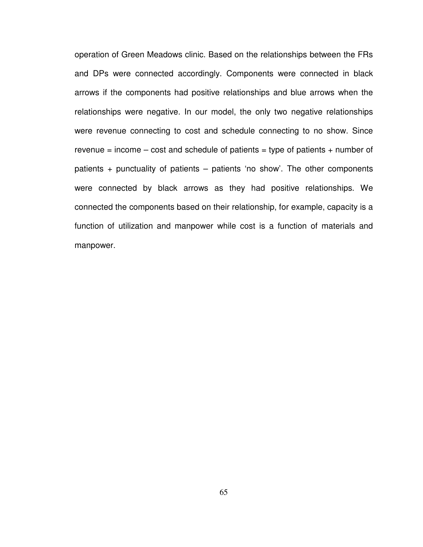operation of Green Meadows clinic. Based on the relationships between the FRs and DPs were connected accordingly. Components were connected in black arrows if the components had positive relationships and blue arrows when the relationships were negative. In our model, the only two negative relationships were revenue connecting to cost and schedule connecting to no show. Since revenue = income  $-\cos t$  and schedule of patients = type of patients  $+$  number of patients + punctuality of patients – patients 'no show'. The other components were connected by black arrows as they had positive relationships. We connected the components based on their relationship, for example, capacity is a function of utilization and manpower while cost is a function of materials and manpower.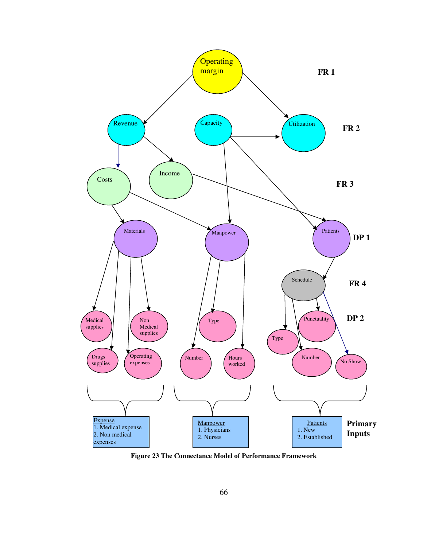

**Figure 23 The Connectance Model of Performance Framework**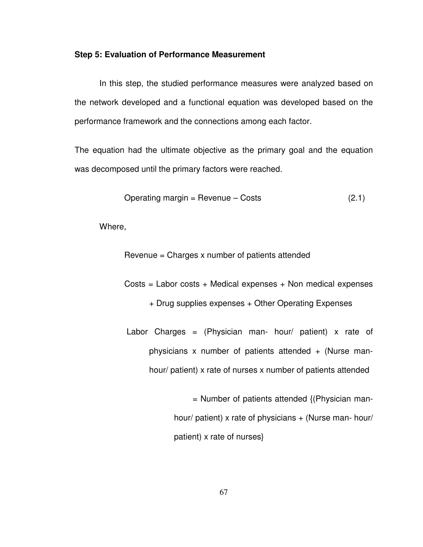#### **Step 5: Evaluation of Performance Measurement**

In this step, the studied performance measures were analyzed based on the network developed and a functional equation was developed based on the performance framework and the connections among each factor.

The equation had the ultimate objective as the primary goal and the equation was decomposed until the primary factors were reached.

Operating margin = Revenue – Costs 
$$
(2.1)
$$

Where,

Revenue = Charges x number of patients attended

 $Costs = Labor costs + Medical expenses + Non medical expenses$ 

- + Drug supplies expenses + Other Operating Expenses
- Labor Charges = (Physician man- hour/ patient) x rate of physicians x number of patients attended  $+$  (Nurse manhour/ patient) x rate of nurses x number of patients attended

 $=$  Number of patients attended  $\{$ (Physician manhour/ patient) x rate of physicians + (Nurse man- hour/ patient) x rate of nurses}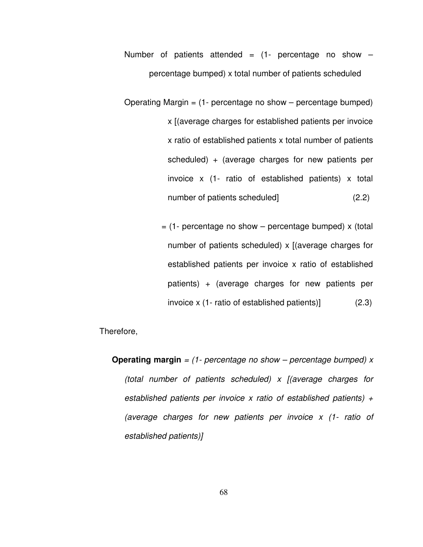Number of patients attended  $=$  (1- percentage no show  $$ percentage bumped) x total number of patients scheduled

Operating Margin  $=$  (1- percentage no show  $-$  percentage bumped) x [(average charges for established patients per invoice x ratio of established patients x total number of patients scheduled) + (average charges for new patients per invoice x (1- ratio of established patients) x total number of patients scheduled] (2.2)

> $=$  (1- percentage no show – percentage bumped) x (total number of patients scheduled)  $x$  [(average charges for established patients per invoice x ratio of established patients) + (average charges for new patients per invoice x (1- ratio of established patients)] (2.3)

Therefore,

**Operating margin** = (1- percentage no show – percentage bumped) x (total number of patients scheduled) x [(average charges for established patients per invoice x ratio of established patients)  $+$ (average charges for new patients per invoice x (1- ratio of established patients)]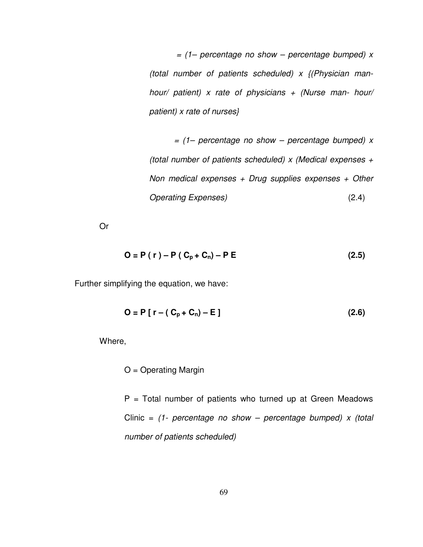$=$  (1– percentage no show – percentage bumped) x (total number of patients scheduled)  $x$  {(Physician manhour/ patient) x rate of physicians  $+$  (Nurse man- hour/ patient) x rate of nurses}

 $=$  (1– percentage no show – percentage bumped) x (total number of patients scheduled)  $x$  (Medical expenses  $+$ Non medical expenses  $+$  Drug supplies expenses  $+$  Other Operating Expenses) (2.4)

Or

$$
O = P(r) - P(C_p + C_n) - P E
$$
 (2.5)

Further simplifying the equation, we have:

$$
O = P [r - (C_p + C_n) - E ]
$$
 (2.6)

Where,

 $O =$  Operating Margin

 $P =$  Total number of patients who turned up at Green Meadows Clinic =  $(1 -$  percentage no show – percentage bumped) x (total number of patients scheduled)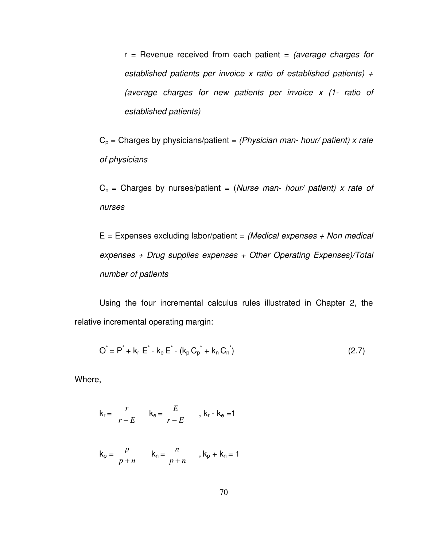$r =$  Revenue received from each patient = (average charges for established patients per invoice x ratio of established patients)  $+$ (average charges for new patients per invoice x (1- ratio of established patients)

 $C_p$  = Charges by physicians/patient = (Physician man- hour/ patient) x rate of physicians

 $C_n$  = Charges by nurses/patient = (Nurse man- hour/ patient) x rate of nurses

 $E =$  Expenses excluding labor/patient = (Medical expenses  $+$  Non medical expenses + Drug supplies expenses + Other Operating Expenses)/Total number of patients

Using the four incremental calculus rules illustrated in Chapter 2, the relative incremental operating margin:

$$
O^{\dagger} = P^* + k_r E^* - k_e E^* - (k_p C_p^* + k_n C_n^*)
$$
\n(2.7)

Where,

$$
k_r = \frac{r}{r - E} \qquad k_e = \frac{E}{r - E} \qquad , k_r - k_e = 1
$$

$$
k_p = \frac{p}{p+n} \qquad k_n = \frac{n}{p+n} \qquad k_p + k_n = 1
$$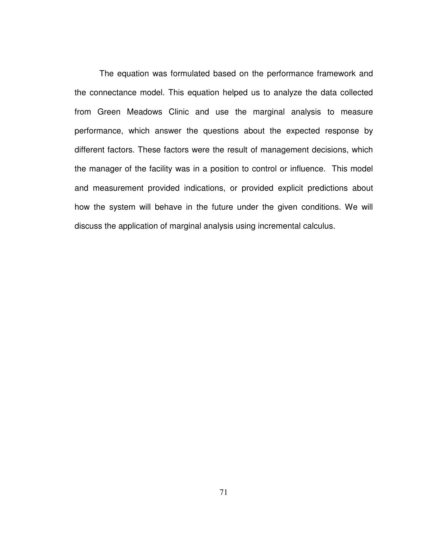The equation was formulated based on the performance framework and the connectance model. This equation helped us to analyze the data collected from Green Meadows Clinic and use the marginal analysis to measure performance, which answer the questions about the expected response by different factors. These factors were the result of management decisions, which the manager of the facility was in a position to control or influence. This model and measurement provided indications, or provided explicit predictions about how the system will behave in the future under the given conditions. We will discuss the application of marginal analysis using incremental calculus.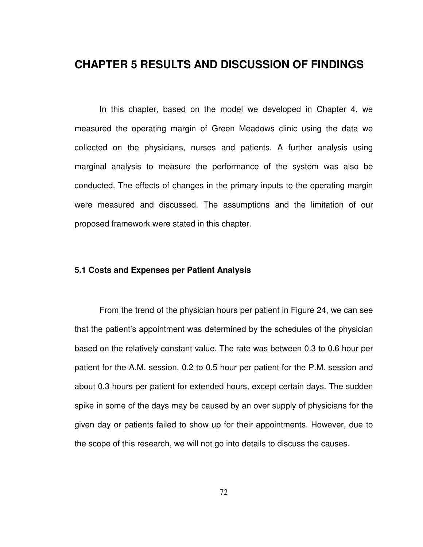# **CHAPTER 5 RESULTS AND DISCUSSION OF FINDINGS**

In this chapter, based on the model we developed in Chapter 4, we measured the operating margin of Green Meadows clinic using the data we collected on the physicians, nurses and patients. A further analysis using marginal analysis to measure the performance of the system was also be conducted. The effects of changes in the primary inputs to the operating margin were measured and discussed. The assumptions and the limitation of our proposed framework were stated in this chapter.

## **5.1 Costs and Expenses per Patient Analysis**

From the trend of the physician hours per patient in Figure 24, we can see that the patient's appointment was determined by the schedules of the physician based on the relatively constant value. The rate was between 0.3 to 0.6 hour per patient for the A.M. session, 0.2 to 0.5 hour per patient for the P.M. session and about 0.3 hours per patient for extended hours, except certain days. The sudden spike in some of the days may be caused by an over supply of physicians for the given day or patients failed to show up for their appointments. However, due to the scope of this research, we will not go into details to discuss the causes.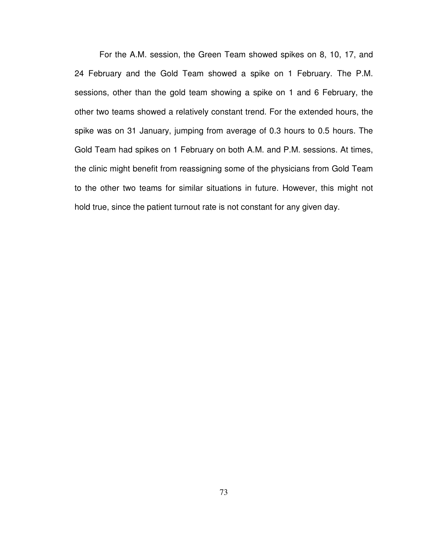For the A.M. session, the Green Team showed spikes on 8, 10, 17, and 24 February and the Gold Team showed a spike on 1 February. The P.M. sessions, other than the gold team showing a spike on 1 and 6 February, the other two teams showed a relatively constant trend. For the extended hours, the spike was on 31 January, jumping from average of 0.3 hours to 0.5 hours. The Gold Team had spikes on 1 February on both A.M. and P.M. sessions. At times, the clinic might benefit from reassigning some of the physicians from Gold Team to the other two teams for similar situations in future. However, this might not hold true, since the patient turnout rate is not constant for any given day.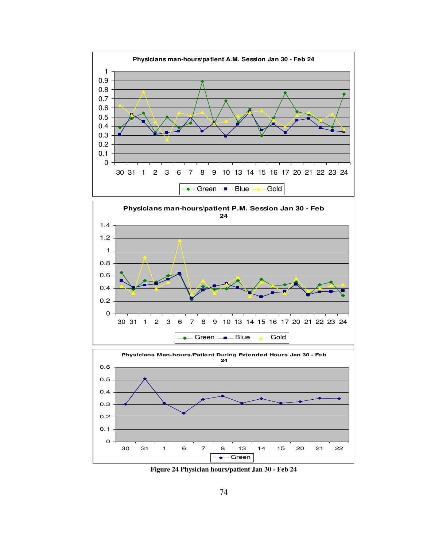





**Figure 24 Physician hours/patient Jan 30 - Feb 24**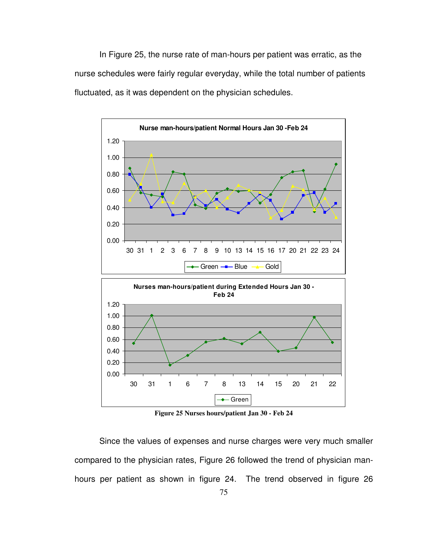In Figure 25, the nurse rate of man-hours per patient was erratic, as the nurse schedules were fairly regular everyday, while the total number of patients fluctuated, as it was dependent on the physician schedules.



**Figure 25 Nurses hours/patient Jan 30 - Feb 24** 

Since the values of expenses and nurse charges were very much smaller compared to the physician rates, Figure 26 followed the trend of physician manhours per patient as shown in figure 24. The trend observed in figure 26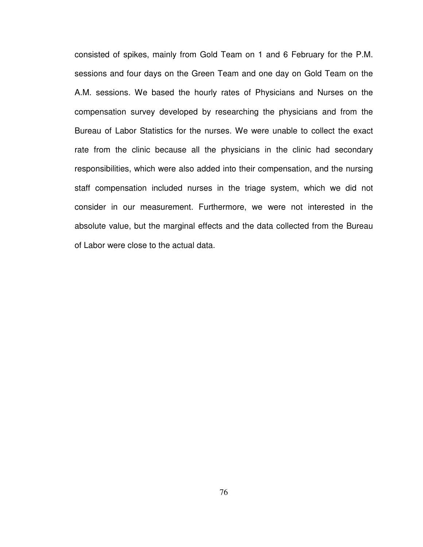consisted of spikes, mainly from Gold Team on 1 and 6 February for the P.M. sessions and four days on the Green Team and one day on Gold Team on the A.M. sessions. We based the hourly rates of Physicians and Nurses on the compensation survey developed by researching the physicians and from the Bureau of Labor Statistics for the nurses. We were unable to collect the exact rate from the clinic because all the physicians in the clinic had secondary responsibilities, which were also added into their compensation, and the nursing staff compensation included nurses in the triage system, which we did not consider in our measurement. Furthermore, we were not interested in the absolute value, but the marginal effects and the data collected from the Bureau of Labor were close to the actual data.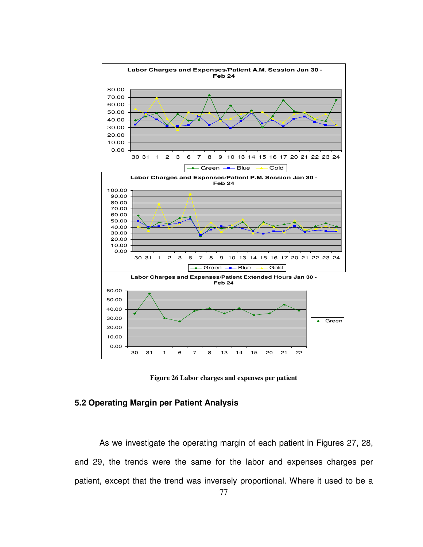

**Figure 26 Labor charges and expenses per patient** 

# **5.2 Operating Margin per Patient Analysis**

As we investigate the operating margin of each patient in Figures 27, 28, and 29, the trends were the same for the labor and expenses charges per patient, except that the trend was inversely proportional. Where it used to be a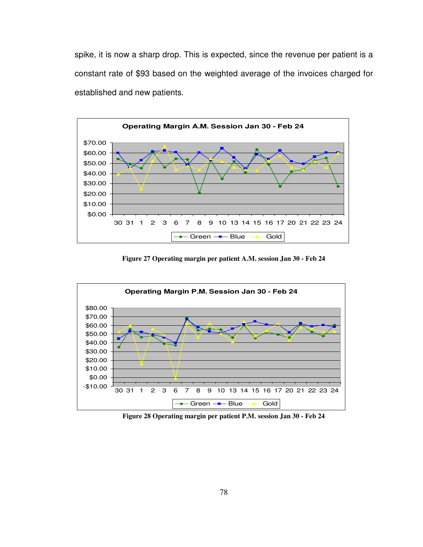spike, it is now a sharp drop. This is expected, since the revenue per patient is a constant rate of \$93 based on the weighted average of the invoices charged for established and new patients.



**Figure 27 Operating margin per patient A.M. session Jan 30 - Feb 24** 



**Figure 28 Operating margin per patient P.M. session Jan 30 - Feb 24**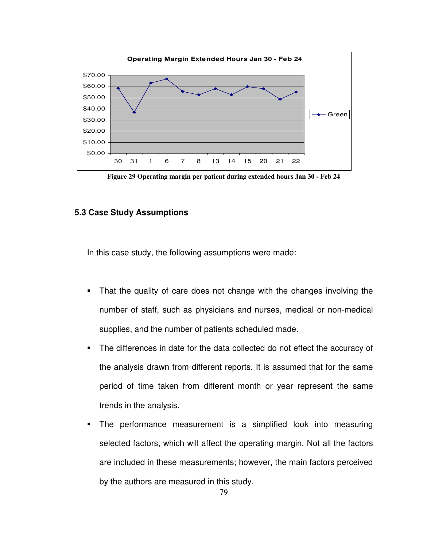

**Figure 29 Operating margin per patient during extended hours Jan 30 - Feb 24** 

## **5.3 Case Study Assumptions**

In this case study, the following assumptions were made:

- That the quality of care does not change with the changes involving the number of staff, such as physicians and nurses, medical or non-medical supplies, and the number of patients scheduled made.
- The differences in date for the data collected do not effect the accuracy of the analysis drawn from different reports. It is assumed that for the same period of time taken from different month or year represent the same trends in the analysis.
- The performance measurement is a simplified look into measuring selected factors, which will affect the operating margin. Not all the factors are included in these measurements; however, the main factors perceived by the authors are measured in this study.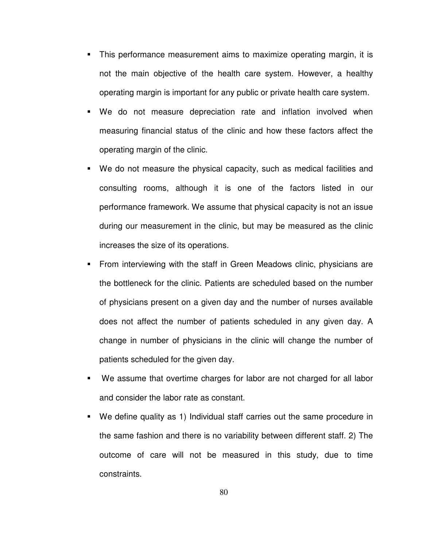- This performance measurement aims to maximize operating margin, it is not the main objective of the health care system. However, a healthy operating margin is important for any public or private health care system.
- We do not measure depreciation rate and inflation involved when measuring financial status of the clinic and how these factors affect the operating margin of the clinic.
- We do not measure the physical capacity, such as medical facilities and consulting rooms, although it is one of the factors listed in our performance framework. We assume that physical capacity is not an issue during our measurement in the clinic, but may be measured as the clinic increases the size of its operations.
- From interviewing with the staff in Green Meadows clinic, physicians are the bottleneck for the clinic. Patients are scheduled based on the number of physicians present on a given day and the number of nurses available does not affect the number of patients scheduled in any given day. A change in number of physicians in the clinic will change the number of patients scheduled for the given day.
- We assume that overtime charges for labor are not charged for all labor and consider the labor rate as constant.
- We define quality as 1) Individual staff carries out the same procedure in the same fashion and there is no variability between different staff. 2) The outcome of care will not be measured in this study, due to time constraints.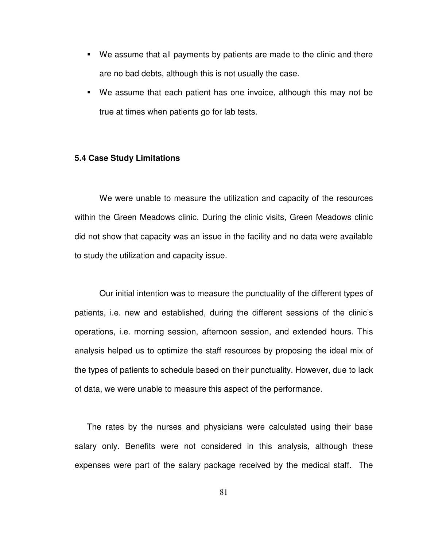- We assume that all payments by patients are made to the clinic and there are no bad debts, although this is not usually the case.
- We assume that each patient has one invoice, although this may not be true at times when patients go for lab tests.

## **5.4 Case Study Limitations**

We were unable to measure the utilization and capacity of the resources within the Green Meadows clinic. During the clinic visits, Green Meadows clinic did not show that capacity was an issue in the facility and no data were available to study the utilization and capacity issue.

Our initial intention was to measure the punctuality of the different types of patients, i.e. new and established, during the different sessions of the clinic's operations, i.e. morning session, afternoon session, and extended hours. This analysis helped us to optimize the staff resources by proposing the ideal mix of the types of patients to schedule based on their punctuality. However, due to lack of data, we were unable to measure this aspect of the performance.

The rates by the nurses and physicians were calculated using their base salary only. Benefits were not considered in this analysis, although these expenses were part of the salary package received by the medical staff. The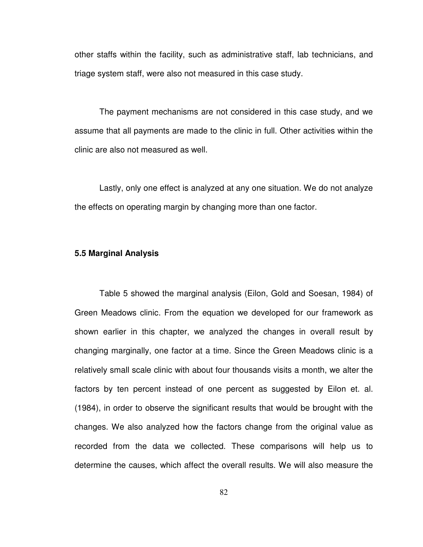other staffs within the facility, such as administrative staff, lab technicians, and triage system staff, were also not measured in this case study.

The payment mechanisms are not considered in this case study, and we assume that all payments are made to the clinic in full. Other activities within the clinic are also not measured as well.

Lastly, only one effect is analyzed at any one situation. We do not analyze the effects on operating margin by changing more than one factor.

## **5.5 Marginal Analysis**

Table 5 showed the marginal analysis (Eilon, Gold and Soesan, 1984) of Green Meadows clinic. From the equation we developed for our framework as shown earlier in this chapter, we analyzed the changes in overall result by changing marginally, one factor at a time. Since the Green Meadows clinic is a relatively small scale clinic with about four thousands visits a month, we alter the factors by ten percent instead of one percent as suggested by Eilon et. al. (1984), in order to observe the significant results that would be brought with the changes. We also analyzed how the factors change from the original value as recorded from the data we collected. These comparisons will help us to determine the causes, which affect the overall results. We will also measure the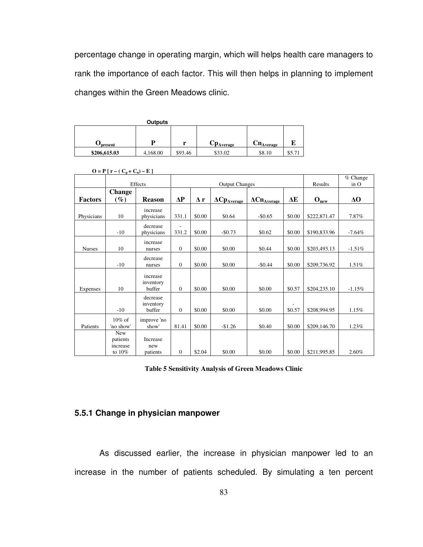percentage change in operating margin, which will helps health care managers to rank the importance of each factor. This will then helps in planning to implement changes within the Green Meadows clinic.

| r |                          |                                                    |                          |
|---|--------------------------|----------------------------------------------------|--------------------------|
|   |                          |                                                    | \$5.71                   |
|   | D<br>\$93.46<br>4,168.00 | $\mathbf{C}\mathbf{p}_{\text{Average}}$<br>\$33.02 | $Cn_{Average}$<br>\$8.10 |

|                 |                                              |                                    |                  |            |                                   |                                    |        |                       | $%$ Change |
|-----------------|----------------------------------------------|------------------------------------|------------------|------------|-----------------------------------|------------------------------------|--------|-----------------------|------------|
|                 |                                              | Effects                            |                  |            | <b>Output Changes</b>             |                                    |        | Results               | in O       |
|                 | <b>Change</b>                                |                                    |                  |            |                                   |                                    |        |                       |            |
| <b>Factors</b>  | $(\%)$                                       | <b>Reason</b>                      | $\Delta P$       | $\Delta$ r | $\Delta Cp_{\underline{Average}}$ | $\Delta Cn_{A \underline{verage}}$ | ΔE     | $O_{n\underline{ew}}$ | $\Delta$ O |
| Physicians      | 10                                           | increase<br>physicians             | 331.1            | \$0.00     | \$0.64                            | $-$0.65$                           | \$0.00 | \$222,871.47          | 7.87%      |
|                 | $-10$                                        | decrease<br>physicians             | 331.2            | \$0.00     | $-50.73$                          | \$0.62                             | \$0.00 | \$190,833.96          | $-7.64%$   |
| <b>Nurses</b>   | 10                                           | increase<br>nurses                 | $\mathbf{0}$     | \$0.00     | \$0.00                            | \$0.44                             | \$0.00 | \$203,493.13          | $-1.51%$   |
|                 | $-10$                                        | decrease<br>nurses                 | $\boldsymbol{0}$ | \$0.00     | \$0.00                            | $-$0.44$                           | \$0.00 | \$209,736.92          | 1.51%      |
| <b>Expenses</b> | 10                                           | increase<br>inventory<br>buffer    | $\mathbf{0}$     | \$0.00     | \$0.00                            | \$0.00                             | \$0.57 | \$204,235.10          | $-1.15%$   |
|                 | $-10$                                        | decrease<br>inventory<br>buffer    | $\mathbf{0}$     | \$0.00     | \$0.00                            | \$0.00                             | \$0.57 | \$208,994.95          | 1.15%      |
| Patients        | $10\%$ of<br>'no show'                       | improve 'no<br>show'               | 81.41            | \$0.00     | $-$1.26$                          | \$0.40                             | \$0.00 | \$209,146.70          | 1.23%      |
|                 | <b>New</b><br>patients<br>increase<br>to 10% | <b>Increase</b><br>new<br>patients | $\mathbf{0}$     | \$2.04     | \$0.00                            | \$0.00                             | \$0.00 | \$211,995.85          | 2.60%      |

 $O = P [r - (C_p + C_n) - E ]$ 

**Table 5 Sensitivity Analysis of Green Meadows Clinic** 

# **5.5.1 Change in physician manpower**

As discussed earlier, the increase in physician manpower led to an increase in the number of patients scheduled. By simulating a ten percent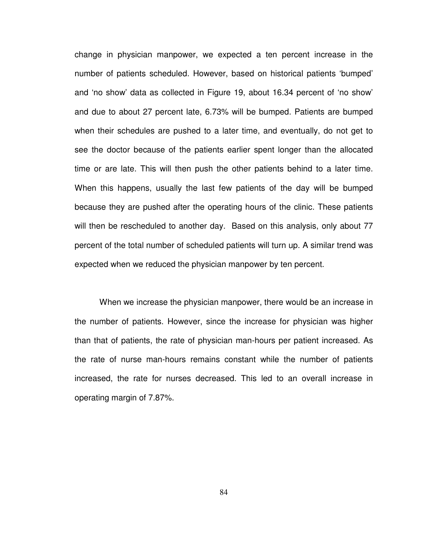change in physician manpower, we expected a ten percent increase in the number of patients scheduled. However, based on historical patients 'bumped' and 'no show' data as collected in Figure 19, about 16.34 percent of 'no show' and due to about 27 percent late, 6.73% will be bumped. Patients are bumped when their schedules are pushed to a later time, and eventually, do not get to see the doctor because of the patients earlier spent longer than the allocated time or are late. This will then push the other patients behind to a later time. When this happens, usually the last few patients of the day will be bumped because they are pushed after the operating hours of the clinic. These patients will then be rescheduled to another day. Based on this analysis, only about 77 percent of the total number of scheduled patients will turn up. A similar trend was expected when we reduced the physician manpower by ten percent.

When we increase the physician manpower, there would be an increase in the number of patients. However, since the increase for physician was higher than that of patients, the rate of physician man-hours per patient increased. As the rate of nurse man-hours remains constant while the number of patients increased, the rate for nurses decreased. This led to an overall increase in operating margin of 7.87%.

84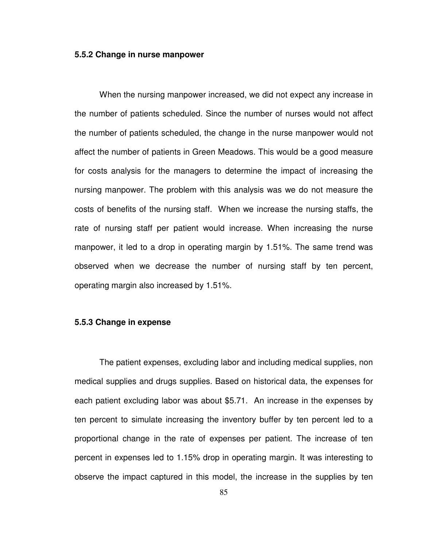#### **5.5.2 Change in nurse manpower**

When the nursing manpower increased, we did not expect any increase in the number of patients scheduled. Since the number of nurses would not affect the number of patients scheduled, the change in the nurse manpower would not affect the number of patients in Green Meadows. This would be a good measure for costs analysis for the managers to determine the impact of increasing the nursing manpower. The problem with this analysis was we do not measure the costs of benefits of the nursing staff. When we increase the nursing staffs, the rate of nursing staff per patient would increase. When increasing the nurse manpower, it led to a drop in operating margin by 1.51%. The same trend was observed when we decrease the number of nursing staff by ten percent, operating margin also increased by 1.51%.

### **5.5.3 Change in expense**

The patient expenses, excluding labor and including medical supplies, non medical supplies and drugs supplies. Based on historical data, the expenses for each patient excluding labor was about \$5.71. An increase in the expenses by ten percent to simulate increasing the inventory buffer by ten percent led to a proportional change in the rate of expenses per patient. The increase of ten percent in expenses led to 1.15% drop in operating margin. It was interesting to observe the impact captured in this model, the increase in the supplies by ten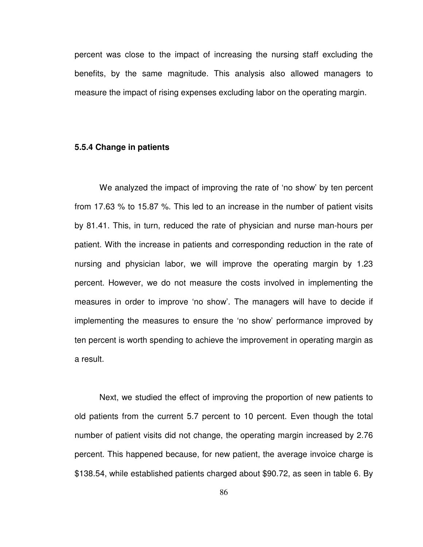percent was close to the impact of increasing the nursing staff excluding the benefits, by the same magnitude. This analysis also allowed managers to measure the impact of rising expenses excluding labor on the operating margin.

#### **5.5.4 Change in patients**

 We analyzed the impact of improving the rate of 'no show' by ten percent from 17.63 % to 15.87 %. This led to an increase in the number of patient visits by 81.41. This, in turn, reduced the rate of physician and nurse man-hours per patient. With the increase in patients and corresponding reduction in the rate of nursing and physician labor, we will improve the operating margin by 1.23 percent. However, we do not measure the costs involved in implementing the measures in order to improve 'no show'. The managers will have to decide if implementing the measures to ensure the 'no show' performance improved by ten percent is worth spending to achieve the improvement in operating margin as a result.

 Next, we studied the effect of improving the proportion of new patients to old patients from the current 5.7 percent to 10 percent. Even though the total number of patient visits did not change, the operating margin increased by 2.76 percent. This happened because, for new patient, the average invoice charge is \$138.54, while established patients charged about \$90.72, as seen in table 6. By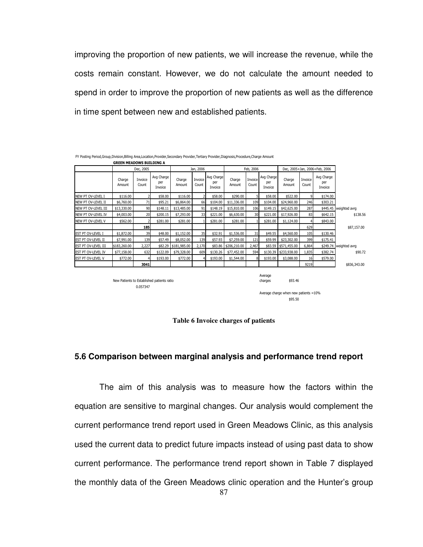improving the proportion of new patients, we will increase the revenue, while the costs remain constant. However, we do not calculate the amount needed to spend in order to improve the proportion of new patients as well as the difference in time spent between new and established patients.

|                           | <b>GREEN MEADOWS BUILDING A</b>            |                  |                              |                  |                  |                              |                  |                  |                              |                                                             |                  |                               |                        |
|---------------------------|--------------------------------------------|------------------|------------------------------|------------------|------------------|------------------------------|------------------|------------------|------------------------------|-------------------------------------------------------------|------------------|-------------------------------|------------------------|
|                           |                                            | Dec, 2005        |                              |                  | Jan, 2006        |                              |                  | Feb, 2006        |                              |                                                             |                  | Dec, 2005+Jan, 2006+Feb, 2006 |                        |
|                           | Charge<br>Amount                           | Invoice<br>Count | Avg Charge<br>per<br>Invoice | Charge<br>Amount | Invoice<br>Count | Avg Charge<br>per<br>Invoice | Charge<br>Amount | Invoice<br>Count | Avg Charge<br>per<br>Invoice | Charge<br>Amount                                            | Invoice<br>Count | Avg Charge<br>per<br>Invoice  |                        |
| NEW PT OV-LEVEL I         | \$116.00                                   |                  | \$58.00                      | \$116.00         |                  | \$58.00                      | \$290.00         | 5                | \$58.00                      | \$522.00                                                    | 9                | \$174.00                      |                        |
| NEW PT OV-LEVEL II        | \$6,760.00                                 | 71               | \$95.21                      | \$6,864.00       | 66               | \$104.00                     | \$11,336.00      | 109              | \$104.00                     | \$24,960.00                                                 | 246              | \$303.21                      |                        |
| NEW PT OV-LEVEL III       | \$13,330.00                                | 90               | \$148.11                     | \$13,485.00      | 91               | \$148.19                     | \$15,810.00      | 106              | \$149.15                     | \$42,625.00                                                 | 287              |                               | \$445.45 weighted avrg |
| NEW PT OV-LEVEL IV        | \$4,003.00                                 | 20               | \$200.15                     | \$7,293.00       | 33               | \$221.00                     | \$6,630.00       | 30               | \$221.00                     | \$17,926.00                                                 | 83               | \$642.15                      | \$138.56               |
| NEW PT OV-LEVEL V         | \$562.00                                   |                  | \$281.00                     | \$281.00         |                  | \$281.00                     | \$281.00         |                  | \$281.00                     | \$1,124.00                                                  | 4                | \$843.00                      |                        |
|                           |                                            | <b>185</b>       |                              |                  |                  |                              |                  |                  |                              |                                                             | 629              |                               | \$87,157.00            |
| EST PT OV-LEVEL I         | \$1,872.00                                 | 39               | \$48.00                      | \$1,152.00       | 35               | \$32.91                      | \$1,536.00       | 31               | \$49.55                      | \$4,560.00                                                  | 105              | \$130.46                      |                        |
| <b>EST PT OV-LEVEL II</b> | \$7,991.00                                 | 139              | \$57.49                      | \$8,052.00       | 139              | \$57.93                      | \$7,259.00       | 121              | \$59.99                      | \$23,302.00                                                 | 399              | \$175.41                      |                        |
| EST PT OV-LEVEL III       | \$183,260.00                               | 2,227            | \$82.29                      | \$181,985.00     | 2,170            | \$83.86                      | \$206,210.00     | 2,467            |                              | \$83.59 \$571,455.00                                        | 6,864            |                               | \$249.74 weighted avrg |
| EST PT OV-LEVEL IV        | \$77,158.00                                | 632              | \$122.09                     | \$79,328.00      | 609              | \$130.26                     | \$77,452.00      | 594              |                              | \$130.39 \$233,938.00                                       | 1,835            | \$382.74                      | \$90.72                |
| EST PT OV-LEVEL V         | \$772.00                                   |                  | \$193.00                     | \$772.00         | 4                | \$193.00                     | \$1,544.00       | 8                | \$193.00                     | \$3,088.00                                                  | 16               | \$579.00                      |                        |
|                           |                                            | 3041             |                              |                  |                  |                              |                  |                  |                              |                                                             | 9219             |                               | \$836,343.00           |
|                           | New Patients to Established patients ratio | 0.057347         |                              |                  |                  |                              |                  |                  | Average<br>charges           | \$93.46<br>Average charge when new patients =10%<br>\$95.50 |                  |                               |                        |

FY Posting Period,Group,Division,Billing Area,Location,Provider,Secondary Provider,Tertiary Provider,Diagnosis,Procedure,Charge Amount



#### **5.6 Comparison between marginal analysis and performance trend report**

 The aim of this analysis was to measure how the factors within the equation are sensitive to marginal changes. Our analysis would complement the current performance trend report used in Green Meadows Clinic, as this analysis used the current data to predict future impacts instead of using past data to show current performance. The performance trend report shown in Table 7 displayed the monthly data of the Green Meadows clinic operation and the Hunter's group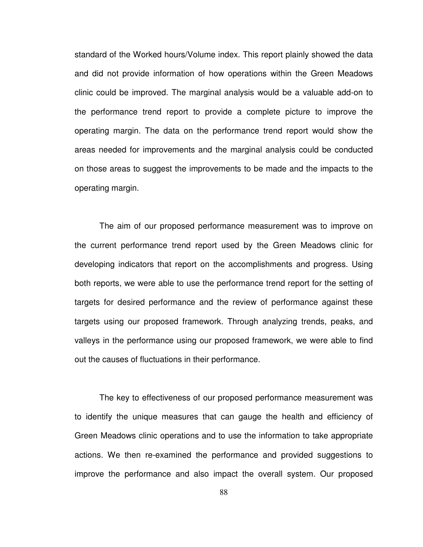standard of the Worked hours/Volume index. This report plainly showed the data and did not provide information of how operations within the Green Meadows clinic could be improved. The marginal analysis would be a valuable add-on to the performance trend report to provide a complete picture to improve the operating margin. The data on the performance trend report would show the areas needed for improvements and the marginal analysis could be conducted on those areas to suggest the improvements to be made and the impacts to the operating margin.

The aim of our proposed performance measurement was to improve on the current performance trend report used by the Green Meadows clinic for developing indicators that report on the accomplishments and progress. Using both reports, we were able to use the performance trend report for the setting of targets for desired performance and the review of performance against these targets using our proposed framework. Through analyzing trends, peaks, and valleys in the performance using our proposed framework, we were able to find out the causes of fluctuations in their performance.

The key to effectiveness of our proposed performance measurement was to identify the unique measures that can gauge the health and efficiency of Green Meadows clinic operations and to use the information to take appropriate actions. We then re-examined the performance and provided suggestions to improve the performance and also impact the overall system. Our proposed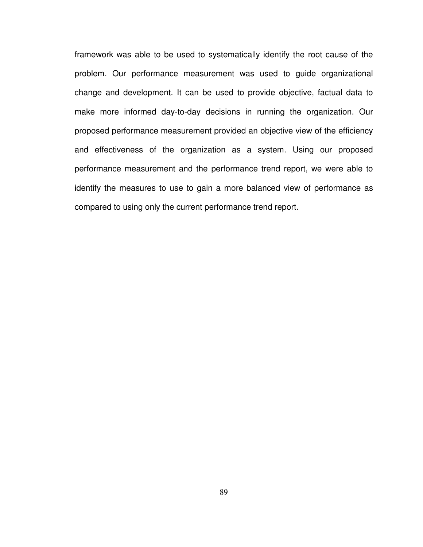framework was able to be used to systematically identify the root cause of the problem. Our performance measurement was used to guide organizational change and development. It can be used to provide objective, factual data to make more informed day-to-day decisions in running the organization. Our proposed performance measurement provided an objective view of the efficiency and effectiveness of the organization as a system. Using our proposed performance measurement and the performance trend report, we were able to identify the measures to use to gain a more balanced view of performance as compared to using only the current performance trend report.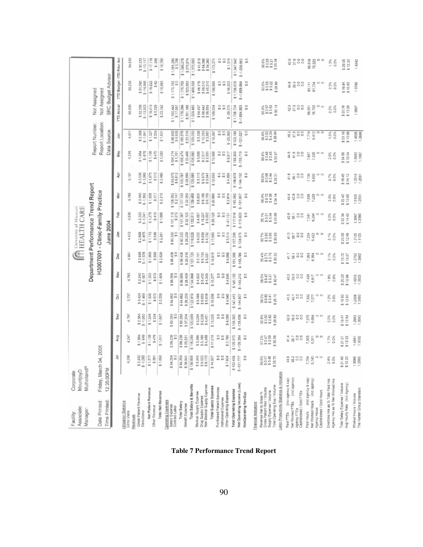| Associate:<br>Manager:<br>Facility:                                                                               | MulhollandF<br>MountjoyD<br>Corporate |                                    |                                   |                                       |                                  |                                 |                                    | <b>REALTH CARE</b>                   |                                      |                                    |                                      |                                      |                                  |                                      |                                     |                                        |
|-------------------------------------------------------------------------------------------------------------------|---------------------------------------|------------------------------------|-----------------------------------|---------------------------------------|----------------------------------|---------------------------------|------------------------------------|--------------------------------------|--------------------------------------|------------------------------------|--------------------------------------|--------------------------------------|----------------------------------|--------------------------------------|-------------------------------------|----------------------------------------|
|                                                                                                                   |                                       |                                    |                                   |                                       |                                  |                                 |                                    | Department Performance Trend Report  |                                      |                                    |                                      |                                      | Report Number:                   |                                      | Not Assigned                        |                                        |
| Date Printed:                                                                                                     |                                       | Friday, March 04, 2005             |                                   |                                       |                                  |                                 |                                    | H3007001 - Clinic-Family Practice    |                                      |                                    |                                      |                                      | Report Location:                 |                                      | Not Assigned                        |                                        |
| Time Printed:                                                                                                     | 12:35:00PM                            |                                    |                                   |                                       |                                  |                                 |                                    | June 2004                            |                                      |                                    |                                      |                                      | Data Source:                     |                                      | SRC Budget Advisor                  |                                        |
|                                                                                                                   |                                       | 巪                                  | Aug                               | Sep                                   | ğ                                | š                               | Dec                                | ş                                    | Feb                                  | Jair                               | ğ                                    | May                                  | Jur                              | <b>YTD Actual</b>                    | YTD Budget YTD Prior Act            |                                        |
| <b>Itilization Statistics</b><br>Clinic Visits<br>evenues                                                         |                                       | 4,298                              | 4.247                             | ξğ<br>ΥÍ                              | 5,737                            | 4,763                           | 4,99                               | 4,472                                | 4,539                                | 4,785                              | 5,181                                | 4,318                                | 4,571                            | 58,699                               | 59,256                              | 54,610                                 |
| Gross Patient Revenue<br>Deductions                                                                               |                                       | $$2,432$<br>$$-1,055$              | \$1,984<br>\$-849                 | \$2,384<br>\$-1,050                   | $$3,424$<br>$$-1,488$            | \$2,240<br>\$-907               | \$3,536<br>\$-1,576                | \$2,688<br>$$ -975$                  | $$2,320$<br>$$-1,041$                | \$3,440<br>\$-1,502                | \$3,536<br>\$-1,568                  | 81,984<br>98.13                      | \$2,368<br>\$-1,041              | \$32,336<br>$$ -13,923$              | \$31,590<br>$$ - 14,968$            | \$30,233<br>$$ -13,117$                |
| Net Patient Revenue<br>Other Revenue                                                                              |                                       | \$1,377<br>\$281                   | \$1,135<br>\$476                  | \$334<br>\$1,334                      | \$1,936<br>\$570                 | 676<br>51,333<br>w              | \$1,960<br>\$ 560                  | 31.713<br>\$548                      | \$1,279<br>\$416                     | \$1,938<br>\$377                   | \$513<br>\$1,973                     | \$1,108<br>\$475                     | 3204<br>\$1,327                  | \$18,413<br>\$5,328                  | \$16,622<br>\$62                    | $$ -355$<br>\$17.116                   |
| Total Net Revenue                                                                                                 |                                       | \$1,858                            | \$1,611                           | \$1,667                               | \$2,508                          | \$1,908                         | \$2.520                            | 2,281                                | \$1,895                              | \$2,315                            | \$2,485                              | \$1,583                              | 51,531                           | \$23,742                             | \$16,683                            | \$16,760                               |
| perating Expenses<br>Salary Expense<br>Contract Labor                                                             |                                       | S4,254                             | 89,238<br>\$0                     | 93,385                                | 94,682<br>6G)                    | 80<br>\$96,                     | \$98,408                           | 0\$<br>02£'06\$                      | $$101,115$<br>$$272$                 | \$105,052<br>\$2,147               | \$93,976<br>\$6,812                  | \$104,774<br>\$1,701                 | \$98,550<br>\$6,925              | 31,160,442<br>\$17,857               | 1,175,755                           | \$1,091,280<br>987,58                  |
| Total Salary<br>Benefit Expense                                                                                   |                                       | 94,254<br>36,641                   | \$89,238<br>\$25,82               | \$93,385<br>\$27,304                  | \$94,682<br>\$28,233             | \$28,409<br>\$96,589            | \$29,315<br>\$98,408               | \$90,320<br>\$28,209                 | \$101.387<br>\$32,125                | \$107,199<br>\$32,289              | \$100,787<br>\$28,899                | \$32,408<br>\$106,474                | \$23,518<br>\$105.576            | \$1,178,299<br>\$351,166             | \$1,175,755<br>\$323,803            | \$1,095,078<br>\$275,874               |
| Total Salary & Benefits                                                                                           |                                       | 130,895<br>w                       | \$115,059                         | \$120,689                             | \$122.915                        | \$124,998                       | \$127,723                          | \$116,529                            | \$133,511                            | \$139,488                          | \$129,686                            | \$138,880                            | \$129,083                        | \$1,529,485                          | \$1,499,558                         | \$1,370,953                            |
| Drug Supply Expense<br>Non Medical Supply Expense<br>Medical Supply Expense                                       |                                       | \$3,242<br>\$5,525<br>\$6,170      | \$3,390<br>\$3,169<br>\$4,459     | \$6,020<br>\$4,451<br>\$3,054         | \$5,486<br>\$9,053<br>\$5,019    | \$4,502<br>$$6,432$<br>$$6,432$ | 5 5,151<br>5 8,733<br>5 5,031      | \$8,939<br>\$4,022<br>\$4,732        | $$4,087$<br>$$15,237$<br>\$5.002     | \$8,605<br>\$6,188<br>\$6,189      | \$3,113<br>\$5,879<br>\$3,841        | \$3,658<br>\$2.917<br>\$3,931        | \$5,328<br>\$10,353<br>\$3,687   | \$54,437<br>\$88,442<br>\$58,654     | \$46,176<br>\$99,510<br>\$45.210    | \$41,515<br>\$94,596                   |
| Total Supply Expense                                                                                              |                                       | 14,937                             | 11,018                            | 13,525                                | 19,558<br><b>vo</b>              | \$15,277                        | 18,915<br>m                        | \$17,693                             | \$25,125                             | \$20,980                           | \$12,633                             | \$10,506                             | \$19,367                         | \$199,534                            | \$190,896                           | \$39,260<br>\$175,371                  |
| Purchased Patient Services<br>Institutional Expense                                                               |                                       | $\overset{\circ}{\circ}$           | 5<br>s o                          | 8<br>$\frac{6}{3}$                    | 8<br>9                           | $\frac{6}{3}$<br>$\frac{0}{32}$ | 9<br>3                             | 5<br>50                              | s o<br>s o                           | $\frac{0}{9}$<br>s,                | 5                                    | °                                    |                                  | ့<br>ဖ                               | 5                                   | 5                                      |
| Other Operating Expense                                                                                           |                                       | \$7,604                            | \$3,799                           | \$4,089                               | 34.940                           | 34,845                          | \$4,669                            | \$3,014                              | $-41,121$                            | \$2,914                            | 5<br>\$4,359                         | 5<br>\$5,917                         | $800$<br>$800$<br>$800$<br>$800$ | $\frac{0}{9}$<br>$$ -20.275$         | \$<br>\$16,223                      | 5<br>\$1,319                           |
| Total Operating Expense                                                                                           |                                       | \$153,435                          | \$129,875                         | \$138.303                             | \$147,413                        | \$145,120                       | \$151,308                          | \$137,238                            | \$117,516                            | \$163,382                          | \$146,678                            | \$155,303                            | \$123,158                        | \$1,708,724                          | \$1,706,678                         | \$1,547,643                            |
| Net Operating Income (Loss)                                                                                       |                                       | $$ -151, 777$                      | $$ -128.284$                      | \$-136.636                            | \$-144,907                       | $-143.213$                      | $$ -148.786$                       | \$-134,975                           | $$ -115,820$                         | $$ -161,067$                       | $3 - 144.192$                        | $$ - 153.719$                        | $$ -121,627$                     | \$ -1,684,983                        | $$ -1,639,994$                      | $$ -1.530.082$                         |
| NonOperating Rev/Exp<br>nancial Indicators                                                                        |                                       | 9                                  | 5                                 | 59                                    | 50                               | 5                               | 50                                 | 5                                    | 50                                   | S                                  | s o                                  |                                      | 5                                | s o                                  | s                                   | ິ                                      |
|                                                                                                                   |                                       |                                    |                                   |                                       |                                  |                                 |                                    |                                      |                                      |                                    |                                      |                                      |                                  |                                      |                                     |                                        |
| Total Operating Exp / Volume<br>Gross Patient Rev / Volume<br>Supply Expense / Volume<br>Revenue Net to Gross %   |                                       | 56.6%<br>\$0.57<br>\$3.48<br>35.70 | 572%<br>\$0.47<br>\$2.59<br>30.58 | 55.9%<br>\$0.50<br>\$2.82<br>\$ 28.83 | 56.5%<br>90.60<br>93.41<br>25.70 | 59.5%<br>30.47                  | 55.4%<br>\$0.71<br>\$3.79<br>30.32 | 63.7%<br>\$0.80<br>\$3.86<br>\$30.69 | 56.1%<br>\$0.51<br>\$5.54<br>\$25.89 | 56.3%<br>\$0.72<br>\$4.38<br>34.14 | 55.8%<br>\$0.88<br>\$2.44<br>\$28.31 | 55.9%<br>\$0.46<br>\$2.43<br>\$35.97 | 86.0%<br>90.524<br>94.26.94      | 56.9%<br>\$0.57<br>\$3.52<br>\$30.14 | \$0.53<br>\$3.22<br>\$3.26<br>52.6% | \$0.55<br>\$3.21<br>\$28.34<br>58.6%   |
| abor Productivity Statistics & Indicators                                                                         |                                       |                                    |                                   |                                       |                                  |                                 |                                    |                                      |                                      |                                    |                                      |                                      |                                  |                                      |                                     |                                        |
| Net Worked FTEs (Incl agency)<br>(incl agency & cap)<br>Capitalizated / Sold FTEs<br>Agency FTEs<br>Paid FTEs     |                                       | 43.6<br>20000                      | 35.7<br>$\frac{80}{20}$<br>41.4   |                                       | 41.5<br>88<br>$rac{1}{2}$        | 3388<br>43.5                    | 88<br>41.7<br>36.1                 | 41.0<br>$\frac{7}{800}$              | 42.6<br>38.1<br>88                   | 40.9<br>88<br>44.4                 | 41.8<br>$^{0.0}_{0.0}$<br>30.1       | 44.5<br>41.5<br>$\frac{80}{10}$      |                                  | 요<br>알 등 8 8<br>알                    | 4800                                | $\frac{0}{37.6}$<br>$\frac{0}{0}$      |
| (incl agency & cap)<br>Net Worked Hours (incl agency)<br>Capitalizated / Sold Hours<br>Agency Hours<br>Paid Hours |                                       | $\circ$ $\circ$<br>7,7043          | $\circ$<br>7,305<br>6,311         | 0<br>O<br>7,275                       | o<br>O<br>7,332<br>7,077         | 7,435<br>6,817                  | O<br>O<br>7,363<br>6,384           | 0<br>7,234<br>5,422                  | $\circ$<br>$\Box$<br>6,284<br>7,041  | 7,838<br>7,229<br>$\circ$          | $\Box$<br>7,139<br>6,663             | 7,867<br>7,325                       | 7,719<br>6,412<br>c              | 78,793<br>89,251<br>O                | 93,111<br>81,704                    | 89,519<br>$\circ$<br>$\circ$<br>78,323 |
| Agency Hrs as % Net Worked Hrs<br>Overtime Hrs as % Total Paid Hrs                                                |                                       | 2.4%<br>0.0%                       | 1.7%<br>0.0%                      | 2.0%<br>0.0%                          | 1.2%<br>0.0%                     | 1.9%<br>0.0%                    | 2.1%<br>0.0%                       | 2.1%<br>0.0%                         | 2.0%<br>0.0%                         | 3.3%<br>0.0%                       | 3.7%                                 | 2.5%<br>0.0%                         | 1.5%<br>0.0%                     | 0.0%<br>2.2%                         | 2.3%<br>0.0%                        | 1.3%<br>0.0%                           |
| Total Salary Expense / Volume<br>Aug Hourly Rate (Incl Agency)                                                    |                                       | \$21,93<br>\$12.23                 | \$21.01<br>\$12.22                | \$19.47<br>\$12.84                    | 16.50<br>12.91                   | 20.28<br>\$12.99                | 19.72<br>13.37                     | 2020<br>\$12.49                      | \$14.40<br>22.34                     | \$22.40<br>\$13.68                 | \$19.45<br>\$14.12                   | 24.66<br>\$13.54<br>co.              | 23.10<br>\$13.68                 | 20.78<br>\$13.20                     | \$12.63<br>\$19.84                  | \$20.05<br>\$12.23                     |
| The Hunter Group Standard<br>Worked Hours / Volume                                                                |                                       | 1,5688<br>1,2503                   | 1,4861<br>1,3092                  | 1,2683<br>1,3092                      | 12336<br>1.3680                  | 1.4313<br>1.3533                | 1.2792<br>1.2062                   | 1.2125                               | 1.3867<br>1.2390                     | 1.5108<br>1.2531                   | 1.2918<br>1.2531                     | 1,6963<br>1.1567                     | 1,4028<br>1,2668                 | 1.3897                               | 1.3788                              | 1,4342                                 |

**Table 7 Performance Trend Report**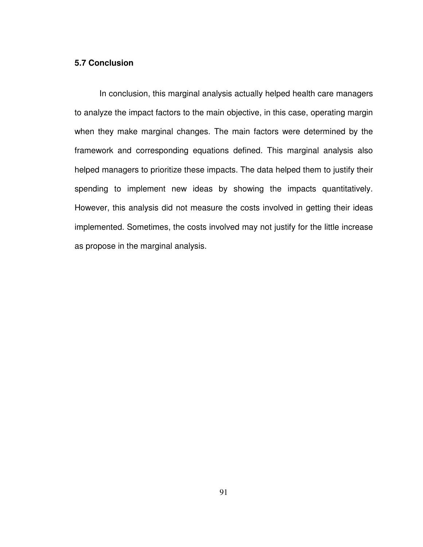# **5.7 Conclusion**

 In conclusion, this marginal analysis actually helped health care managers to analyze the impact factors to the main objective, in this case, operating margin when they make marginal changes. The main factors were determined by the framework and corresponding equations defined. This marginal analysis also helped managers to prioritize these impacts. The data helped them to justify their spending to implement new ideas by showing the impacts quantitatively. However, this analysis did not measure the costs involved in getting their ideas implemented. Sometimes, the costs involved may not justify for the little increase as propose in the marginal analysis.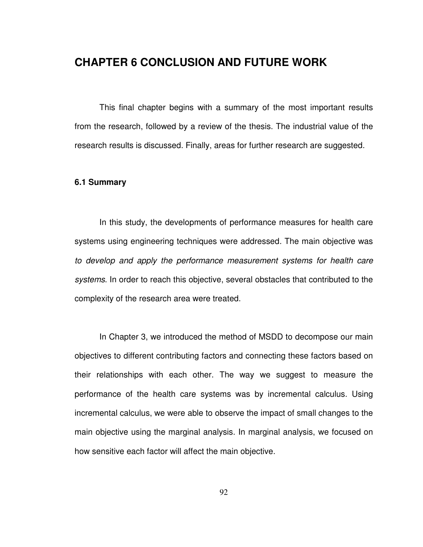# **CHAPTER 6 CONCLUSION AND FUTURE WORK**

This final chapter begins with a summary of the most important results from the research, followed by a review of the thesis. The industrial value of the research results is discussed. Finally, areas for further research are suggested.

### **6.1 Summary**

In this study, the developments of performance measures for health care systems using engineering techniques were addressed. The main objective was to develop and apply the performance measurement systems for health care systems. In order to reach this objective, several obstacles that contributed to the complexity of the research area were treated.

In Chapter 3, we introduced the method of MSDD to decompose our main objectives to different contributing factors and connecting these factors based on their relationships with each other. The way we suggest to measure the performance of the health care systems was by incremental calculus. Using incremental calculus, we were able to observe the impact of small changes to the main objective using the marginal analysis. In marginal analysis, we focused on how sensitive each factor will affect the main objective.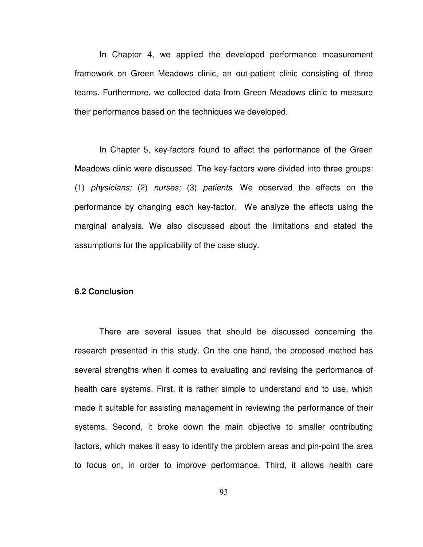In Chapter 4, we applied the developed performance measurement framework on Green Meadows clinic, an out-patient clinic consisting of three teams. Furthermore, we collected data from Green Meadows clinic to measure their performance based on the techniques we developed.

In Chapter 5, key-factors found to affect the performance of the Green Meadows clinic were discussed. The key-factors were divided into three groups: (1) physicians; (2) nurses; (3) patients. We observed the effects on the performance by changing each key-factor. We analyze the effects using the marginal analysis. We also discussed about the limitations and stated the assumptions for the applicability of the case study.

#### **6.2 Conclusion**

There are several issues that should be discussed concerning the research presented in this study. On the one hand, the proposed method has several strengths when it comes to evaluating and revising the performance of health care systems. First, it is rather simple to understand and to use, which made it suitable for assisting management in reviewing the performance of their systems. Second, it broke down the main objective to smaller contributing factors, which makes it easy to identify the problem areas and pin-point the area to focus on, in order to improve performance. Third, it allows health care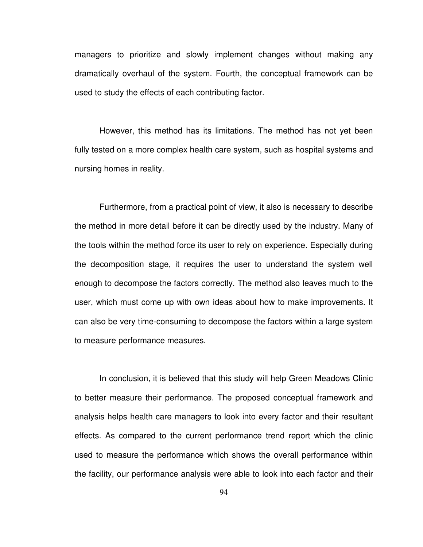managers to prioritize and slowly implement changes without making any dramatically overhaul of the system. Fourth, the conceptual framework can be used to study the effects of each contributing factor.

However, this method has its limitations. The method has not yet been fully tested on a more complex health care system, such as hospital systems and nursing homes in reality.

Furthermore, from a practical point of view, it also is necessary to describe the method in more detail before it can be directly used by the industry. Many of the tools within the method force its user to rely on experience. Especially during the decomposition stage, it requires the user to understand the system well enough to decompose the factors correctly. The method also leaves much to the user, which must come up with own ideas about how to make improvements. It can also be very time-consuming to decompose the factors within a large system to measure performance measures.

In conclusion, it is believed that this study will help Green Meadows Clinic to better measure their performance. The proposed conceptual framework and analysis helps health care managers to look into every factor and their resultant effects. As compared to the current performance trend report which the clinic used to measure the performance which shows the overall performance within the facility, our performance analysis were able to look into each factor and their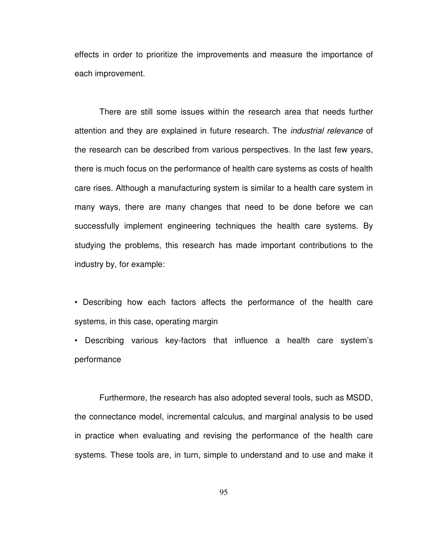effects in order to prioritize the improvements and measure the importance of each improvement.

There are still some issues within the research area that needs further attention and they are explained in future research. The industrial relevance of the research can be described from various perspectives. In the last few years, there is much focus on the performance of health care systems as costs of health care rises. Although a manufacturing system is similar to a health care system in many ways, there are many changes that need to be done before we can successfully implement engineering techniques the health care systems. By studying the problems, this research has made important contributions to the industry by, for example:

• Describing how each factors affects the performance of the health care systems, in this case, operating margin

• Describing various key-factors that influence a health care system's performance

Furthermore, the research has also adopted several tools, such as MSDD, the connectance model, incremental calculus, and marginal analysis to be used in practice when evaluating and revising the performance of the health care systems. These tools are, in turn, simple to understand and to use and make it

95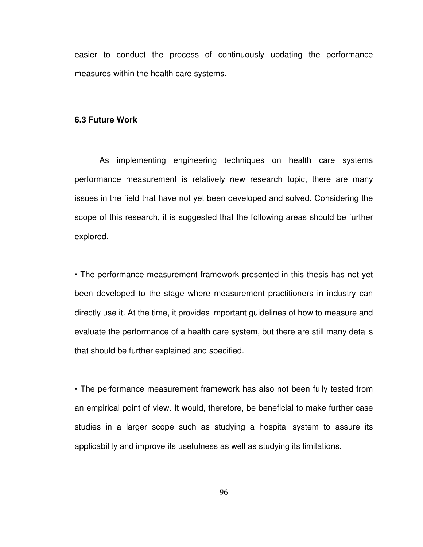easier to conduct the process of continuously updating the performance measures within the health care systems.

## **6.3 Future Work**

As implementing engineering techniques on health care systems performance measurement is relatively new research topic, there are many issues in the field that have not yet been developed and solved. Considering the scope of this research, it is suggested that the following areas should be further explored.

• The performance measurement framework presented in this thesis has not yet been developed to the stage where measurement practitioners in industry can directly use it. At the time, it provides important guidelines of how to measure and evaluate the performance of a health care system, but there are still many details that should be further explained and specified.

• The performance measurement framework has also not been fully tested from an empirical point of view. It would, therefore, be beneficial to make further case studies in a larger scope such as studying a hospital system to assure its applicability and improve its usefulness as well as studying its limitations.

96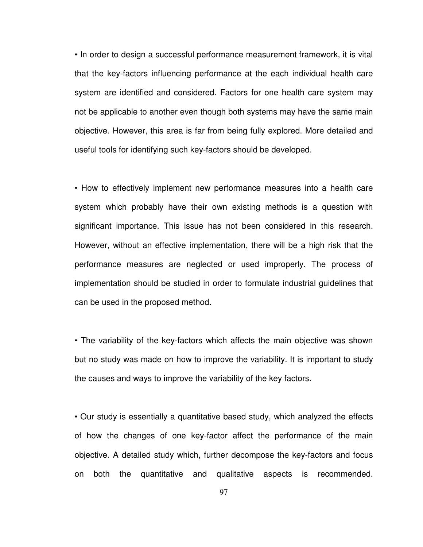• In order to design a successful performance measurement framework, it is vital that the key-factors influencing performance at the each individual health care system are identified and considered. Factors for one health care system may not be applicable to another even though both systems may have the same main objective. However, this area is far from being fully explored. More detailed and useful tools for identifying such key-factors should be developed.

• How to effectively implement new performance measures into a health care system which probably have their own existing methods is a question with significant importance. This issue has not been considered in this research. However, without an effective implementation, there will be a high risk that the performance measures are neglected or used improperly. The process of implementation should be studied in order to formulate industrial guidelines that can be used in the proposed method.

• The variability of the key-factors which affects the main objective was shown but no study was made on how to improve the variability. It is important to study the causes and ways to improve the variability of the key factors.

• Our study is essentially a quantitative based study, which analyzed the effects of how the changes of one key-factor affect the performance of the main objective. A detailed study which, further decompose the key-factors and focus on both the quantitative and qualitative aspects is recommended.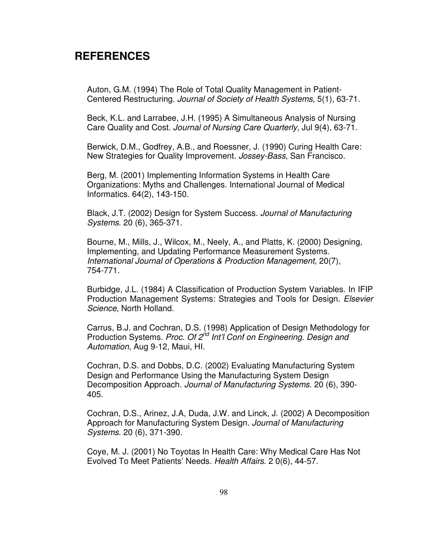# **REFERENCES**

Auton, G.M. (1994) The Role of Total Quality Management in Patient-Centered Restructuring. Journal of Society of Health Systems, 5(1), 63-71.

Beck, K.L. and Larrabee, J.H. (1995) A Simultaneous Analysis of Nursing Care Quality and Cost. Journal of Nursing Care Quarterly, Jul 9(4), 63-71.

Berwick, D.M., Godfrey, A.B., and Roessner, J. (1990) Curing Health Care: New Strategies for Quality Improvement. Jossey-Bass, San Francisco.

Berg, M. (2001) Implementing Information Systems in Health Care Organizations: Myths and Challenges. International Journal of Medical Informatics. 64(2), 143-150.

Black, J.T. (2002) Design for System Success. Journal of Manufacturing Systems. 20 (6), 365-371.

Bourne, M., Mills, J., Wilcox, M., Neely, A., and Platts, K. (2000) Designing, Implementing, and Updating Performance Measurement Systems. International Journal of Operations & Production Management, 20(7), 754-771.

Burbidge, J.L. (1984) A Classification of Production System Variables. In IFIP Production Management Systems: Strategies and Tools for Design. Elsevier Science, North Holland.

Carrus, B.J. and Cochran, D.S. (1998) Application of Design Methodology for Production Systems. Proc. Of 2<sup>nd</sup> Int'l Conf on Engineering. Design and Automation, Aug 9-12, Maui, HI.

Cochran, D.S. and Dobbs, D.C. (2002) Evaluating Manufacturing System Design and Performance Using the Manufacturing System Design Decomposition Approach. Journal of Manufacturing Systems. 20 (6), 390- 405.

Cochran, D.S., Arinez, J.A, Duda, J.W. and Linck, J. (2002) A Decomposition Approach for Manufacturing System Design. Journal of Manufacturing Systems. 20 (6), 371-390.

Coye, M. J. (2001) No Toyotas In Health Care: Why Medical Care Has Not Evolved To Meet Patients' Needs. Health Affairs. 2 0(6), 44-57.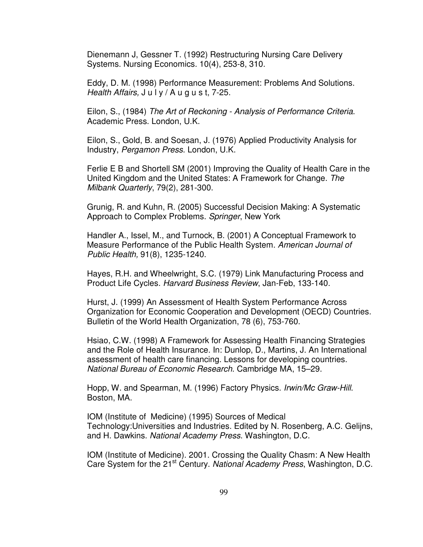Dienemann J, Gessner T. (1992) Restructuring Nursing Care Delivery Systems. Nursing Economics. 10(4), 253-8, 310.

Eddy, D. M. (1998) Performance Measurement: Problems And Solutions. Health Affairs,  $J \cup V / A \cup g \cup s$  t, 7-25.

Eilon, S., (1984) The Art of Reckoning - Analysis of Performance Criteria. Academic Press. London, U.K.

Eilon, S., Gold, B. and Soesan, J. (1976) Applied Productivity Analysis for Industry, Pergamon Press. London, U.K.

Ferlie E B and Shortell SM (2001) Improving the Quality of Health Care in the United Kingdom and the United States: A Framework for Change. The Milbank Quarterly, 79(2), 281-300.

Grunig, R. and Kuhn, R. (2005) Successful Decision Making: A Systematic Approach to Complex Problems. Springer, New York

Handler A., Issel, M., and Turnock, B. (2001) A Conceptual Framework to Measure Performance of the Public Health System. American Journal of Public Health, 91(8), 1235-1240.

Hayes, R.H. and Wheelwright, S.C. (1979) Link Manufacturing Process and Product Life Cycles. Harvard Business Review, Jan-Feb, 133-140.

Hurst, J. (1999) An Assessment of Health System Performance Across Organization for Economic Cooperation and Development (OECD) Countries. Bulletin of the World Health Organization, 78 (6), 753-760.

Hsiao, C.W. (1998) A Framework for Assessing Health Financing Strategies and the Role of Health Insurance. In: Dunlop, D., Martins, J. An International assessment of health care financing. Lessons for developing countries. National Bureau of Economic Research. Cambridge MA, 15–29.

Hopp, W. and Spearman, M. (1996) Factory Physics. Irwin/Mc Graw-Hill. Boston, MA.

IOM (Institute of Medicine) (1995) Sources of Medical Technology:Universities and Industries. Edited by N. Rosenberg, A.C. Gelijns, and H. Dawkins. National Academy Press. Washington, D.C.

IOM (Institute of Medicine). 2001. Crossing the Quality Chasm: A New Health Care System for the 21<sup>st</sup> Century. National Academy Press, Washington, D.C.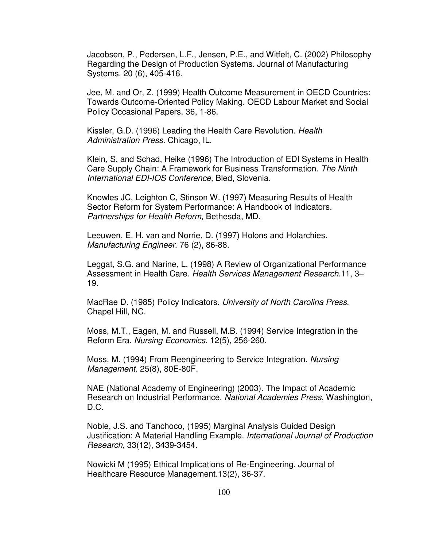Jacobsen, P., Pedersen, L.F., Jensen, P.E., and Witfelt, C. (2002) Philosophy Regarding the Design of Production Systems. Journal of Manufacturing Systems. 20 (6), 405-416.

Jee, M. and Or, Z. (1999) Health Outcome Measurement in OECD Countries: Towards Outcome-Oriented Policy Making. OECD Labour Market and Social Policy Occasional Papers. 36, 1-86.

Kissler, G.D. (1996) Leading the Health Care Revolution. Health Administration Press. Chicago, IL.

Klein, S. and Schad, Heike (1996) The Introduction of EDI Systems in Health Care Supply Chain: A Framework for Business Transformation. The Ninth International EDI-IOS Conference, Bled, Slovenia.

Knowles JC, Leighton C, Stinson W. (1997) Measuring Results of Health Sector Reform for System Performance: A Handbook of Indicators. Partnerships for Health Reform, Bethesda, MD.

Leeuwen, E. H. van and Norrie, D. (1997) Holons and Holarchies. Manufacturing Engineer. 76 (2), 86-88.

Leggat, S.G. and Narine, L. (1998) A Review of Organizational Performance Assessment in Health Care. Health Services Management Research.11, 3– 19.

MacRae D. (1985) Policy Indicators. University of North Carolina Press. Chapel Hill, NC.

Moss, M.T., Eagen, M. and Russell, M.B. (1994) Service Integration in the Reform Era. Nursing Economics. 12(5), 256-260.

Moss, M. (1994) From Reengineering to Service Integration. Nursing Management. 25(8), 80E-80F.

NAE (National Academy of Engineering) (2003). The Impact of Academic Research on Industrial Performance. National Academies Press, Washington, D.C.

Noble, J.S. and Tanchoco, (1995) Marginal Analysis Guided Design Justification: A Material Handling Example. International Journal of Production Research, 33(12), 3439-3454.

Nowicki M (1995) Ethical Implications of Re-Engineering. Journal of Healthcare Resource Management.13(2), 36-37.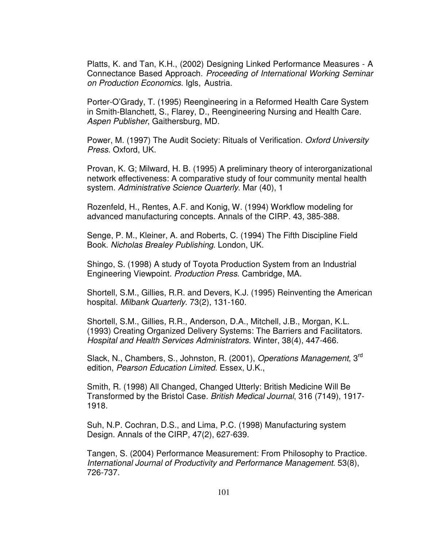Platts, K. and Tan, K.H., (2002) Designing Linked Performance Measures - A Connectance Based Approach. Proceeding of International Working Seminar on Production Economics. Igls, Austria.

Porter-O'Grady, T. (1995) Reengineering in a Reformed Health Care System in Smith-Blanchett, S., Flarey, D., Reengineering Nursing and Health Care. Aspen Publisher, Gaithersburg, MD.

Power, M. (1997) The Audit Society: Rituals of Verification. Oxford University Press. Oxford, UK.

Provan, K. G; Milward, H. B. (1995) A preliminary theory of interorganizational network effectiveness: A comparative study of four community mental health system. Administrative Science Quarterly. Mar (40), 1

Rozenfeld, H., Rentes, A.F. and Konig, W. (1994) Workflow modeling for advanced manufacturing concepts. Annals of the CIRP. 43, 385-388.

Senge, P. M., Kleiner, A. and Roberts, C. (1994) The Fifth Discipline Field Book. Nicholas Brealey Publishing. London, UK.

Shingo, S. (1998) A study of Toyota Production System from an Industrial Engineering Viewpoint. Production Press. Cambridge, MA.

Shortell, S.M., Gillies, R.R. and Devers, K.J. (1995) Reinventing the American hospital. Milbank Quarterly. 73(2), 131-160.

Shortell, S.M., Gillies, R.R., Anderson, D.A., Mitchell, J.B., Morgan, K.L. (1993) Creating Organized Delivery Systems: The Barriers and Facilitators. Hospital and Health Services Administrators. Winter, 38(4), 447-466.

Slack, N., Chambers, S., Johnston, R. (2001), Operations Management, 3<sup>rd</sup> edition, Pearson Education Limited. Essex, U.K.,

Smith, R. (1998) All Changed, Changed Utterly: British Medicine Will Be Transformed by the Bristol Case. British Medical Journal, 316 (7149), 1917- 1918.

Suh, N.P. Cochran, D.S., and Lima, P.C. (1998) Manufacturing system Design. Annals of the CIRP, 47(2), 627-639.

Tangen, S. (2004) Performance Measurement: From Philosophy to Practice. International Journal of Productivity and Performance Management. 53(8), 726-737.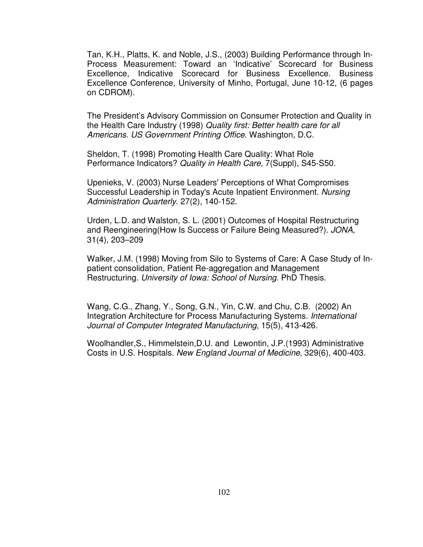Tan, K.H., Platts, K. and Noble, J.S., (2003) Building Performance through In-Process Measurement: Toward an 'Indicative' Scorecard for Business Excellence, Indicative Scorecard for Business Excellence. Business Excellence Conference, University of Minho, Portugal, June 10-12, (6 pages on CDROM).

The President's Advisory Commission on Consumer Protection and Quality in the Health Care Industry (1998) Quality first: Better health care for all Americans. US Government Printing Office. Washington, D.C.

Sheldon, T. (1998) Promoting Health Care Quality: What Role Performance Indicators? Quality in Health Care, 7(Suppl), S45-S50.

Upenieks, V. (2003) Nurse Leaders' Perceptions of What Compromises Successful Leadership in Today's Acute Inpatient Environment. Nursing Administration Quarterly. 27(2), 140-152.

Urden, L.D. and Walston, S. L. (2001) Outcomes of Hospital Restructuring and Reengineering(How Is Success or Failure Being Measured?). JONA, 31(4), 203–209

Walker, J.M. (1998) Moving from Silo to Systems of Care: A Case Study of Inpatient consolidation, Patient Re-aggregation and Management Restructuring. University of Iowa: School of Nursing. PhD Thesis.

Wang, C.G., Zhang, Y., Song, G.N., Yin, C.W. and Chu, C.B. (2002) An Integration Architecture for Process Manufacturing Systems. International Journal of Computer Integrated Manufacturing, 15(5), 413-426.

Woolhandler,S., Himmelstein,D.U. and Lewontin, J.P.(1993) Administrative Costs in U.S. Hospitals. New England Journal of Medicine, 329(6), 400-403.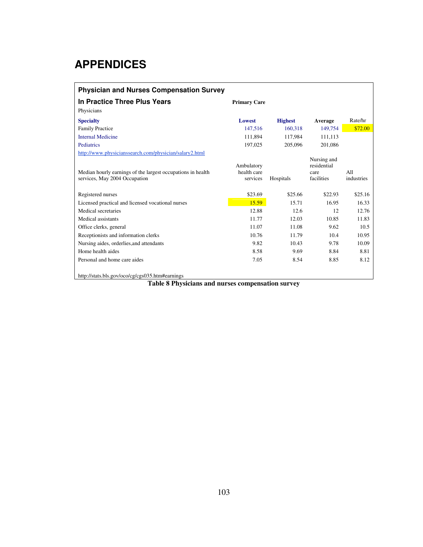## **APPENDICES**

| <b>Physician and Nurses Compensation Survey</b>                                              |                                       |                |                                                  |                   |  |  |
|----------------------------------------------------------------------------------------------|---------------------------------------|----------------|--------------------------------------------------|-------------------|--|--|
| In Practice Three Plus Years                                                                 | <b>Primary Care</b>                   |                |                                                  |                   |  |  |
| Physicians                                                                                   |                                       |                |                                                  |                   |  |  |
| <b>Specialty</b>                                                                             | Lowest                                | <b>Highest</b> | Average                                          | Rate/hr           |  |  |
| <b>Family Practice</b>                                                                       | 147,516                               | 160,318        | 149,754                                          | \$72.00           |  |  |
| <b>Internal Medicine</b>                                                                     | 111,894                               | 117,984        | 111,113                                          |                   |  |  |
| Pediatrics                                                                                   | 197.025                               | 205,096        | 201.086                                          |                   |  |  |
| http://www.physicianssearch.com/physician/salary2.html                                       |                                       |                |                                                  |                   |  |  |
| Median hourly earnings of the largest occupations in health<br>services, May 2004 Occupation | Ambulatory<br>health care<br>services | Hospitals      | Nursing and<br>residential<br>care<br>facilities | A11<br>industries |  |  |
| Registered nurses                                                                            | \$23.69                               | \$25.66        | \$22.93                                          | \$25.16           |  |  |
| Licensed practical and licensed vocational nurses                                            | 15.59                                 | 15.71          | 16.95                                            | 16.33             |  |  |
| Medical secretaries                                                                          | 12.88                                 | 12.6           | 12                                               | 12.76             |  |  |
| Medical assistants                                                                           | 11.77                                 | 12.03          | 10.85                                            | 11.83             |  |  |
| Office clerks, general                                                                       | 11.07                                 | 11.08          | 9.62                                             | 10.5              |  |  |
| Receptionists and information clerks                                                         | 10.76                                 | 11.79          | 10.4                                             | 10.95             |  |  |
| Nursing aides, orderlies, and attendants                                                     | 9.82                                  | 10.43          | 9.78                                             | 10.09             |  |  |
| Home health aides                                                                            | 8.58                                  | 9.69           | 8.84                                             | 8.81              |  |  |
| Personal and home care aides                                                                 | 7.05                                  | 8.54           | 8.85                                             | 8.12              |  |  |
| http://stats.bls.gov/oco/cg/cgs035.htm#earnings                                              |                                       |                |                                                  |                   |  |  |

**Table 8 Physicians and nurses compensation survey**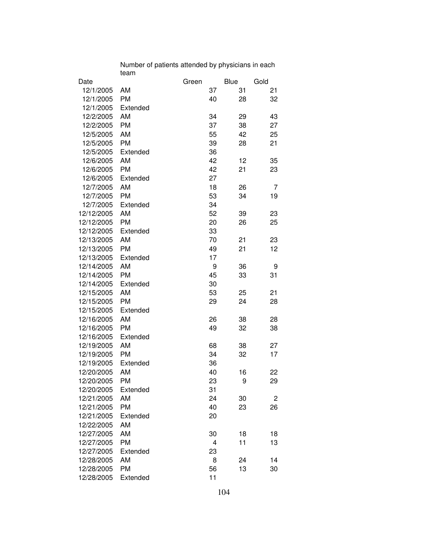| Date       |           | Green |    | Blue | Gold |
|------------|-----------|-------|----|------|------|
| 12/1/2005  | AM        |       | 37 | 31   | 21   |
| 12/1/2005  | <b>PM</b> |       | 40 | 28   | 32   |
| 12/1/2005  | Extended  |       |    |      |      |
| 12/2/2005  | AM        |       | 34 | 29   | 43   |
| 12/2/2005  | <b>PM</b> |       | 37 | 38   | 27   |
| 12/5/2005  | AM        |       | 55 | 42   | 25   |
| 12/5/2005  | <b>PM</b> |       | 39 | 28   | 21   |
| 12/5/2005  | Extended  |       | 36 |      |      |
| 12/6/2005  | AM        |       | 42 | 12   | 35   |
| 12/6/2005  | <b>PM</b> |       | 42 | 21   | 23   |
| 12/6/2005  | Extended  |       | 27 |      |      |
| 12/7/2005  | AM        |       | 18 | 26   | 7    |
| 12/7/2005  | <b>PM</b> |       | 53 | 34   | 19   |
| 12/7/2005  | Extended  |       | 34 |      |      |
| 12/12/2005 | AM        |       | 52 | 39   | 23   |
| 12/12/2005 | <b>PM</b> |       | 20 | 26   | 25   |
| 12/12/2005 | Extended  |       | 33 |      |      |
| 12/13/2005 | AM        |       | 70 | 21   | 23   |
| 12/13/2005 | <b>PM</b> |       | 49 | 21   | 12   |
| 12/13/2005 | Extended  |       | 17 |      |      |
| 12/14/2005 | AM        |       | 9  | 36   | 9    |
| 12/14/2005 | <b>PM</b> |       | 45 | 33   | 31   |
| 12/14/2005 | Extended  |       | 30 |      |      |
| 12/15/2005 | AM        |       | 53 | 25   | 21   |
| 12/15/2005 | <b>PM</b> |       | 29 | 24   | 28   |
| 12/15/2005 | Extended  |       |    |      |      |
| 12/16/2005 | AM        |       | 26 | 38   | 28   |
| 12/16/2005 | <b>PM</b> |       | 49 | 32   | 38   |
| 12/16/2005 | Extended  |       |    |      |      |
| 12/19/2005 | AM        |       | 68 | 38   | 27   |
| 12/19/2005 | <b>PM</b> |       | 34 | 32   | 17   |
| 12/19/2005 | Extended  |       | 36 |      |      |
| 12/20/2005 | AM        |       | 40 | 16   | 22   |
| 12/20/2005 | <b>PM</b> |       | 23 | 9    | 29   |
| 12/20/2005 | Extended  |       | 31 |      |      |
| 12/21/2005 | AM        |       | 24 | 30   | 2    |
| 12/21/2005 | <b>PM</b> |       | 40 | 23   | 26   |
| 12/21/2005 | Extended  |       | 20 |      |      |
| 12/22/2005 | AM        |       |    |      |      |
| 12/27/2005 | AM        |       | 30 | 18   | 18   |
| 12/27/2005 | <b>PM</b> |       | 4  | 11   | 13   |
| 12/27/2005 | Extended  |       | 23 |      |      |
| 12/28/2005 | AM        |       | 8  | 24   | 14   |
| 12/28/2005 | PM        |       | 56 | 13   | 30   |
| 12/28/2005 | Extended  |       | 11 |      |      |
|            |           |       |    |      |      |

Number of patients attended by physicians in each team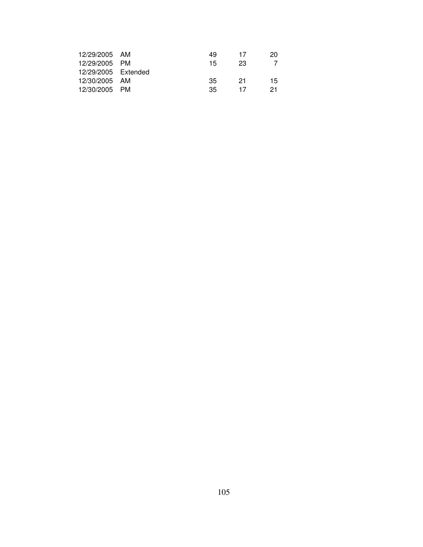| 49                                                                                      | 17  | 20  |
|-----------------------------------------------------------------------------------------|-----|-----|
| 15                                                                                      | 23  |     |
|                                                                                         |     |     |
| 35                                                                                      | -21 | 15  |
| 35                                                                                      | 17  | 21. |
| 12/29/2005 AM<br>12/29/2005 PM<br>12/29/2005 Extended<br>12/30/2005 AM<br>12/30/2005 PM |     |     |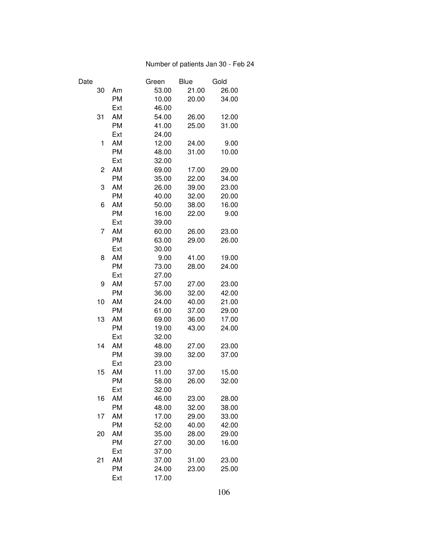## Number of patients Jan 30 - Feb 24

| Date |           | Green | <b>Blue</b> | Gold  |
|------|-----------|-------|-------------|-------|
| 30   | Am        | 53.00 | 21.00       | 26.00 |
|      | <b>PM</b> | 10.00 | 20.00       | 34.00 |
|      | Ext       | 46.00 |             |       |
| 31   | AM        | 54.00 | 26.00       | 12.00 |
|      | <b>PM</b> | 41.00 | 25.00       | 31.00 |
|      | Ext       | 24.00 |             |       |
| 1    | AM        | 12.00 | 24.00       | 9.00  |
|      | <b>PM</b> | 48.00 | 31.00       | 10.00 |
|      | Ext       | 32.00 |             |       |
| 2    | AM        | 69.00 | 17.00       | 29.00 |
|      | <b>PM</b> | 35.00 | 22.00       | 34.00 |
| 3    | AM        | 26.00 | 39.00       | 23.00 |
|      | <b>PM</b> | 40.00 | 32.00       | 20.00 |
| 6    | AM        | 50.00 | 38.00       | 16.00 |
|      | <b>PM</b> | 16.00 | 22.00       | 9.00  |
|      | Ext       | 39.00 |             |       |
| 7    | AM        | 60.00 | 26.00       | 23.00 |
|      | <b>PM</b> | 63.00 | 29.00       | 26.00 |
|      | Ext       | 30.00 |             |       |
| 8    | AM        | 9.00  | 41.00       | 19.00 |
|      | <b>PM</b> | 73.00 | 28.00       | 24.00 |
|      | Ext       | 27.00 |             |       |
| 9    | AM        | 57.00 | 27.00       | 23.00 |
|      | <b>PM</b> | 36.00 | 32.00       | 42.00 |
| 10   | AM        | 24.00 | 40.00       | 21.00 |
|      | <b>PM</b> | 61.00 | 37.00       | 29.00 |
| 13   | AM        | 69.00 | 36.00       | 17.00 |
|      | <b>PM</b> | 19.00 | 43.00       | 24.00 |
|      | Ext       | 32.00 |             |       |
| 14   | AM        | 48.00 | 27.00       | 23.00 |
|      | <b>PM</b> | 39.00 | 32.00       | 37.00 |
|      | Ext       | 23.00 |             |       |
| 15   | AM        | 11.00 | 37.00       | 15.00 |
|      | <b>PM</b> | 58.00 | 26.00       | 32.00 |
|      | Ext       | 32.00 |             |       |
| 16   | AM        | 46.00 | 23.00       | 28.00 |
|      | <b>PM</b> | 48.00 | 32.00       | 38.00 |
| 17   | AM        | 17.00 | 29.00       | 33.00 |
|      | <b>PM</b> | 52.00 | 40.00       | 42.00 |
| 20   | AM        | 35.00 | 28.00       | 29.00 |
|      | <b>PM</b> | 27.00 | 30.00       | 16.00 |
|      | Ext       | 37.00 |             |       |
| 21   | AM        | 37.00 | 31.00       | 23.00 |
|      | <b>PM</b> | 24.00 | 23.00       | 25.00 |
|      | Ext       | 17.00 |             |       |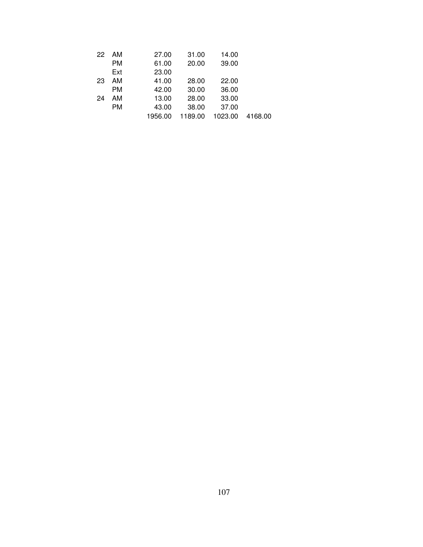| 22 | - AM      | 27.00   | 31.00   | 14.00   |         |
|----|-----------|---------|---------|---------|---------|
|    | <b>PM</b> | 61.00   | 20.00   | 39.00   |         |
|    | Ext       | 23.00   |         |         |         |
| 23 | AM        | 41.00   | 28.00   | 22.00   |         |
|    | <b>PM</b> | 42.00   | 30.00   | 36.00   |         |
| 24 | AM        | 13.00   | 28.00   | 33.00   |         |
|    | <b>PM</b> | 43.00   | 38.00   | 37.00   |         |
|    |           | 1956.00 | 1189.00 | 1023.00 | 4168.00 |